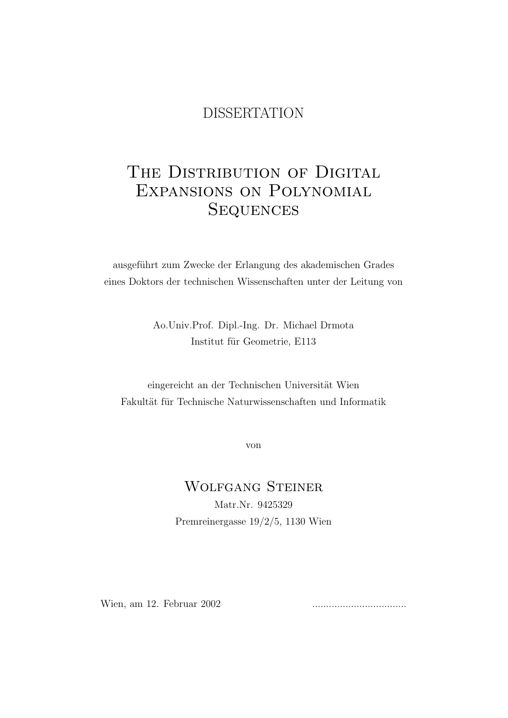## DISSERTATION

# THE DISTRIBUTION OF DIGITAL Expansions on Polynomial **SEQUENCES**

ausgeführt zum Zwecke der Erlangung des akademischen Grades eines Doktors der technischen Wissenschaften unter der Leitung von

> Ao.Univ.Prof. Dipl.-Ing. Dr. Michael Drmota Institut für Geometrie, E113

eingereicht an der Technischen Universität Wien Fakultät für Technische Naturwissenschaften und Informatik

von

## Wolfgang Steiner Matr.Nr. 9425329 Premreinergasse 19/2/5, 1130 Wien

Wien, am 12. Februar 2002 ..................................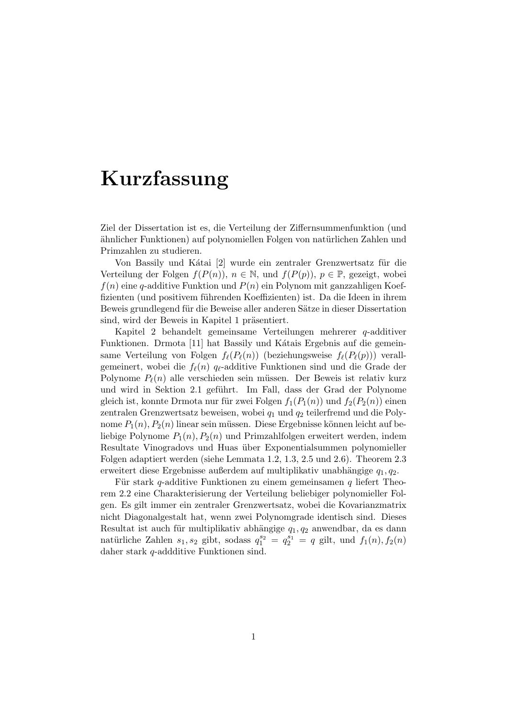# Kurzfassung

Ziel der Dissertation ist es, die Verteilung der Ziffernsummenfunktion (und ähnlicher Funktionen) auf polynomiellen Folgen von natürlichen Zahlen und Primzahlen zu studieren.

Von Bassily und Kátai [2] wurde ein zentraler Grenzwertsatz für die Verteilung der Folgen  $f(P(n))$ ,  $n \in \mathbb{N}$ , und  $f(P(p))$ ,  $p \in \mathbb{P}$ , gezeigt, wobei  $f(n)$  eine q-additive Funktion und  $P(n)$  ein Polynom mit ganzzahligen Koeffizienten (und positivem führenden Koeffizienten) ist. Da die Ideen in ihrem Beweis grundlegend für die Beweise aller anderen Sätze in dieser Dissertation sind, wird der Beweis in Kapitel 1 präsentiert.

Kapitel 2 behandelt gemeinsame Verteilungen mehrerer q-additiver Funktionen. Drmota [11] hat Bassily und Kátais Ergebnis auf die gemeinsame Verteilung von Folgen  $f_{\ell}(P_{\ell}(n))$  (beziehungsweise  $f_{\ell}(P_{\ell}(p))$ ) verallgemeinert, wobei die  $f_{\ell}(n)$  q<sub> $\ell$ </sub>-additive Funktionen sind und die Grade der Polynome  $P_\ell(n)$  alle verschieden sein müssen. Der Beweis ist relativ kurz und wird in Sektion 2.1 geführt. Im Fall, dass der Grad der Polynome gleich ist, konnte Drmota nur für zwei Folgen  $f_1(P_1(n))$  und  $f_2(P_2(n))$  einen zentralen Grenzwertsatz beweisen, wobei  $q_1$  und  $q_2$  teilerfremd und die Polynome  $P_1(n)$ ,  $P_2(n)$  linear sein müssen. Diese Ergebnisse können leicht auf beliebige Polynome  $P_1(n)$ ,  $P_2(n)$  und Primzahlfolgen erweitert werden, indem Resultate Vinogradovs und Huas über Exponentialsummen polynomieller Folgen adaptiert werden (siehe Lemmata 1.2, 1.3, 2.5 und 2.6). Theorem 2.3 erweitert diese Ergebnisse außerdem auf multiplikativ unabhängige  $q_1, q_2$ .

Für stark q-additive Funktionen zu einem gemeinsamen  $q$  liefert Theorem 2.2 eine Charakterisierung der Verteilung beliebiger polynomieller Folgen. Es gilt immer ein zentraler Grenzwertsatz, wobei die Kovarianzmatrix nicht Diagonalgestalt hat, wenn zwei Polynomgrade identisch sind. Dieses Resultat ist auch für multiplikativ abhängige  $q_1, q_2$  anwendbar, da es dann natürliche Zahlen  $s_1, s_2$  gibt, sodass  $q_1^{s_2} = q_2^{s_1} = q$  gilt, und  $f_1(n), f_2(n)$ daher stark q-addditive Funktionen sind.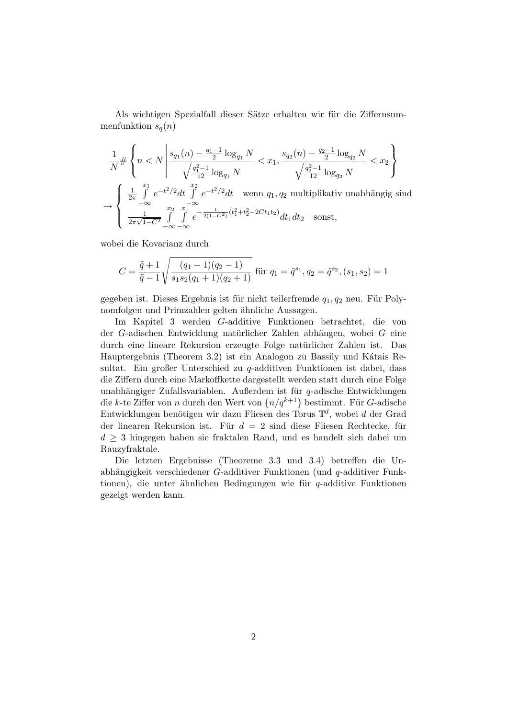Als wichtigen Spezialfall dieser Sätze erhalten wir für die Ziffernsummenfunktion  $s_q(n)$ 

$$
\frac{1}{N} \# \left\{ n < N \left| \frac{s_{q_1}(n) - \frac{q_1 - 1}{2} \log_{q_1} N}{\sqrt{\frac{q_1^2 - 1}{12} \log_{q_1} N}} < x_1, \frac{s_{q_2}(n) - \frac{q_2 - 1}{2} \log_{q_2} N}{\sqrt{\frac{q_2^2 - 1}{12} \log_{q_2} N}} < x_2 \right\} \right\}
$$
\n
$$
\to \left\{ \begin{array}{ll} \frac{1}{2\pi} \int_{-\infty}^{x_1} e^{-t^2/2} dt & \int_{-\infty}^{x_2} e^{-t^2/2} dt & \text{wenn } q_1, q_2 \text{ multiplikativ unabhängig sind} \\ \frac{1}{2\pi\sqrt{1 - C^2}} \int_{-\infty}^{x_2} \int_{-\infty}^{x_1} e^{-\frac{1}{2(1 - C^2)} (t_1^2 + t_2^2 - 2Ct_1 t_2)} dt_1 dt_2 & \text{sonst,} \end{array} \right.
$$

wobei die Kovarianz durch

$$
C = \frac{\tilde{q} + 1}{\tilde{q} - 1} \sqrt{\frac{(q_1 - 1)(q_2 - 1)}{s_1 s_2 (q_1 + 1)(q_2 + 1)}} \text{ für } q_1 = \tilde{q}^{s_1}, q_2 = \tilde{q}^{s_2}, (s_1, s_2) = 1
$$

gegeben ist. Dieses Ergebnis ist für nicht teilerfremde  $q_1, q_2$  neu. Für Polynomfolgen und Primzahlen gelten ähnliche Aussagen.

Im Kapitel 3 werden G-additive Funktionen betrachtet, die von der G-adischen Entwicklung natürlicher Zahlen abhängen, wobei  $G$  eine durch eine lineare Rekursion erzeugte Folge natürlicher Zahlen ist. Das Hauptergebnis (Theorem 3.2) ist ein Analogon zu Bassily und Kátais Resultat. Ein großer Unterschied zu q-additiven Funktionen ist dabei, dass die Ziffern durch eine Markoffkette dargestellt werden statt durch eine Folge unabhängiger Zufallsvariablen. Außerdem ist für  $q$ -adische Entwicklungen die k-te Ziffer von n durch den Wert von  $\{n/q^{k+1}\}\)$  bestimmt. Für G-adische Entwicklungen benötigen wir dazu Fliesen des Torus  $\mathbb{T}^d$ , wobei d der Grad der linearen Rekursion ist. Für  $d = 2$  sind diese Fliesen Rechtecke, für  $d \geq 3$  hingegen haben sie fraktalen Rand, und es handelt sich dabei um Rauzyfraktale.

Die letzten Ergebnisse (Theoreme 3.3 und 3.4) betreffen die Unabhängigkeit verschiedener G-additiver Funktionen (und  $q$ -additiver Funktionen), die unter ähnlichen Bedingungen wie für  $q$ -additive Funktionen gezeigt werden kann.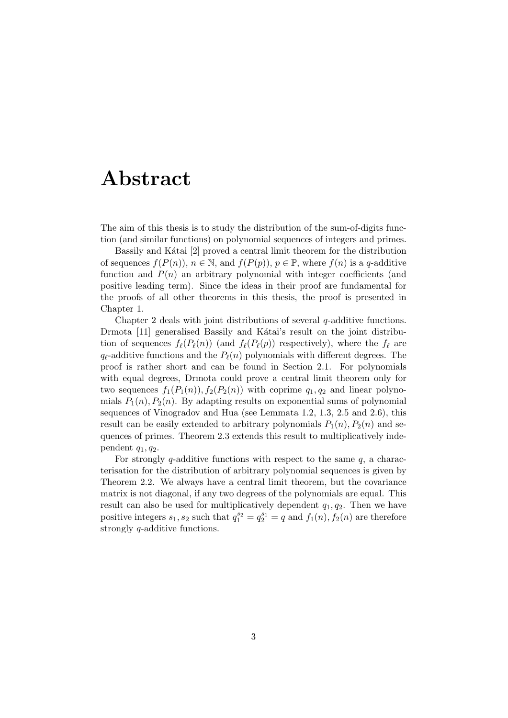# Abstract

The aim of this thesis is to study the distribution of the sum-of-digits function (and similar functions) on polynomial sequences of integers and primes.

Bassily and Kátai [2] proved a central limit theorem for the distribution of sequences  $f(P(n))$ ,  $n \in \mathbb{N}$ , and  $f(P(p))$ ,  $p \in \mathbb{P}$ , where  $f(n)$  is a q-additive function and  $P(n)$  an arbitrary polynomial with integer coefficients (and positive leading term). Since the ideas in their proof are fundamental for the proofs of all other theorems in this thesis, the proof is presented in Chapter 1.

Chapter 2 deals with joint distributions of several  $q$ -additive functions. Drmota [11] generalised Bassily and Kátai's result on the joint distribution of sequences  $f_{\ell}(P_{\ell}(n))$  (and  $f_{\ell}(P_{\ell}(p))$  respectively), where the  $f_{\ell}$  are  $q_{\ell}$ -additive functions and the  $P_{\ell}(n)$  polynomials with different degrees. The proof is rather short and can be found in Section 2.1. For polynomials with equal degrees, Drmota could prove a central limit theorem only for two sequences  $f_1(P_1(n)), f_2(P_2(n))$  with coprime  $q_1, q_2$  and linear polynomials  $P_1(n)$ ,  $P_2(n)$ . By adapting results on exponential sums of polynomial sequences of Vinogradov and Hua (see Lemmata 1.2, 1.3, 2.5 and 2.6), this result can be easily extended to arbitrary polynomials  $P_1(n), P_2(n)$  and sequences of primes. Theorem 2.3 extends this result to multiplicatively independent  $q_1, q_2$ .

For strongly q-additive functions with respect to the same  $q$ , a characterisation for the distribution of arbitrary polynomial sequences is given by Theorem 2.2. We always have a central limit theorem, but the covariance matrix is not diagonal, if any two degrees of the polynomials are equal. This result can also be used for multiplicatively dependent  $q_1, q_2$ . Then we have positive integers  $s_1, s_2$  such that  $q_1^{s_2} = q_2^{s_1} = q$  and  $f_1(n), f_2(n)$  are therefore strongly q-additive functions.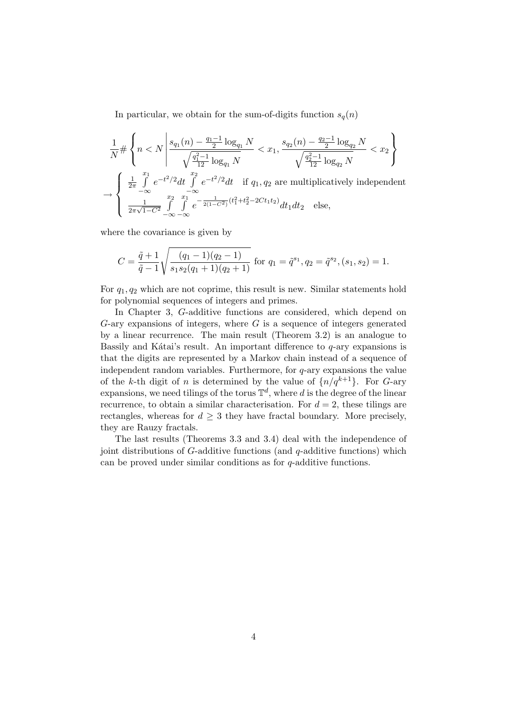In particular, we obtain for the sum-of-digits function  $s_q(n)$ 

$$
\frac{1}{N} \# \left\{ n < N \left| \frac{s_{q_1}(n) - \frac{q_1 - 1}{2} \log_{q_1} N}{\sqrt{\frac{q_1^2 - 1}{12} \log_{q_1} N}} < x_1, \frac{s_{q_2}(n) - \frac{q_2 - 1}{2} \log_{q_2} N}{\sqrt{\frac{q_2^2 - 1}{12} \log_{q_2} N}} < x_2 \right\} \right\}
$$
\n
$$
\to \left\{ \begin{array}{ll} \frac{1}{2\pi} \int_{-\infty}^{x_1} e^{-t^2/2} dt & \int_{-\infty}^{x_2} e^{-t^2/2} dt & \text{if } q_1, q_2 \text{ are multiplicatively independent} \\ \frac{1}{2\pi\sqrt{1 - C^2}} \int_{-\infty}^{x_2} \int_{-\infty}^{x_1} e^{-\frac{1}{2(1 - C^2)} (t_1^2 + t_2^2 - 2Ct_1 t_2)} dt_1 dt_2 & \text{else,} \end{array} \right.
$$

where the covariance is given by

$$
C = \frac{\tilde{q} + 1}{\tilde{q} - 1} \sqrt{\frac{(q_1 - 1)(q_2 - 1)}{s_1 s_2 (q_1 + 1)(q_2 + 1)}} \text{ for } q_1 = \tilde{q}^{s_1}, q_2 = \tilde{q}^{s_2}, (s_1, s_2) = 1.
$$

For  $q_1, q_2$  which are not coprime, this result is new. Similar statements hold for polynomial sequences of integers and primes.

In Chapter 3, G-additive functions are considered, which depend on  $G$ -ary expansions of integers, where  $G$  is a sequence of integers generated by a linear recurrence. The main result (Theorem 3.2) is an analogue to Bassily and Kátai's result. An important difference to  $q$ -ary expansions is that the digits are represented by a Markov chain instead of a sequence of independent random variables. Furthermore, for q-ary expansions the value of the k-th digit of n is determined by the value of  $\{n/q^{k+1}\}\$ . For G-ary expansions, we need tilings of the torus  $\mathbb{T}^d$ , where d is the degree of the linear recurrence, to obtain a similar characterisation. For  $d = 2$ , these tilings are rectangles, whereas for  $d \geq 3$  they have fractal boundary. More precisely, they are Rauzy fractals.

The last results (Theorems 3.3 and 3.4) deal with the independence of joint distributions of G-additive functions (and q-additive functions) which can be proved under similar conditions as for q-additive functions.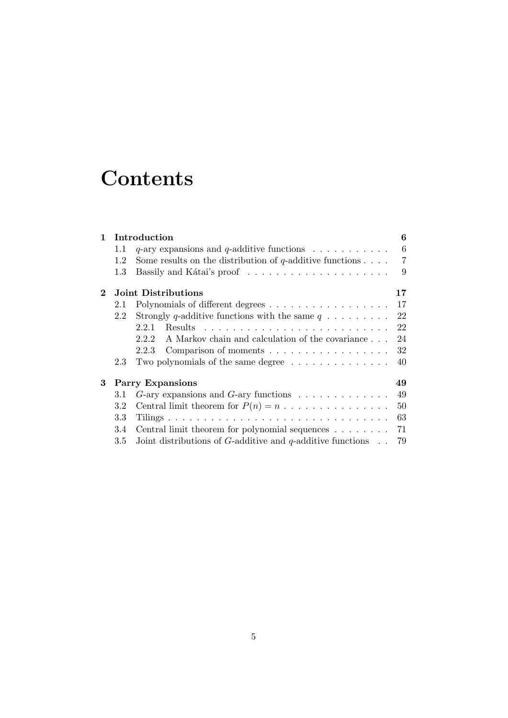# **Contents**

| $\mathbf{1}$ | Introduction                  |                                                                           | 6              |
|--------------|-------------------------------|---------------------------------------------------------------------------|----------------|
|              | 1.1                           | $q$ -ary expansions and $q$ -additive functions                           | 6              |
|              | 1.2                           | Some results on the distribution of q-additive functions $\dots$ .        | $\overline{7}$ |
|              | $1.3\,$                       |                                                                           | 9              |
| $\bf{2}$     | Joint Distributions<br>17     |                                                                           |                |
|              | 2.1                           |                                                                           | 17             |
|              | 2.2                           | Strongly q-additive functions with the same $q \ldots \ldots$             | 22             |
|              |                               | 2.2.1                                                                     | 22             |
|              |                               | A Markov chain and calculation of the covariance<br>2.2.2                 | 24             |
|              |                               | 2.2.3<br>Comparison of moments                                            | 32             |
|              | 2.3                           | Two polynomials of the same degree $\dots \dots \dots \dots \dots$        | 40             |
| 3            | <b>Parry Expansions</b><br>49 |                                                                           |                |
|              | 3.1                           | $G$ -ary expansions and $G$ -ary functions $\ldots \ldots \ldots \ldots$  | 49             |
|              | 3.2                           | Central limit theorem for $P(n) = n \dots \dots \dots \dots \dots$        | 50             |
|              | 3.3                           |                                                                           | 63             |
|              | 3.4                           | Central limit theorem for polynomial sequences $\dots \dots$              | 71             |
|              | 3.5                           | Joint distributions of $G$ -additive and $q$ -additive functions $\ldots$ | 79             |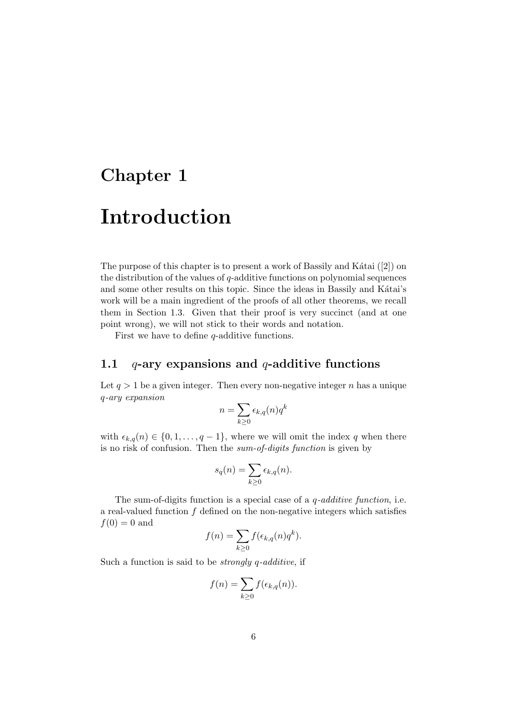# Chapter 1

# Introduction

The purpose of this chapter is to present a work of Bassily and Kátai  $([2])$  on the distribution of the values of  $q$ -additive functions on polynomial sequences and some other results on this topic. Since the ideas in Bassily and Kátai's work will be a main ingredient of the proofs of all other theorems, we recall them in Section 1.3. Given that their proof is very succinct (and at one point wrong), we will not stick to their words and notation.

First we have to define  $q$ -additive functions.

### 1.1  $q$ -ary expansions and q-additive functions

Let  $q > 1$  be a given integer. Then every non-negative integer n has a unique q-ary expansion

$$
n=\sum_{k\geq 0}\epsilon_{k,q}(n)q^k
$$

with  $\epsilon_{k,q}(n) \in \{0, 1, \ldots, q-1\}$ , where we will omit the index q when there is no risk of confusion. Then the sum-of-digits function is given by

$$
s_q(n) = \sum_{k \ge 0} \epsilon_{k,q}(n).
$$

The sum-of-digits function is a special case of a  $q$ -additive function, i.e. a real-valued function  $f$  defined on the non-negative integers which satisfies  $f(0) = 0$  and

$$
f(n) = \sum_{k \ge 0} f(\epsilon_{k,q}(n)q^k).
$$

Such a function is said to be strongly q-additive, if

$$
f(n) = \sum_{k \ge 0} f(\epsilon_{k,q}(n)).
$$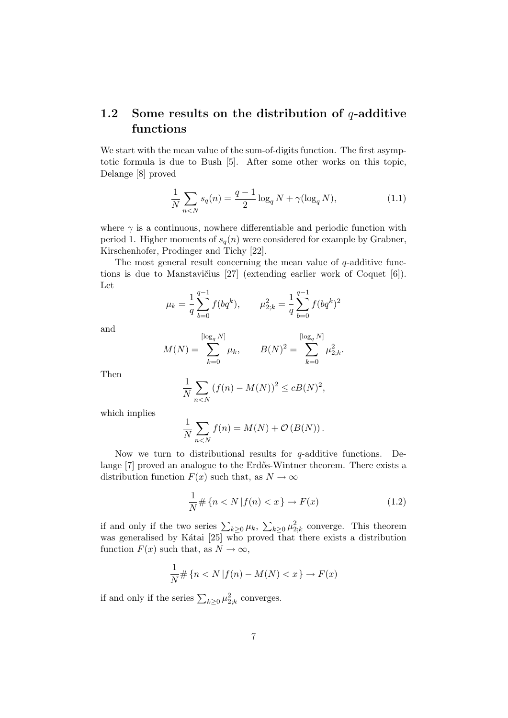## 1.2 Some results on the distribution of  $q$ -additive functions

We start with the mean value of the sum-of-digits function. The first asymptotic formula is due to Bush [5]. After some other works on this topic, Delange [8] proved

$$
\frac{1}{N} \sum_{n < N} s_q(n) = \frac{q-1}{2} \log_q N + \gamma(\log_q N),\tag{1.1}
$$

where  $\gamma$  is a continuous, nowhere differentiable and periodic function with period 1. Higher moments of  $s_q(n)$  were considered for example by Grabner, Kirschenhofer, Prodinger and Tichy [22].

The most general result concerning the mean value of  $q$ -additive functions is due to Manstavičius  $[27]$  (extending earlier work of Coquet  $[6]$ ). Let

$$
\mu_k = \frac{1}{q} \sum_{b=0}^{q-1} f(bq^k), \qquad \mu_{2,k}^2 = \frac{1}{q} \sum_{b=0}^{q-1} f(bq^k)^2
$$

and

$$
M(N) = \sum_{k=0}^{\lfloor \log_q N \rfloor} \mu_k, \qquad B(N)^2 = \sum_{k=0}^{\lfloor \log_q N \rfloor} \mu_{2;k}^2.
$$

Then

$$
\frac{1}{N} \sum_{n < N} \left( f(n) - M(N) \right)^2 \le c B(N)^2,
$$

which implies

$$
\frac{1}{N} \sum_{n < N} f(n) = M(N) + \mathcal{O}\left(B(N)\right).
$$

Now we turn to distributional results for  $q$ -additive functions. Delange [7] proved an analogue to the Erdős-Wintner theorem. There exists a distribution function  $F(x)$  such that, as  $N \to \infty$ 

$$
\frac{1}{N} \# \{ n < N \, | f(n) < x \} \to F(x) \tag{1.2}
$$

if and only if the two series  $\sum_{k\geq 0} \mu_k$ ,  $\sum_{k\geq 0} \mu_{2;k}^2$  converge. This theorem was generalised by Kátai [25] who proved that there exists a distribution function  $F(x)$  such that, as  $N \to \infty$ ,

$$
\frac{1}{N} \# \{ n < N \, | f(n) - M(N) < x \} \to F(x)
$$

if and only if the series  $\sum_{k\geq 0} \mu_{2;k}^2$  converges.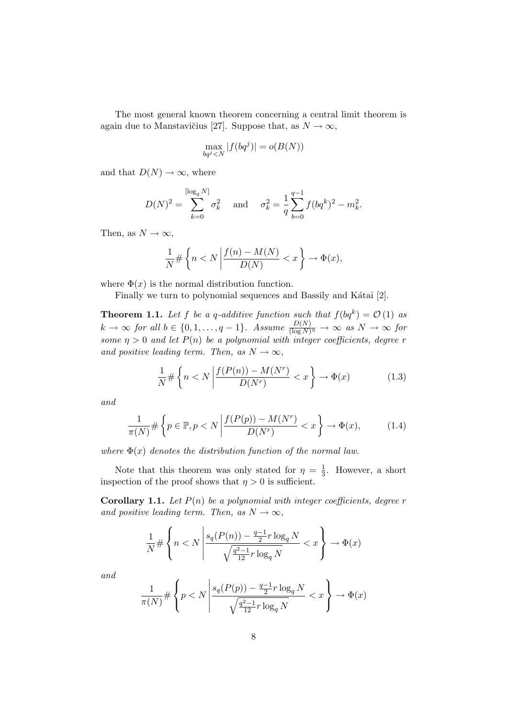The most general known theorem concerning a central limit theorem is again due to Manstavičius [27]. Suppose that, as  $N \to \infty$ ,

$$
\max_{bq^j < N} |f(bq^j)| = o(B(N))
$$

and that  $D(N) \to \infty$ , where

$$
D(N)^{2} = \sum_{k=0}^{\lfloor \log_{q} N \rfloor} \sigma_{k}^{2} \quad \text{and} \quad \sigma_{k}^{2} = \frac{1}{q} \sum_{b=0}^{q-1} f(bq^{k})^{2} - m_{k}^{2}.
$$

Then, as  $N \to \infty$ ,

$$
\frac{1}{N} \# \left\{ n < N \left| \frac{f(n) - M(N)}{D(N)} < x \right. \right\} \to \Phi(x),
$$

where  $\Phi(x)$  is the normal distribution function.

Finally we turn to polynomial sequences and Bassily and Kátai [2].

**Theorem 1.1.** Let f be a q-additive function such that  $f(bq^k) = \mathcal{O}(1)$  as  $k \to \infty$  for all  $b \in \{0, 1, \ldots, q-1\}$ . Assume  $\frac{D(N)}{(\log N)^{\eta}} \to \infty$  as  $N \to \infty$  for some  $\eta > 0$  and let  $P(n)$  be a polynomial with integer coefficients, degree r and positive leading term. Then, as  $N \to \infty$ ,

$$
\frac{1}{N} \# \left\{ n < N \left| \frac{f(P(n)) - M(N^r)}{D(N^r)} < x \right. \right\} \to \Phi(x) \tag{1.3}
$$

and

$$
\frac{1}{\pi(N)} \# \left\{ p \in \mathbb{P}, p < N \left| \frac{f(P(p)) - M(N^r)}{D(N^r)} < x \right. \right\} \to \Phi(x),\tag{1.4}
$$

where  $\Phi(x)$  denotes the distribution function of the normal law.

Note that this theorem was only stated for  $\eta = \frac{1}{3}$  $\frac{1}{3}$ . However, a short inspection of the proof shows that  $\eta > 0$  is sufficient.

**Corollary 1.1.** Let  $P(n)$  be a polynomial with integer coefficients, degree r and positive leading term. Then, as  $N \to \infty$ ,

$$
\frac{1}{N} \# \left\{ n < N \left| \frac{s_q(P(n)) - \frac{q-1}{2}r \log_q N}{\sqrt{\frac{q^2-1}{12}r \log_q N}} < x \right\} \to \Phi(x)
$$

and

$$
\frac{1}{\pi(N)} \# \left\{ p < N \, \middle| \, \frac{s_q(P(p)) - \frac{q-1}{2} r \log_q N}{\sqrt{\frac{q^2 - 1}{12} r \log_q N}} < x \right\} \to \Phi(x)
$$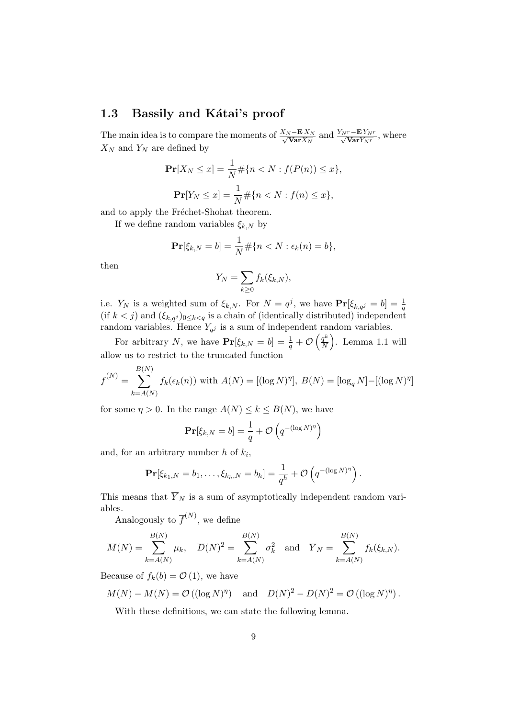### 1.3 Bassily and Kátai's proof

The main idea is to compare the moments of  $\frac{X_N - \mathbf{E} X_N}{\sqrt{\mathbf{X}_N \mathbf{V}_N}}$  $\frac{V - E X_N}{Var X_N}$  and  $\frac{Y_{Nr} - E Y_{Nr}}{\sqrt{Var Y_{Nr}}}$ , where  $X_N$  and  $Y_N$  are defined by

$$
\mathbf{Pr}[X_N \le x] = \frac{1}{N} \# \{n < N : f(P(n)) \le x\},
$$
\n
$$
\mathbf{Pr}[Y_N \le x] = \frac{1}{N} \# \{n < N : f(n) \le x\},
$$

and to apply the Fréchet-Shohat theorem.

If we define random variables  $\xi_{k,N}$  by

$$
\mathbf{Pr}[\xi_{k,N} = b] = \frac{1}{N} \# \{n < N : \epsilon_k(n) = b\},
$$

then

$$
Y_N = \sum_{k \ge 0} f_k(\xi_{k,N}),
$$

i.e.  $Y_N$  is a weighted sum of  $\xi_{k,N}$ . For  $N = q^j$ , we have  $\mathbf{Pr}[\xi_{k,q^j} = b] = \frac{1}{q}$ (if  $k < j$ ) and  $(\xi_{k,q}j)_{0 \leq k < q}$  is a chain of (identically distributed) independent random variables. Hence  $Y_{q^j}$  is a sum of independent random variables.

For arbitrary N, we have  $\mathbf{Pr}[\xi_{k,N} = b] = \frac{1}{q} + \mathcal{O}\left(\frac{q^k}{N}\right)$  $\frac{q^k}{N}$ ). Lemma 1.1 will allow us to restrict to the truncated function

$$
\overline{f}^{(N)} = \sum_{k=A(N)}^{B(N)} f_k(\epsilon_k(n)) \text{ with } A(N) = [(\log N)^{\eta}], B(N) = [\log_q N] - [(\log N)^{\eta}]
$$

for some  $\eta > 0$ . In the range  $A(N) \leq k \leq B(N)$ , we have

$$
\mathbf{Pr}[\xi_{k,N} = b] = \frac{1}{q} + \mathcal{O}\left(q^{-\left(\log N\right)^{\eta}}\right)
$$

and, for an arbitrary number  $h$  of  $k_i$ ,

$$
\mathbf{Pr}[\xi_{k_1,N}=b_1,\ldots,\xi_{k_h,N}=b_h]=\frac{1}{q^h}+\mathcal{O}\left(q^{-(\log N)^\eta}\right).
$$

This means that  $\overline{Y}_N$  is a sum of asymptotically independent random variables.

Analogously to  $\overline{f}^{(N)}$ , we define

$$
\overline{M}(N) = \sum_{k=A(N)}^{B(N)} \mu_k, \quad \overline{D}(N)^2 = \sum_{k=A(N)}^{B(N)} \sigma_k^2 \quad \text{and} \quad \overline{Y}_N = \sum_{k=A(N)}^{B(N)} f_k(\xi_{k,N}).
$$

Because of  $f_k(b) = \mathcal{O}(1)$ , we have

$$
\overline{M}(N) - M(N) = \mathcal{O}((\log N)^{\eta})
$$
 and  $\overline{D}(N)^2 - D(N)^2 = \mathcal{O}((\log N)^{\eta}).$ 

With these definitions, we can state the following lemma.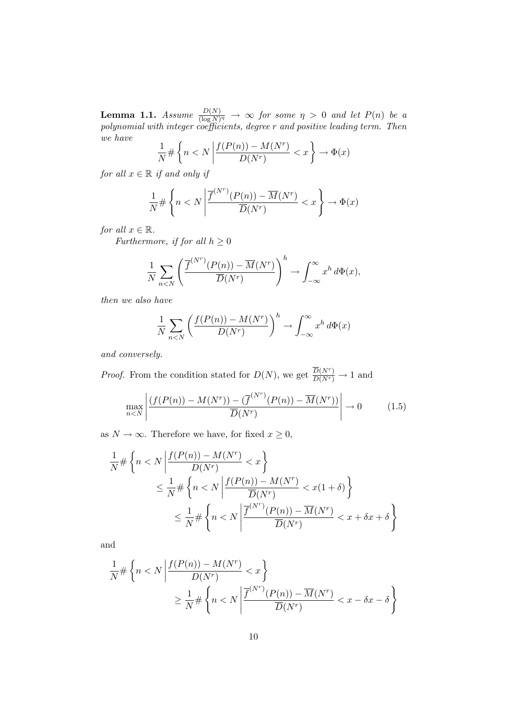**Lemma 1.1.** Assume  $\frac{D(N)}{(\log N)^{\eta}} \to \infty$  for some  $\eta > 0$  and let  $P(n)$  be a polynomial with integer coefficients, degree r and positive leading term. Then we have

$$
\frac{1}{N} \# \left\{ n < N \left| \frac{f(P(n)) - M(N^r)}{D(N^r)} < x \right. \right\} \to \Phi(x)
$$

for all  $x \in \mathbb{R}$  if and only if

$$
\frac{1}{N} \# \left\{ n < N \left| \frac{\overline{f}^{(N^r)}(P(n)) - \overline{M}(N^r)}{\overline{D}(N^r)} < x \right. \right\} \to \Phi(x)
$$

for all  $x \in \mathbb{R}$ .

Furthermore, if for all  $h \geq 0$ 

$$
\frac{1}{N} \sum_{n < N} \left( \frac{\overline{f}^{(N^r)}(P(n)) - \overline{M}(N^r)}{\overline{D}(N^r)} \right)^h \to \int_{-\infty}^{\infty} x^h \, d\Phi(x),
$$

then we also have

$$
\frac{1}{N} \sum_{n < N} \left( \frac{f(P(n)) - M(N^r)}{D(N^r)} \right)^h \to \int_{-\infty}^{\infty} x^h \, d\Phi(x)
$$

and conversely.

*Proof.* From the condition stated for  $D(N)$ , we get  $\frac{\overline{D}(N^r)}{D(N^r)} \to 1$  and

$$
\max_{n
$$

as  $N \to \infty$ . Therefore we have, for fixed  $x \ge 0$ ,

$$
\frac{1}{N} \# \left\{ n < N \left| \frac{f(P(n)) - M(N^r)}{D(N^r)} < x \right\} \right\}
$$
\n
$$
\leq \frac{1}{N} \# \left\{ n < N \left| \frac{f(P(n)) - M(N^r)}{\overline{D}(N^r)} < x(1 + \delta) \right\} \right\}
$$
\n
$$
\leq \frac{1}{N} \# \left\{ n < N \left| \frac{\overline{f}^{(N^r)}(P(n)) - \overline{M}(N^r)}{\overline{D}(N^r)} < x + \delta x + \delta \right\} \right\}
$$

and

$$
\frac{1}{N} \# \left\{ n < N \left| \frac{f(P(n)) - M(N^r)}{D(N^r)} < x \right\} \\
\geq \frac{1}{N} \# \left\{ n < N \left| \frac{\overline{f}^{(N^r)}(P(n)) - \overline{M}(N^r)}{\overline{D}(N^r)} < x - \delta x - \delta \right\} \right\}
$$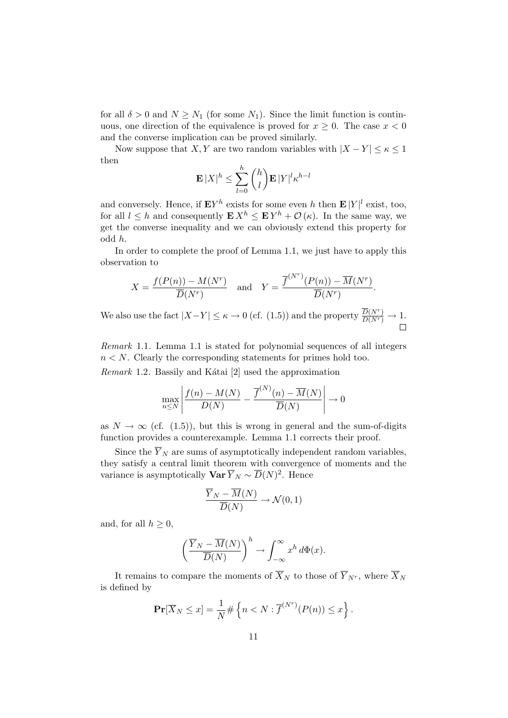for all  $\delta > 0$  and  $N \geq N_1$  (for some  $N_1$ ). Since the limit function is continuous, one direction of the equivalence is proved for  $x \geq 0$ . The case  $x < 0$ and the converse implication can be proved similarly.

Now suppose that X, Y are two random variables with  $|X - Y| \leq \kappa \leq 1$ then

$$
\mathbf{E}|X|^h \le \sum_{l=0}^h {h \choose l} \mathbf{E}|Y|^l \kappa^{h-l}
$$

and conversely. Hence, if  $\mathbf{E} Y^h$  exists for some even h then  $\mathbf{E} |Y|^l$  exist, too, for all  $l \leq h$  and consequently  $\mathbf{E} X^h \leq \mathbf{E} Y^h + \mathcal{O}(\kappa)$ . In the same way, we get the converse inequality and we can obviously extend this property for odd h.

In order to complete the proof of Lemma 1.1, we just have to apply this observation to

$$
X = \frac{f(P(n)) - M(N^r)}{\overline{D}(N^r)} \quad \text{and} \quad Y = \frac{\overline{f}^{(N^r)}(P(n)) - \overline{M}(N^r)}{\overline{D}(N^r)}.
$$

We also use the fact  $|X-Y| \leq \kappa \to 0$  (cf. (1.5)) and the property  $\frac{\overline{D}(N^r)}{D(N^r)} \to 1$ .

Remark 1.1. Lemma 1.1 is stated for polynomial sequences of all integers  $n < N$ . Clearly the corresponding statements for primes hold too.

Remark 1.2. Bassily and Kátai  $[2]$  used the approximation

$$
\max_{n \leq N} \left| \frac{f(n) - M(N)}{D(N)} - \frac{\overline{f}^{(N)}(n) - \overline{M}(N)}{\overline{D}(N)} \right| \to 0
$$

as  $N \to \infty$  (cf. (1.5)), but this is wrong in general and the sum-of-digits function provides a counterexample. Lemma 1.1 corrects their proof.

Since the  $\overline{Y}_N$  are sums of asymptotically independent random variables, they satisfy a central limit theorem with convergence of moments and the variance is asymptotically  $\mathbf{Var} \overline{Y}_N \sim \overline{D}(N)^2$ . Hence

$$
\frac{\overline{Y}_N - \overline{M}(N)}{\overline{D}(N)} \to \mathcal{N}(0, 1)
$$

and, for all  $h \geq 0$ ,

$$
\left(\frac{\overline{Y}_N - \overline{M}(N)}{\overline{D}(N)}\right)^h \to \int_{-\infty}^{\infty} x^h d\Phi(x).
$$

It remains to compare the moments of  $\overline{X}_N$  to those of  $\overline{Y}_{N^r}$ , where  $\overline{X}_N$ is defined by

$$
\mathbf{Pr}[\overline{X}_N \le x] = \frac{1}{N} \# \left\{ n < N : \overline{f}^{(N^r)}(P(n)) \le x \right\}.
$$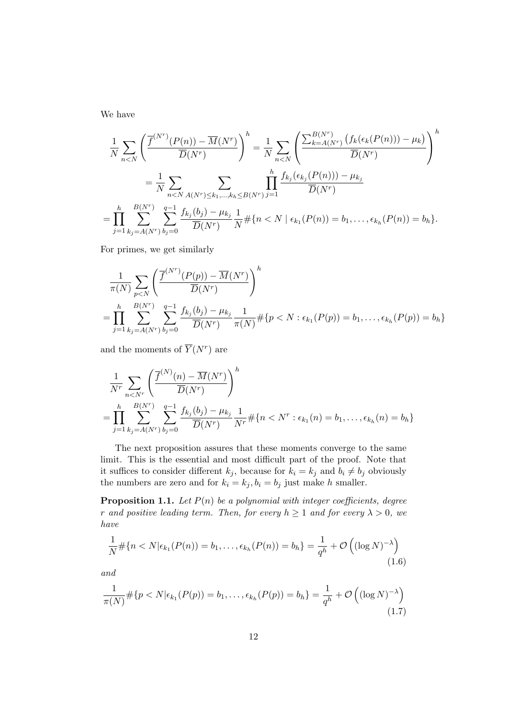We have

$$
\frac{1}{N} \sum_{n < N} \left( \frac{\overline{f}^{(N^r)}(P(n)) - \overline{M}(N^r)}{\overline{D}(N^r)} \right)^h = \frac{1}{N} \sum_{n < N} \left( \frac{\sum_{k=A(N^r)}^{B(N^r)} \left( f_k(\epsilon_k(P(n))) - \mu_k \right)}{\overline{D}(N^r)} \right)^h
$$
\n
$$
= \frac{1}{N} \sum_{n < N} \sum_{A(N^r) \le k_1, \dots, k_h \le B(N^r)} \prod_{j=1}^h \frac{f_{k_j}(\epsilon_{k_j}(P(n))) - \mu_{k_j}}{\overline{D}(N^r)}
$$
\n
$$
= \prod_{j=1}^h \sum_{k_j = A(N^r)}^{B(N^r)} \sum_{b_j=0}^{q-1} \frac{f_{k_j}(b_j) - \mu_{k_j}}{\overline{D}(N^r)} \frac{1}{N} \# \{ n < N \mid \epsilon_{k_1}(P(n)) = b_1, \dots, \epsilon_{k_h}(P(n)) = b_h \}.
$$

For primes, we get similarly

$$
\frac{1}{\pi(N)} \sum_{p\n
$$
= \prod_{j=1}^h \sum_{k_j=A(N^r)} \sum_{b_j=0}^{q-1} \frac{f_{k_j}(b_j) - \mu_{k_j}}{\overline{D}(N^r)} \frac{1}{\pi(N)} \# \{p < N : \epsilon_{k_1}(P(p)) = b_1, \dots, \epsilon_{k_h}(P(p)) = b_h\}
$$
$$

and the moments of  $\overline{Y}(N^r)$  are

$$
\frac{1}{N^{r}} \sum_{n < N^{r}} \left( \frac{\overline{f}^{(N)}(n) - \overline{M}(N^{r})}{\overline{D}(N^{r})} \right)^{h}
$$
\n
$$
= \prod_{j=1}^{h} \sum_{k_{j} = A(N^{r})}^{B(N^{r})} \sum_{b_{j} = 0}^{q-1} \frac{f_{k_{j}}(b_{j}) - \mu_{k_{j}}}{\overline{D}(N^{r})} \frac{1}{N^{r}} \# \{ n < N^{r} : \epsilon_{k_{1}}(n) = b_{1}, \dots, \epsilon_{k_{h}}(n) = b_{h} \}
$$

The next proposition assures that these moments converge to the same limit. This is the essential and most difficult part of the proof. Note that it suffices to consider different  $k_j$ , because for  $k_i = k_j$  and  $b_i \neq b_j$  obviously the numbers are zero and for  $k_i = k_j, b_i = b_j$  just make h smaller.

**Proposition 1.1.** Let  $P(n)$  be a polynomial with integer coefficients, degree r and positive leading term. Then, for every  $h \ge 1$  and for every  $\lambda > 0$ , we have

$$
\frac{1}{N} \# \{ n < N | \epsilon_{k_1}(P(n)) = b_1, \dots, \epsilon_{k_h}(P(n)) = b_h \} = \frac{1}{q^h} + \mathcal{O}\left( (\log N)^{-\lambda} \right) \tag{1.6}
$$

and

$$
\frac{1}{\pi(N)} \# \{ p < N | \epsilon_{k_1}(P(p)) = b_1, \dots, \epsilon_{k_h}(P(p)) = b_h \} = \frac{1}{q^h} + \mathcal{O}\left( (\log N)^{-\lambda} \right) \tag{1.7}
$$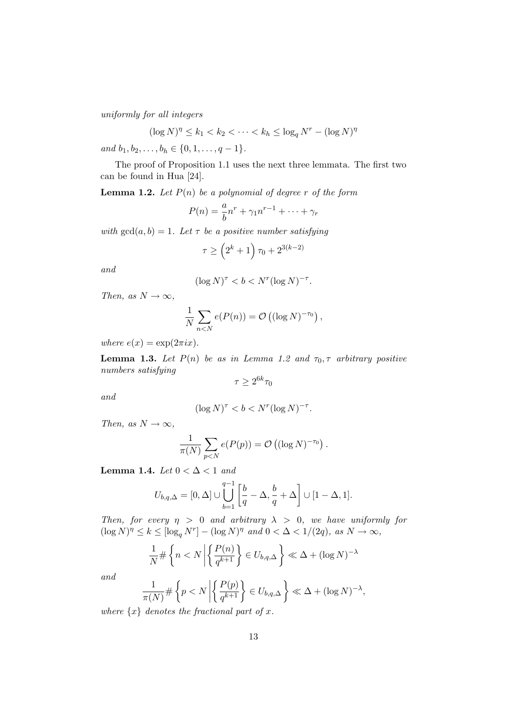uniformly for all integers

$$
(\log N)^{\eta} \le k_1 < k_2 < \cdots < k_h \le \log_q N^r - (\log N)^{\eta}
$$

and  $b_1, b_2, \ldots, b_h \in \{0, 1, \ldots, q-1\}.$ 

The proof of Proposition 1.1 uses the next three lemmata. The first two can be found in Hua [24].

**Lemma 1.2.** Let  $P(n)$  be a polynomial of degree r of the form

$$
P(n) = \frac{a}{b}n^r + \gamma_1 n^{r-1} + \dots + \gamma_r
$$

with  $gcd(a, b) = 1$ . Let  $\tau$  be a positive number satisfying

$$
\tau \ge \left(2^k + 1\right)\tau_0 + 2^{3(k-2)}
$$

and

$$
(\log N)^{\tau} < b < N^r (\log N)^{-\tau}.
$$

Then, as  $N \to \infty$ ,

$$
\frac{1}{N} \sum_{n < N} e(P(n)) = \mathcal{O}\left((\log N)^{-\tau_0}\right),
$$

where  $e(x) = \exp(2\pi i x)$ .

**Lemma 1.3.** Let  $P(n)$  be as in Lemma 1.2 and  $\tau_0$ ,  $\tau$  arbitrary positive numbers satisfying

$$
\tau \geq 2^{6k}\tau_0
$$

and

$$
(\log N)^\tau < b < N^r (\log N)^{-\tau}.
$$

Then, as  $N \to \infty$ ,

$$
\frac{1}{\pi(N)}\sum_{p
$$

Lemma 1.4. Let  $0 < \Delta < 1$  and

$$
U_{b,q,\Delta}=[0,\Delta]\cup\bigcup_{b=1}^{q-1}\left[\frac{b}{q}-\Delta,\frac{b}{q}+\Delta\right]\cup[1-\Delta,1].
$$

Then, for every  $\eta > 0$  and arbitrary  $\lambda > 0$ , we have uniformly for  $(\log N)^{\eta} \leq k \leq [\log_q N^r] - (\log N)^{\eta}$  and  $0 < \Delta < 1/(2q)$ , as  $N \to \infty$ ,

$$
\frac{1}{N} \# \left\{ n < N \left| \left\{ \frac{P(n)}{q^{k+1}} \right\} \in U_{b,q,\Delta} \right\} \ll \Delta + (\log N)^{-\lambda}
$$

and

$$
\frac{1}{\pi(N)} \# \left\{ p < N \left| \left\{ \frac{P(p)}{q^{k+1}} \right\} \in U_{b,q,\Delta} \right\} \ll \Delta + (\log N)^{-\lambda},
$$

where  $\{x\}$  denotes the fractional part of x.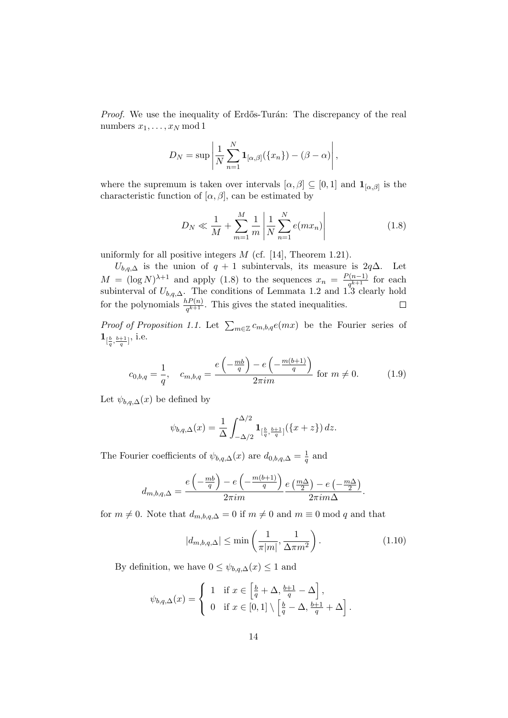*Proof.* We use the inequality of Erdős-Turán: The discrepancy of the real numbers  $x_1, \ldots, x_N \mod 1$ 

$$
D_N = \sup \left| \frac{1}{N} \sum_{n=1}^N \mathbf{1}_{[\alpha,\beta]}(\{x_n\}) - (\beta - \alpha) \right|,
$$

where the supremum is taken over intervals  $[\alpha, \beta] \subseteq [0,1]$  and  $\mathbf{1}_{[\alpha,\beta]}$  is the characteristic function of  $[\alpha, \beta]$ , can be estimated by

$$
D_N \ll \frac{1}{M} + \sum_{m=1}^{M} \frac{1}{m} \left| \frac{1}{N} \sum_{n=1}^{N} e(mx_n) \right| \tag{1.8}
$$

uniformly for all positive integers  $M$  (cf. [14], Theorem 1.21).

 $U_{b,q,\Delta}$  is the union of  $q + 1$  subintervals, its measure is 2 $q\Delta$ . Let  $M = (\log N)^{\lambda+1}$  and apply (1.8) to the sequences  $x_n = \frac{P(n-1)}{a^{k+1}}$  $\frac{(n-1)}{q^{k+1}}$  for each subinterval of  $U_{b,q,\Delta}$ . The conditions of Lemmata 1.2 and 1.3 clearly hold for the polynomials  $\frac{hP(n)}{q^{k+1}}$ . This gives the stated inequalities.

*Proof of Proposition 1.1.* Let  $\sum_{m\in\mathbb{Z}} c_{m,b,q}e(mx)$  be the Fourier series of  ${\bf 1}_{[\frac{b}{q},\frac{b+1}{q}]}, \text{ i.e.}$ 

$$
c_{0,b,q} = \frac{1}{q}, \quad c_{m,b,q} = \frac{e\left(-\frac{mb}{q}\right) - e\left(-\frac{m(b+1)}{q}\right)}{2\pi im} \text{ for } m \neq 0. \tag{1.9}
$$

Let  $\psi_{b,q,\Delta}(x)$  be defined by

$$
\psi_{b,q,\Delta}(x) = \frac{1}{\Delta} \int_{-\Delta/2}^{\Delta/2} \mathbf{1}_{[\frac{b}{q},\frac{b+1}{q}]} (\{x+z\}) \, dz.
$$

The Fourier coefficients of  $\psi_{b,q,\Delta}(x)$  are  $d_{0,b,q,\Delta} = \frac{1}{q}$  $\frac{1}{q}$  and

$$
d_{m,b,q,\Delta} = \frac{e\left(-\frac{mb}{q}\right) - e\left(-\frac{m(b+1)}{q}\right)}{2\pi im} \frac{e\left(\frac{m\Delta}{2}\right) - e\left(-\frac{m\Delta}{2}\right)}{2\pi im\Delta}.
$$

for  $m \neq 0$ . Note that  $d_{m,b,q,\Delta} = 0$  if  $m \neq 0$  and  $m \equiv 0 \mod q$  and that

$$
|d_{m,b,q,\Delta}| \le \min\left(\frac{1}{\pi|m|}, \frac{1}{\Delta \pi m^2}\right). \tag{1.10}
$$

.

By definition, we have  $0 \leq \psi_{b,q,\Delta}(x) \leq 1$  and

$$
\psi_{b,q,\Delta}(x) = \begin{cases} 1 & \text{if } x \in \left[\frac{b}{q} + \Delta, \frac{b+1}{q} - \Delta\right], \\ 0 & \text{if } x \in [0,1] \setminus \left[\frac{b}{q} - \Delta, \frac{b+1}{q} + \Delta\right] \end{cases}
$$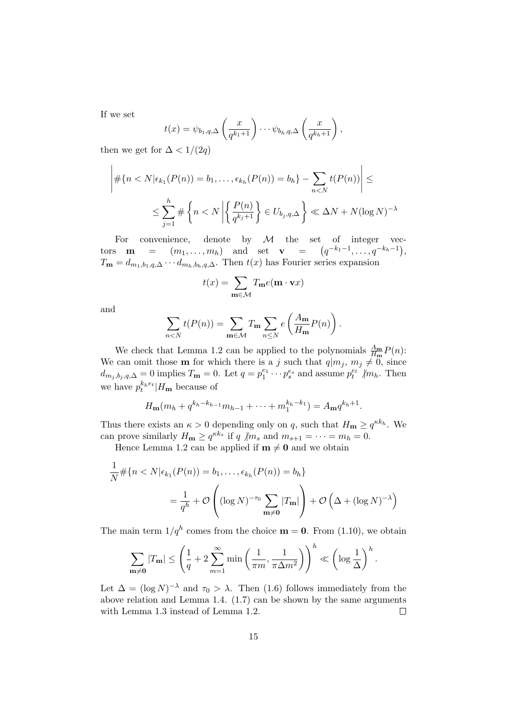If we set

$$
t(x) = \psi_{b_1, q, \Delta} \left( \frac{x}{q^{k_1+1}} \right) \cdots \psi_{b_h, q, \Delta} \left( \frac{x}{q^{k_h+1}} \right),
$$

then we get for  $\Delta < 1/(2q)$ 

$$
\left| \# \{ n < N | \epsilon_{k_1}(P(n)) = b_1, \dots, \epsilon_{k_h}(P(n)) = b_h \} - \sum_{n < N} t(P(n)) \right| \le
$$
\n
$$
\le \sum_{j=1}^h \# \left\{ n < N \left| \left\{ \frac{P(n)}{q^{k_j+1}} \right\} \in U_{b_j, q, \Delta} \right\} \ll \Delta N + N (\log N)^{-\lambda}
$$

For convenience, denote by  $M$  the set of integer vectors **m** =  $(m_1, ..., m_h)$  and set **v** =  $(q^{-k_1-1}, ..., q^{-k_h-1}),$  $T_{\mathbf{m}} = d_{m_1, b_1, q, \Delta} \cdots d_{m_h, b_h, q, \Delta}$ . Then  $t(x)$  has Fourier series expansion

$$
t(x) = \sum_{\mathbf{m} \in \mathcal{M}} T_{\mathbf{m}} e(\mathbf{m} \cdot \mathbf{v} x)
$$

and

$$
\sum_{n
$$

We check that Lemma 1.2 can be applied to the polynomials  $\frac{A_m}{H_m}P(n)$ : We can omit those **m** for which there is a j such that  $q|m_j, m_j \neq 0$ , since  $d_{m_j,b_j,q,\Delta}=0$  implies  $T_{\mathbf{m}}=0$ . Let  $q=p_1^{e_1}\cdots p_s^{e_s}$  and assume  $p_t^{e_t}$  /m<sub>h</sub>. Then we have  $p_t^{k_h e_t}$   $|H_{\mathbf{m}}$  because of

$$
H_{\mathbf{m}}(m_h + q^{k_h - k_{h-1}}m_{h-1} + \cdots + m_1^{k_h - k_1}) = A_{\mathbf{m}}q^{k_h + 1}.
$$

Thus there exists an  $\kappa > 0$  depending only on q, such that  $H_{\mathbf{m}} \geq q^{\kappa k_h}$ . We can prove similarly  $H_{\mathbf{m}} \ge q^{\kappa k_s}$  if q  $/m_s$  and  $m_{s+1} = \cdots = m_h = 0$ .

Hence Lemma 1.2 can be applied if  $m \neq 0$  and we obtain

$$
\frac{1}{N} \# \{ n < N | \epsilon_{k_1}(P(n)) = b_1, \dots, \epsilon_{k_h}(P(n)) = b_h \}
$$
\n
$$
= \frac{1}{q^h} + \mathcal{O}\left( (\log N)^{-\tau_0} \sum_{\mathbf{m} \neq \mathbf{0}} |T_{\mathbf{m}}| \right) + \mathcal{O}\left( \Delta + (\log N)^{-\lambda} \right)
$$

The main term  $1/q^h$  comes from the choice  $\mathbf{m} = \mathbf{0}$ . From (1.10), we obtain

$$
\sum_{\mathbf{m}\neq\mathbf{0}}|T_{\mathbf{m}}|\leq\left(\frac{1}{q}+2\sum_{m=1}^{\infty}\min\left(\frac{1}{\pi m},\frac{1}{\pi\Delta m^2}\right)\right)^h\ll\left(\log\frac{1}{\Delta}\right)^h.
$$

Let  $\Delta = (\log N)^{-\lambda}$  and  $\tau_0 > \lambda$ . Then (1.6) follows immediately from the above relation and Lemma 1.4. (1.7) can be shown by the same arguments with Lemma 1.3 instead of Lemma 1.2.  $\Box$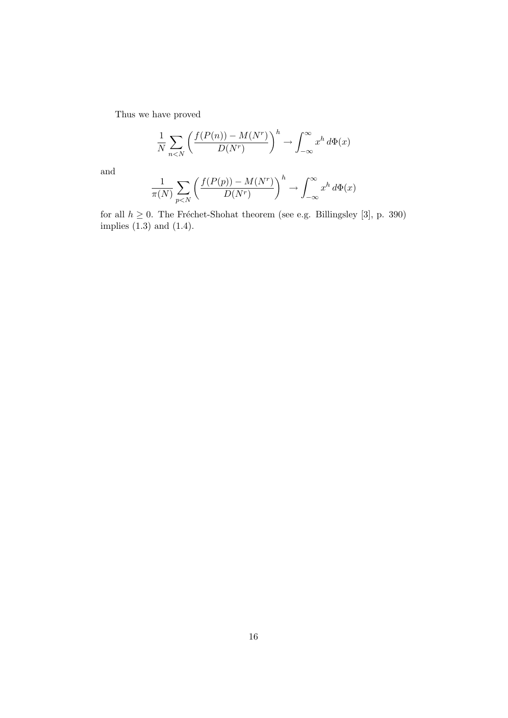Thus we have proved

$$
\frac{1}{N} \sum_{n < N} \left( \frac{f(P(n)) - M(N^r)}{D(N^r)} \right)^h \to \int_{-\infty}^{\infty} x^h \, d\Phi(x)
$$

and

$$
\frac{1}{\pi(N)} \sum_{p
$$

for all  $h \geq 0$ . The Fréchet-Shohat theorem (see e.g. Billingsley [3], p. 390) implies (1.3) and (1.4).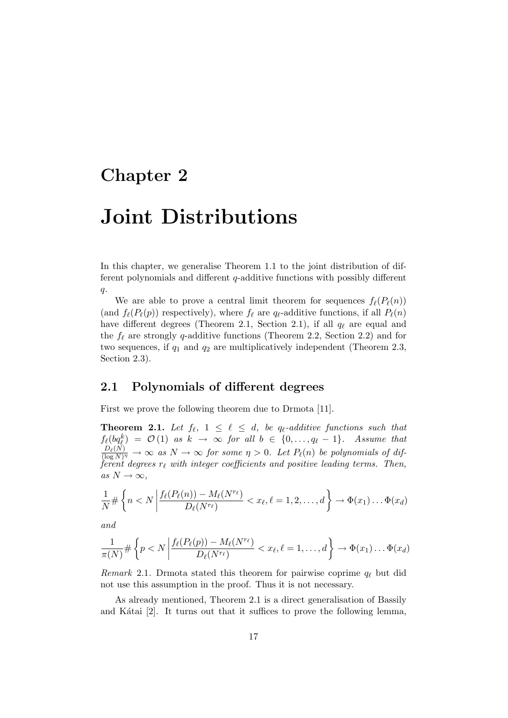## Chapter 2

# Joint Distributions

In this chapter, we generalise Theorem 1.1 to the joint distribution of different polynomials and different  $q$ -additive functions with possibly different  $q$ .

We are able to prove a central limit theorem for sequences  $f_{\ell}(P_{\ell}(n))$ (and  $f_{\ell}(P_{\ell}(p))$  respectively), where  $f_{\ell}$  are  $q_{\ell}$ -additive functions, if all  $P_{\ell}(n)$ have different degrees (Theorem 2.1, Section 2.1), if all  $q_\ell$  are equal and the  $f_\ell$  are strongly q-additive functions (Theorem 2.2, Section 2.2) and for two sequences, if  $q_1$  and  $q_2$  are multiplicatively independent (Theorem 2.3, Section 2.3).

## 2.1 Polynomials of different degrees

First we prove the following theorem due to Drmota [11].

**Theorem 2.1.** Let  $f_\ell$ ,  $1 \leq \ell \leq d$ , be q<sub> $\ell$ </sub>-additive functions such that  $f_{\ell}(bq_{\ell}^k) = \mathcal{O}(1)$  as  $k \to \infty$  for all  $b \in \{0, \ldots, q_{\ell} - 1\}$ . Assume that  $D_{\ell}(N)$  $\frac{D_{\ell}(N)}{(\log N)^{\eta}} \to \infty$  as  $N \to \infty$  for some  $\eta > 0$ . Let  $P_{\ell}(n)$  be polynomials of different degrees  $r_\ell$  with integer coefficients and positive leading terms. Then, as  $N \to \infty$ ,

$$
\frac{1}{N} \# \left\{ n < N \left| \frac{f_{\ell}(P_{\ell}(n)) - M_{\ell}(N^{r_{\ell}})}{D_{\ell}(N^{r_{\ell}})} \right| < x_{\ell}, \ell = 1, 2, \dots, d \right\} \to \Phi(x_1) \dots \Phi(x_d)
$$

and

$$
\frac{1}{\pi(N)} \# \left\{ p < N \left| \frac{f_{\ell}(P_{\ell}(p)) - M_{\ell}(N^{r_{\ell}})}{D_{\ell}(N^{r_{\ell}})} < x_{\ell}, \ell = 1, \ldots, d \right. \right\} \to \Phi(x_1) \ldots \Phi(x_d)
$$

Remark 2.1. Drmota stated this theorem for pairwise coprime  $q_\ell$  but did not use this assumption in the proof. Thus it is not necessary.

As already mentioned, Theorem 2.1 is a direct generalisation of Bassily and Kátai  $[2]$ . It turns out that it suffices to prove the following lemma,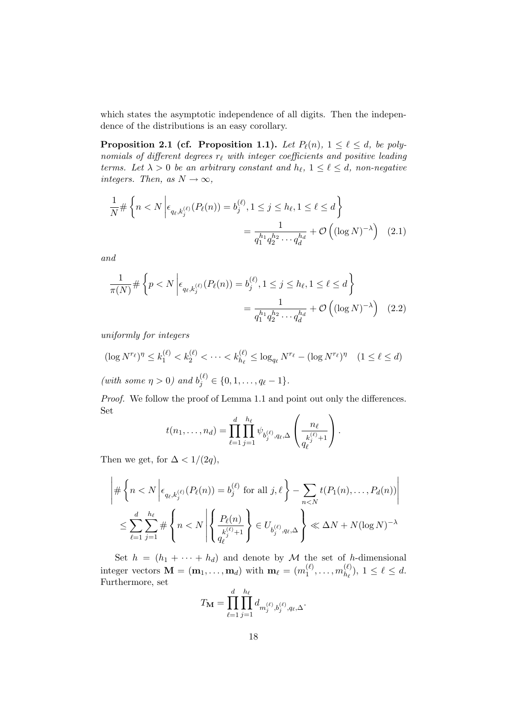which states the asymptotic independence of all digits. Then the independence of the distributions is an easy corollary.

**Proposition 2.1 (cf. Proposition 1.1).** Let  $P_{\ell}(n)$ ,  $1 \leq \ell \leq d$ , be polynomials of different degrees  $r_\ell$  with integer coefficients and positive leading terms. Let  $\lambda > 0$  be an arbitrary constant and  $h_{\ell}$ ,  $1 \leq \ell \leq d$ , non-negative integers. Then, as  $N \to \infty$ ,

$$
\frac{1}{N} \# \left\{ n < N \left| \epsilon_{q_\ell, k_j^{(\ell)}}(P_\ell(n)) = b_j^{(\ell)}, 1 \le j \le h_\ell, 1 \le \ell \le d \right. \right\}
$$
\n
$$
= \frac{1}{q_1^{h_1} q_2^{h_2} \cdots q_d^{h_d}} + \mathcal{O}\left( (\log N)^{-\lambda} \right) \tag{2.1}
$$

and

$$
\frac{1}{\pi(N)} \# \left\{ p < N \left| \epsilon_{q_\ell, k_j^{(\ell)}}(P_\ell(n)) = b_j^{(\ell)}, 1 \le j \le h_\ell, 1 \le \ell \le d \right. \right\}
$$
\n
$$
= \frac{1}{q_1^{h_1} q_2^{h_2} \cdots q_d^{h_d}} + \mathcal{O}\left( (\log N)^{-\lambda} \right) \tag{2.2}
$$

uniformly for integers

$$
(\log N^{r_{\ell}})^{\eta} \le k_1^{(\ell)} < k_2^{(\ell)} < \dots < k_{h_{\ell}}^{(\ell)} \le \log_{q_{\ell}} N^{r_{\ell}} - (\log N^{r_{\ell}})^{\eta} \quad (1 \le \ell \le d)
$$
\n
$$
(\text{with some } n > 0) \text{ and } b^{(\ell)} \in \{0, 1, \dots, n-1\}
$$

(with some  $\eta > 0$ ) and  $b_j^{(\ell)} \in \{0, 1, ..., q_\ell - 1\}.$ 

Proof. We follow the proof of Lemma 1.1 and point out only the differences. Set  $\overline{1}$ 

$$
t(n_1, ..., n_d) = \prod_{\ell=1}^d \prod_{j=1}^{h_\ell} \psi_{b_j^{(\ell)}, q_\ell, \Delta} \left( \frac{n_\ell}{q_\ell^{k_j^{(\ell)}+1}} \right).
$$

Then we get, for  $\Delta < 1/(2q)$ ,

$$
\left| \#\left\{n < N \left| \epsilon_{q_\ell, k_j^{(\ell)}}(P_\ell(n)) = b_j^{(\ell)} \text{ for all } j, \ell \right.\right\} - \sum_{n < N} t(P_1(n), \dots, P_d(n)) \right|
$$
\n
$$
\leq \sum_{\ell=1}^d \sum_{j=1}^{h_\ell} \#\left\{n < N \left| \left\{\frac{P_\ell(n)}{k_j^{(\ell)} + 1} \right\} \in U_{b_j^{(\ell)}, q_\ell, \Delta} \right\} \ll \Delta N + N(\log N)^{-\lambda}
$$

Set  $h = (h_1 + \cdots + h_d)$  and denote by M the set of h-dimensional integer vectors  $\mathbf{M} = (\mathbf{m}_1, \dots, \mathbf{m}_d)$  with  $\mathbf{m}_{\ell} = (m_1^{(\ell)})$  $\binom{\ell}{1},\ldots,m_{h_\ell}^{(\ell)}$  $\binom{\ell}{h_{\ell}}$ ,  $1 \leq \ell \leq d$ . Furthermore, set

$$
T_{\mathbf{M}} = \prod_{\ell=1}^{d} \prod_{j=1}^{h_{\ell}} d_{m_{j}^{(\ell)}, b_{j}^{(\ell)}, q_{\ell}, \Delta}.
$$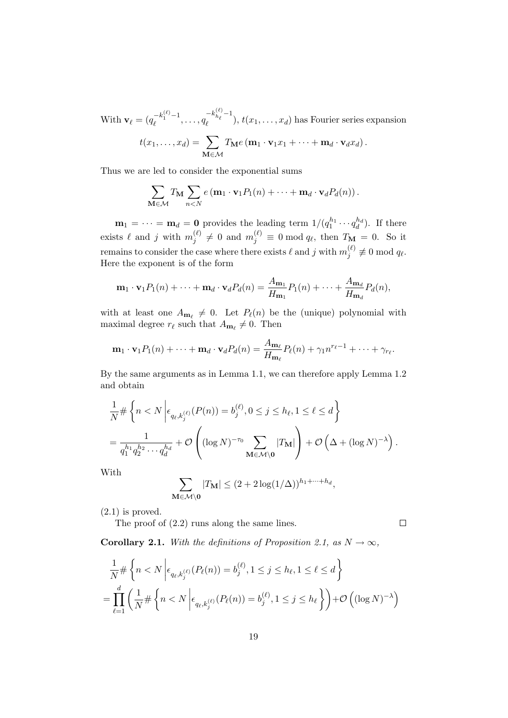With  $\mathbf{v}_{\ell} = (q_{\ell}^{-k_1^{(\ell)}-1}, \ldots, q_{\ell})$  $-k_{h_\ell}^{(\ell)}-1$  $t_{\ell}^{n_{\ell}}$ ,  $t(x_1, \ldots, x_d)$  has Fourier series expansion

$$
t(x_1,\ldots,x_d)=\sum_{\mathbf{M}\in\mathcal{M}}T_{\mathbf{M}}e(\mathbf{m}_1\cdot\mathbf{v}_1x_1+\cdots+\mathbf{m}_d\cdot\mathbf{v}_dx_d).
$$

Thus we are led to consider the exponential sums

$$
\sum_{\mathbf{M}\in\mathcal{M}}T_{\mathbf{M}}\sum_{n
$$

 $\mathbf{m}_1 = \cdots = \mathbf{m}_d = \mathbf{0}$  provides the leading term  $1/(q_1^{h_1} \cdots q_d^{h_d})$ . If there exists  $\ell$  and j with  $m_i^{(\ell)}$  $j^{(\ell)} \neq 0$  and  $m_j^{(\ell)} \equiv 0 \mod q_\ell$ , then  $T_{\mathbf{M}} = 0$ . So it remains to consider the case where there exists  $\ell$  and j with  $m_i^{(\ell)}$  $j^{(\ell)}_j \not\equiv 0 \bmod q_\ell.$ Here the exponent is of the form

$$
\mathbf{m}_1 \cdot \mathbf{v}_1 P_1(n) + \dots + \mathbf{m}_d \cdot \mathbf{v}_d P_d(n) = \frac{A_{\mathbf{m}_1}}{H_{\mathbf{m}_1}} P_1(n) + \dots + \frac{A_{\mathbf{m}_d}}{H_{\mathbf{m}_d}} P_d(n),
$$

with at least one  $A_{m_\ell} \neq 0$ . Let  $P_\ell(n)$  be the (unique) polynomial with maximal degree  $r_\ell$  such that  $A_{\mathbf{m}_\ell} \neq 0$ . Then

$$
\mathbf{m}_1 \cdot \mathbf{v}_1 P_1(n) + \cdots + \mathbf{m}_d \cdot \mathbf{v}_d P_d(n) = \frac{A_{\mathbf{m}_\ell}}{H_{\mathbf{m}_\ell}} P_\ell(n) + \gamma_1 n^{r_\ell - 1} + \cdots + \gamma_{r_\ell}.
$$

By the same arguments as in Lemma 1.1, we can therefore apply Lemma 1.2 and obtain

$$
\frac{1}{N} \# \left\{ n < N \left| \epsilon_{q_\ell, k_j^{(\ell)}}(P(n)) = b_j^{(\ell)}, 0 \le j \le h_\ell, 1 \le \ell \le d \right. \right\}
$$
\n
$$
= \frac{1}{q_1^{h_1} q_2^{h_2} \cdots q_d^{h_d}} + \mathcal{O}\left( (\log N)^{-\tau_0} \sum_{\mathbf{M} \in \mathcal{M} \setminus \mathbf{0}} |T_{\mathbf{M}}| \right) + \mathcal{O}\left(\Delta + (\log N)^{-\lambda}\right).
$$

With

$$
\sum_{\mathbf{M}\in\mathcal{M}\setminus\mathbf{0}}|T_{\mathbf{M}}|\leq (2+2\log(1/\Delta))^{h_1+\cdots+h_d},
$$

 $(2.1)$  is proved.

The proof of (2.2) runs along the same lines.

 $\Box$ 

**Corollary 2.1.** With the definitions of Proposition 2.1, as  $N \to \infty$ ,

$$
\frac{1}{N} \# \left\{ n < N \left| \epsilon_{q_\ell, k_j^{(\ell)}}(P_\ell(n)) = b_j^{(\ell)}, 1 \le j \le h_\ell, 1 \le \ell \le d \right. \right\}
$$
\n
$$
= \prod_{\ell=1}^d \left( \frac{1}{N} \# \left\{ n < N \left| \epsilon_{q_\ell, k_j^{(\ell)}}(P_\ell(n)) = b_j^{(\ell)}, 1 \le j \le h_\ell \right. \right\} \right) + \mathcal{O}\left( (\log N)^{-\lambda} \right)
$$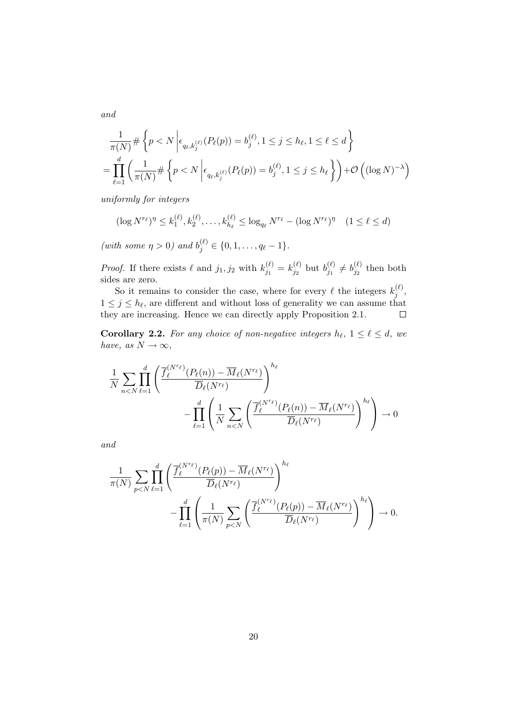$$
\frac{1}{\pi(N)} \# \left\{ p < N \left| \epsilon_{q_\ell, k_j^{(\ell)}}(P_\ell(p)) = b_j^{(\ell)}, 1 \le j \le h_\ell, 1 \le \ell \le d \right. \right\}
$$
\n
$$
= \prod_{\ell=1}^d \left( \frac{1}{\pi(N)} \# \left\{ p < N \left| \epsilon_{q_\ell, k_j^{(\ell)}}(P_\ell(p)) = b_j^{(\ell)}, 1 \le j \le h_\ell \right. \right\} \right) + \mathcal{O}\left( (\log N)^{-\lambda} \right)
$$

uniformly for integers

$$
(\log N^{r_{\ell}})^{\eta} \le k_1^{(\ell)}, k_2^{(\ell)}, \dots, k_{h_{\ell}}^{(\ell)} \le \log_{q_{\ell}} N^{r_{\ell}} - (\log N^{r_{\ell}})^{\eta} \quad (1 \le \ell \le d)
$$

(with some  $\eta > 0$ ) and  $b_j^{(\ell)} \in \{0, 1, ..., q_\ell - 1\}.$ 

*Proof.* If there exists  $\ell$  and  $j_1, j_2$  with  $k_{j_1}^{(\ell)}$  $j_1^{(\ell)}=k_{j_2}^{(\ell)}$  $\bar{b}^{(\ell)}_{j_2}$  but  $b^{(\ell)}_{j_1}$  $b_{j_1}^{(\ell)} \neq b_{j_2}^{(\ell)}$  $y_2^{(\ell)}$  then both sides are zero.

So it remains to consider the case, where for every  $\ell$  the integers  $k_i^{(\ell)}$  $j^{(t)},$  $1 \leq j \leq h_{\ell}$ , are different and without loss of generality we can assume that they are increasing. Hence we can directly apply Proposition 2.1.  $\Box$ 

**Corollary 2.2.** For any choice of non-negative integers  $h_{\ell}$ ,  $1 \leq \ell \leq d$ , we have, as  $N \to \infty$ ,

$$
\frac{1}{N} \sum_{n < N} \prod_{\ell=1}^d \left( \frac{\overline{f}_{\ell}^{(N^{r_{\ell}})}(P_{\ell}(n)) - \overline{M}_{\ell}(N^{r_{\ell}})}{\overline{D}_{\ell}(N^{r_{\ell}})} \right)^{h_{\ell}} - \prod_{\ell=1}^d \left( \frac{1}{N} \sum_{n < N} \left( \frac{\overline{f}_{\ell}^{(N^{r_{\ell}})}(P_{\ell}(n)) - \overline{M}_{\ell}(N^{r_{\ell}})}{\overline{D}_{\ell}(N^{r_{\ell}})} \right)^{h_{\ell}} \right) \to 0
$$

and

$$
\frac{1}{\pi(N)} \sum_{p
$$

and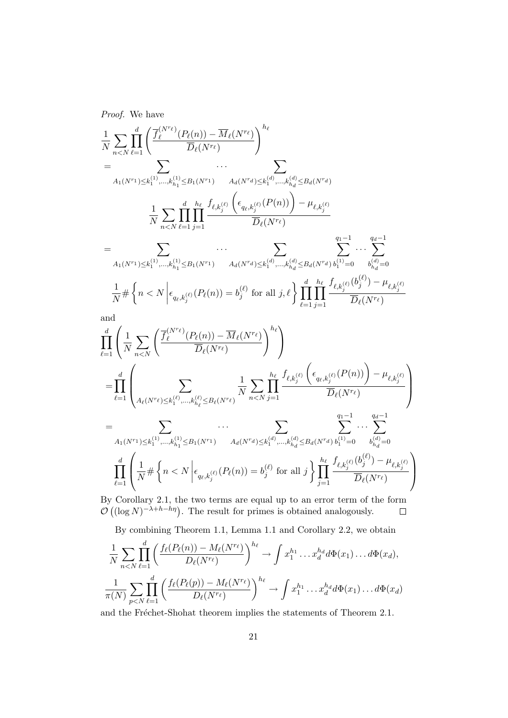Proof. We have

$$
\begin{split} &\frac{1}{N} \sum_{n < N} \prod_{\ell=1}^d \left( \frac{\overline{f}_{\ell}^{(N^{r_{\ell}})}(P_{\ell}(n)) - \overline{M}_{\ell}(N^{r_{\ell}})}{\overline{D}_{\ell}(N^{r_{\ell}})} \right)^{h_{\ell}} \\ &= \\ &\frac{1}{A_{1}(N^{r_{1}}) \leq k_{1}^{(1)}, \ldots, k_{h_{1}}^{(1)} \leq B_{1}(N^{r_{1}})} \quad A_{d}(N^{r_{d}}) \leq k_{1}^{(d)}, \ldots, k_{h_{d}}^{(d)} \leq B_{d}(N^{r_{d}})} \\ &\frac{1}{N} \sum_{n < N} \prod_{\ell=1}^d \prod_{j=1}^d \sum_{j=1}^{\ell} \frac{\ell_{\ell, k_{j}^{(\ell)}} \left( \epsilon_{q_{\ell, k_{j}^{(\ell)}}(P(n))} \right) - \mu_{\ell, k_{j}^{(\ell)}}}{\overline{D}_{\ell}(N^{r_{\ell}})} \\ &= \\ &\frac{1}{A_{1}(N^{r_{1}}) \leq k_{1}^{(1)}, \ldots, k_{h_{1}}^{(1)} \leq B_{1}(N^{r_{1}})} \quad A_{d}(N^{r_{d}}) \leq k_{1}^{(d)}, \ldots, k_{h_{d}}^{(d)} \leq B_{d}(N^{r_{d}}) b_{1}^{(1)} = 0} \quad b_{h_{d}^{(d)} = 0}^{(d)-1} \\ &\frac{1}{N} \# \left\{ n < N \left| \epsilon_{q_{\ell}, k_{j}^{(\ell)}}(P_{\ell}(n)) = b_{j}^{(\ell)} \text{ for all } j, \ell \right\} \prod_{\ell=1}^d \prod_{j=1}^d \frac{\ell_{\ell, k_{j}^{(\ell)}}(b_{j}^{(\ell)}) - \mu_{\ell, k_{j}^{(\ell)}}}{\overline{D}_{\ell}(N^{r_{\ell}})} \\ &\text{and} \\ &\prod_{\ell=1}^d \left( \frac{1}{N} \sum_{n < N} \left( \frac{\overline{f}_{\ell}^{(N^{r_{\ell}})}(P_{\ell}(n)) - \overline{M}_{\ell}(N^{r_{\ell}})}{\overline{D}_{\ell}(N^{r_{\ell}})} \right)^{h_{\ell}} \right\} \\ &= \\ &\sum_{\ell=1}^d \
$$

By Corollary 2.1, the two terms are equal up to an error term of the form  $\mathcal{O}\left((\log N)^{-\lambda+h-h\eta}\right)$ . The result for primes is obtained analogously.

By combining Theorem 1.1, Lemma 1.1 and Corollary 2.2, we obtain

$$
\frac{1}{N} \sum_{n < N} \prod_{\ell=1}^d \left( \frac{f_\ell(P_\ell(n)) - M_\ell(N^{r_\ell})}{D_\ell(N^{r_\ell})} \right)^{h_\ell} \to \int x_1^{h_1} \dots x_d^{h_d} d\Phi(x_1) \dots d\Phi(x_d),
$$
\n
$$
\frac{1}{\pi(N)} \sum_{p < N} \prod_{\ell=1}^d \left( \frac{f_\ell(P_\ell(p)) - M_\ell(N^{r_\ell})}{D_\ell(N^{r_\ell})} \right)^{h_\ell} \to \int x_1^{h_1} \dots x_d^{h_d} d\Phi(x_1) \dots d\Phi(x_d)
$$

and the Fréchet-Shohat theorem implies the statements of Theorem 2.1.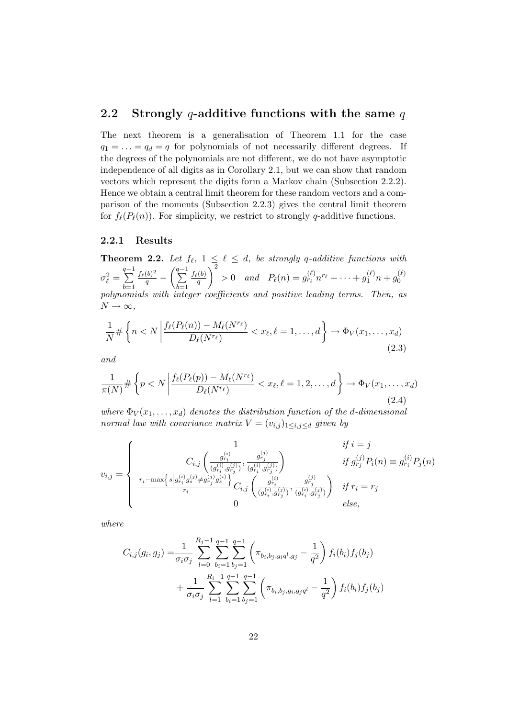### 2.2 Strongly q-additive functions with the same  $q$

The next theorem is a generalisation of Theorem 1.1 for the case  $q_1 = \ldots = q_d = q$  for polynomials of not necessarily different degrees. If the degrees of the polynomials are not different, we do not have asymptotic independence of all digits as in Corollary 2.1, but we can show that random vectors which represent the digits form a Markov chain (Subsection 2.2.2). Hence we obtain a central limit theorem for these random vectors and a comparison of the moments (Subsection 2.2.3) gives the central limit theorem for  $f_{\ell}(P_{\ell}(n))$ . For simplicity, we restrict to strongly q-additive functions.

### 2.2.1 Results

**Theorem 2.2.** Let  $f_{\ell}$ ,  $1 \leq \ell \leq d$ , be strongly q-additive functions with  $\sigma_{\ell}^2 =$  $\sum^{q-1}$  $_{b=1}$  $\frac{f_{\ell}(b)^2}{q} - \left(\sum_{n=1}^{q-1} \right)$  $_{b=1}$  $f_{\ell}(b)$ q  $\setminus^2$  $> 0$  and  $P_{\ell}(n) = g_{r_{\ell}}^{(\ell)} n^{r_{\ell}} + \cdots + g_1^{(\ell)} n + g_0^{(\ell)}$  $\overline{0}$ polynomials with integer coefficients and positive leading terms. Then, as  $N \to \infty$ ,

$$
\frac{1}{N} \# \left\{ n < N \left| \frac{f_{\ell}(P_{\ell}(n)) - M_{\ell}(N^{r_{\ell}})}{D_{\ell}(N^{r_{\ell}})} < x_{\ell}, \ell = 1, \ldots, d \right\} \to \Phi_V(x_1, \ldots, x_d) \right\} \tag{2.3}
$$

and

$$
\frac{1}{\pi(N)} \# \left\{ p < N \left| \frac{f_{\ell}(P_{\ell}(p)) - M_{\ell}(N^{r_{\ell}})}{D_{\ell}(N^{r_{\ell}})} < x_{\ell}, \ell = 1, 2, \dots, d \right. \right\} \to \Phi_V(x_1, \dots, x_d) \tag{2.4}
$$

where  $\Phi_V(x_1,\ldots,x_d)$  denotes the distribution function of the d-dimensional normal law with covariance matrix  $V = (v_{i,j})_{1 \leq i,j \leq d}$  given by

$$
v_{i,j} = \begin{cases} \n1 & if \ i = j \\
C_{i,j} \left( \frac{g_{r_i}^{(i)}}{(g_{r_i}^{(i)}, g_{r_j}^{(j)})}, \frac{g_{r_j}^{(j)}}{(g_{r_i}^{(i)}, g_{r_j}^{(j)})} \right) & if \ g_{r_j}^{(j)} P_i(n) \equiv g_{r_i}^{(i)} P_j(n) \\
\frac{r_i - \max\{s \mid g_{r_i}^{(i)} g_{s}^{(j)} \neq g_{r_j}^{(j)} g_{s}^{(i)}\}}{r_i} C_{i,j} \left( \frac{g_{r_i}^{(i)}}{(g_{r_i}^{(i)}, g_{r_j}^{(j)})}, \frac{g_{r_j}^{(j)}}{(g_{r_i}^{(i)}, g_{r_j}^{(j)})} \right) & if \ r_i = r_j \\
0 & else,\n\end{cases}
$$

where

$$
C_{i,j}(g_i, g_j) = \frac{1}{\sigma_i \sigma_j} \sum_{l=0}^{R_j - 1} \sum_{b_i=1}^{q-1} \sum_{b_j=1}^{q-1} \left( \pi_{b_i, b_j, g_i q^l, g_j} - \frac{1}{q^2} \right) f_i(b_i) f_j(b_j)
$$
  
+ 
$$
\frac{1}{\sigma_i \sigma_j} \sum_{l=1}^{R_i - 1} \sum_{b_i=1}^{q-1} \sum_{b_j=1}^{q-1} \left( \pi_{b_i, b_j, g_i, g_j q^l} - \frac{1}{q^2} \right) f_i(b_i) f_j(b_j)
$$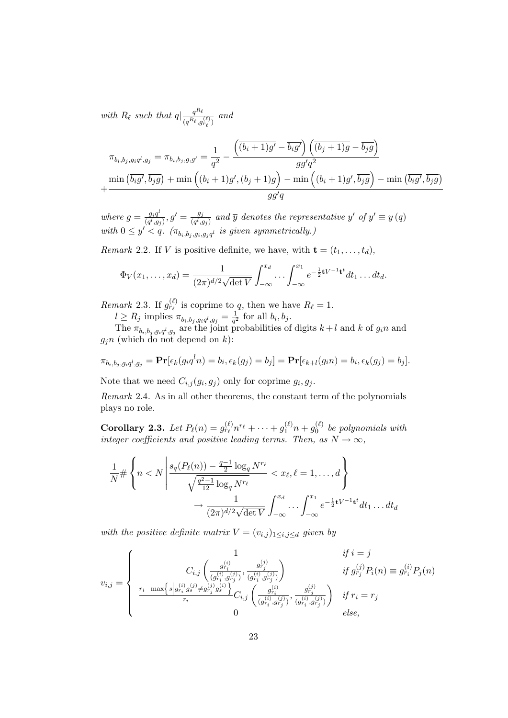with  $R_\ell$  such that  $q|\frac{q^{R_\ell}}{R_\ell}$  $\frac{q^{i\ell}}{(q^{R_\ell},g^{(\ell)}_{r_\ell})}$  and

$$
\pi_{b_i, b_j, g_i q^l, g_j} = \pi_{b_i, b_j, g, g'} = \frac{1}{q^2} - \frac{\left( \overline{(b_i + 1)g'} - \overline{b_i g'} \right) \left( \overline{(b_j + 1)g} - \overline{b_j g} \right)}{gg' q^2}
$$

$$
+ \frac{\min \left( \overline{b_i g'}, \overline{b_j g} \right) + \min \left( \overline{(b_i + 1)g'}, \overline{(b_j + 1)g} \right) - \min \left( \overline{(b_i + 1)g'}, \overline{b_j g} \right) - \min \left( \overline{b_i g'}, \overline{b_j g} \right)}{gg' q}
$$

where  $g = \frac{g_i q^l}{\left(\frac{d}{d}\right)g}$  $\frac{g_i q^l}{(q^l,g_j)}, g' = \frac{g_j}{(q^l,g_j)}$  $\frac{g_j}{(q^l,g_j)}$  and  $\overline{y}$  denotes the representative y' of  $y' \equiv y(q)$ with  $0 \leq y' \leq q$ .  $(\pi_{b_i,b_j,g_i,g_jq_l}$  is given symmetrically.)

Remark 2.2. If V is positive definite, we have, with  $\mathbf{t} = (t_1, \ldots, t_d)$ ,

$$
\Phi_V(x_1,\ldots,x_d) = \frac{1}{(2\pi)^{d/2}\sqrt{\det V}} \int_{-\infty}^{x_d} \cdots \int_{-\infty}^{x_1} e^{-\frac{1}{2}tV^{-1}t^t} dt_1 \ldots dt_d.
$$

Remark 2.3. If  $g_{r_\ell}^{(\ell)}$  is coprime to q, then we have  $R_\ell = 1$ .

 $l \geq R_j$  implies  $\pi_{b_i,b_j,g_iq^l,g_j} = \frac{1}{q^2}$  $\frac{1}{q^2}$  for all  $b_i, b_j$ .

The  $\pi_{b_i, b_j, g_i q^l, g_j}$  are the joint probabilities of digits  $k+l$  and k of  $g_i n$  and  $g_j n$  (which do not depend on k):

$$
\pi_{b_i,b_j,g_iq^l,g_j} = \mathbf{Pr}[\epsilon_k(g_iq^ln) = b_i, \epsilon_k(g_j) = b_j] = \mathbf{Pr}[\epsilon_{k+l}(g_in) = b_i, \epsilon_k(g_j) = b_j].
$$

Note that we need  $C_{i,j}(g_i, g_j)$  only for coprime  $g_i, g_j$ .

Remark 2.4. As in all other theorems, the constant term of the polynomials plays no role.

Corollary 2.3. Let  $P_{\ell}(n) = g_{r_{\ell}}^{(\ell)} n^{r_{\ell}} + \cdots + g_1^{(\ell)} n + g_0^{(\ell)}$  $\int_0^{(\ell)}$  be polynomials with integer coefficients and positive leading terms. Then, as  $N \to \infty$ ,

$$
\frac{1}{N} \# \left\{ n < N \left| \frac{s_q(P_\ell(n)) - \frac{q-1}{2} \log_q N^{r_\ell}}{\sqrt{\frac{q^2-1}{12} \log_q N^{r_\ell}}} < x_\ell, \ell = 1, \dots, d \right\} \right\}
$$
\n
$$
\to \frac{1}{(2\pi)^{d/2} \sqrt{\det V}} \int_{-\infty}^{x_d} \dots \int_{-\infty}^{x_1} e^{-\frac{1}{2}t V^{-1} t^t} dt_1 \dots dt_d
$$

with the positive definite matrix  $V = (v_{i,j})_{1 \leq i,j \leq d}$  given by

$$
v_{i,j} = \left\{ \begin{array}{cc} 1 & \text{if } i = j \\ C_{i,j} \left( \frac{g_{r_i}^{(i)}}{(g_{r_i}^{(i)}, g_{r_j}^{(j)})}, \frac{g_{r_j}^{(j)}}{(g_{r_i}^{(i)}, g_{r_j}^{(j)})} \right) & \text{if } g_{r_j}^{(j)} P_i(n) \equiv g_{r_i}^{(i)} P_j(n) \\ \frac{r_i - \max\{s \left| g_{r_i}^{(i)} g_s^{(j)} \neq g_{r_j}^{(j)} g_s^{(i)} \right\}}{r_i} C_{i,j} \left( \frac{g_{r_i}^{(i)}}{(g_{r_i}^{(i)}, g_{r_j}^{(j)})}, \frac{g_{r_j}^{(j)}}{(g_{r_i}^{(i)}, g_{r_j}^{(j)})} \right) & \text{if } r_i = r_j \\ 0 & \text{else,} \end{array} \right.
$$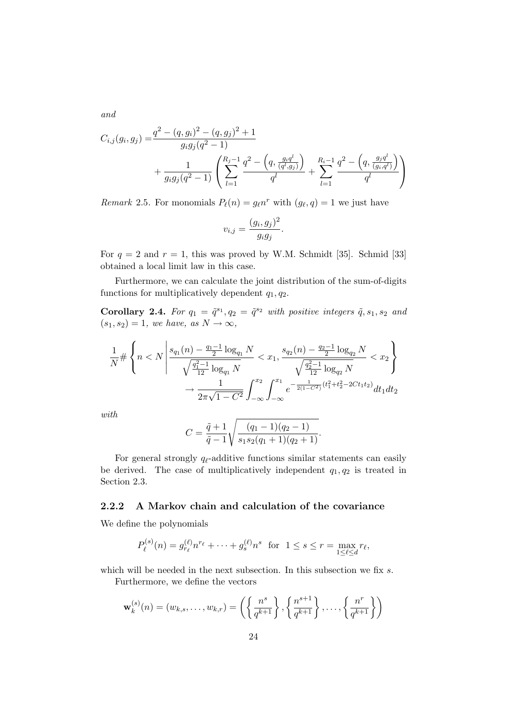and

$$
C_{i,j}(g_i, g_j) = \frac{q^2 - (q, g_i)^2 - (q, g_j)^2 + 1}{g_i g_j (q^2 - 1)} + \frac{1}{g_i g_j (q^2 - 1)} \left( \sum_{l=1}^{R_j - 1} \frac{q^2 - \left( q, \frac{g_i q^l}{(q^l, g_j)} \right)}{q^l} + \sum_{l=1}^{R_i - 1} \frac{q^2 - \left( q, \frac{g_j q^l}{(g_i, q^l)} \right)}{q^l} \right)
$$

Remark 2.5. For monomials  $P_{\ell}(n) = g_{\ell} n^{r}$  with  $(g_{\ell}, q) = 1$  we just have

$$
v_{i,j} = \frac{(g_i, g_j)^2}{g_i g_j}.
$$

For  $q = 2$  and  $r = 1$ , this was proved by W.M. Schmidt [35]. Schmid [33] obtained a local limit law in this case.

Furthermore, we can calculate the joint distribution of the sum-of-digits functions for multiplicatively dependent  $q_1, q_2$ .

Corollary 2.4. For  $q_1 = \tilde{q}^{s_1}, q_2 = \tilde{q}^{s_2}$  with positive integers  $\tilde{q}, s_1, s_2$  and  $(s_1, s_2) = 1$ , we have, as  $N \rightarrow \infty$ ,

$$
\frac{1}{N} \# \left\{ n < N \left| \frac{s_{q_1}(n) - \frac{q_1 - 1}{2} \log_{q_1} N}{\sqrt{\frac{q_1^2 - 1}{12} \log_{q_1} N}} < x_1, \frac{s_{q_2}(n) - \frac{q_2 - 1}{2} \log_{q_2} N}{\sqrt{\frac{q_2^2 - 1}{12} \log_{q_2} N}} < x_2 \right\} \right\}
$$
\n
$$
\to \frac{1}{2\pi\sqrt{1 - C^2}} \int_{-\infty}^{x_2} \int_{-\infty}^{x_1} e^{-\frac{1}{2(1 - C^2)} (t_1^2 + t_2^2 - 2Ct_1 t_2)} dt_1 dt_2
$$

with

$$
C = \frac{\tilde{q} + 1}{\tilde{q} - 1} \sqrt{\frac{(q_1 - 1)(q_2 - 1)}{s_1 s_2 (q_1 + 1)(q_2 + 1)}}.
$$

For general strongly  $q_{\ell}$ -additive functions similar statements can easily be derived. The case of multiplicatively independent  $q_1, q_2$  is treated in Section 2.3.

#### 2.2.2 A Markov chain and calculation of the covariance

We define the polynomials

$$
P_{\ell}^{(s)}(n) = g_{r_{\ell}}^{(\ell)} n^{r_{\ell}} + \dots + g_s^{(\ell)} n^s \text{ for } 1 \le s \le r = \max_{1 \le \ell \le d} r_{\ell},
$$

which will be needed in the next subsection. In this subsection we fix s. Furthermore, we define the vectors

$$
\mathbf{w}_k^{(s)}(n) = (w_{k,s}, \dots, w_{k,r}) = \left( \left\{ \frac{n^s}{q^{k+1}} \right\}, \left\{ \frac{n^{s+1}}{q^{k+1}} \right\}, \dots, \left\{ \frac{n^r}{q^{k+1}} \right\} \right)
$$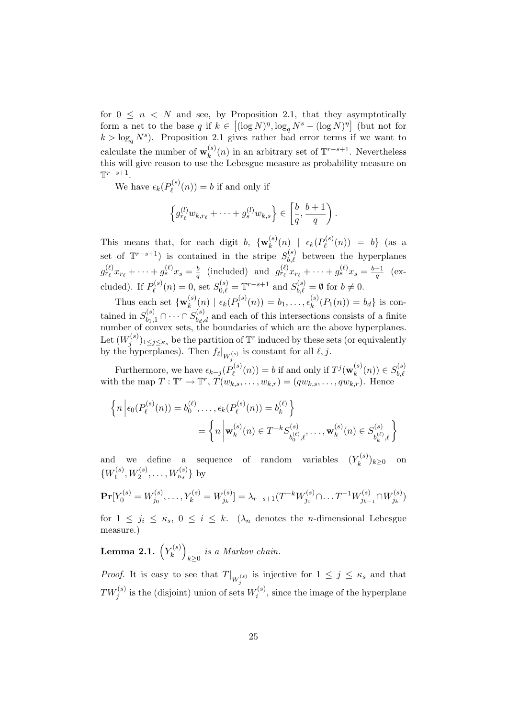for  $0 \leq n \leq N$  and see, by Proposition 2.1, that they asymptotically form a net to the base q if  $k \in [(\log N)^{\eta}, \log_q N^s - (\log N)^{\eta}]$  (but not for  $k > \log_q N^s$ ). Proposition 2.1 gives rather bad error terms if we want to calculate the number of  $\mathbf{w}_k^{(s)}$  $\binom{s}{k}(n)$  in an arbitrary set of  $\mathbb{T}^{r-s+1}$ . Nevertheless this will give reason to use the Lebesgue measure as probability measure on  $\mathbb{T}^{r-s+1}$ .

We have  $\epsilon_k(P_{\ell}^{(s)})$  $\mathcal{O}_{\ell}^{(s)}(n) = b$  if and only if

$$
\left\{g_{r_\ell}^{(l)}w_{k,r_\ell}+\cdots+g_s^{(l)}w_{k,s}\right\}\in\left[\frac{b}{q},\frac{b+1}{q}\right).
$$

This means that, for each digit b,  $\{w_k^{(s)}\}$  $\frac{f_{k}^{(s)}(n)}{k}$  |  $\epsilon_{k}(P_{\ell}^{(s)})$  $b_{\ell}^{(s)}(n)) = b$ } (as a set of  $\mathbb{T}^{r-s+1}$ ) is contained in the stripe  $S_{b,\ell}^{(s)}$  between the hyperplanes  $g_{r_\ell}^{(\ell)} x_{r_\ell} + \cdots + g_s^{(\ell)} x_s = \frac{b}{q}$  $\frac{b}{q}$  (included) and  $g_{r_\ell}^{(\ell)} x_{r_\ell} + \cdots + g_s^{(\ell)} x_s = \frac{b+1}{q}$  $\frac{+1}{q}$  (excluded). If  $P_{\ell}^{(s)}$  $S_{0,\ell}^{(s)}(n) = 0$ , set  $S_{0,\ell}^{(s)} = \mathbb{T}^{r-s+1}$  and  $S_{b,\ell}^{(s)} = \emptyset$  for  $b \neq 0$ .

Thus each set  $\{w_k^{(s)}\}$  $\frac{\epsilon(k)}{k}(n) \mid \epsilon_k(P_1^{(s)})$  $b_1^{(s)}(n)) = b_1, \ldots, \epsilon_k^{(s)}$  $k^{(s)}(P_1(n)) = b_d$  is contained in  $S_{b_1,1}^{(s)} \cap \cdots \cap S_{b_d,d}^{(s)}$  and each of this intersections consists of a finite number of convex sets, the boundaries of which are the above hyperplanes. Let  $(W_i^{(s)}$  $(j^{(s)})_{1\leq j\leq \kappa_s}$  be the partition of  $\mathbb{T}^r$  induced by these sets (or equivalently by the hyperplanes). Then  $f_{\ell}|_{W_j^{(s)}}$  is constant for all  $\ell, j$ .

Furthermore, we have  $\epsilon_{k-j}(P_\ell^{(s)})$  $p_{\ell}^{(s)}(n)) = b$  if and only if  $T^{j}(\mathbf{w}_{k}^{(s)})$  $s_k^{(s)}(n)) \in S_{b,\ell}^{(s)}$ with the map  $T : \mathbb{T}^r \to \mathbb{T}^r$ ,  $T(w_{k,s}, \ldots, w_{k,r}) = (qw_{k,s}, \ldots, qw_{k,r})$ . Hence

$$
\left\{ n \left| \epsilon_0(P_\ell^{(s)}(n)) = b_0^{(\ell)}, \dots, \epsilon_k(P_\ell^{(s)}(n)) = b_k^{(\ell)} \right\} \right\}
$$
  
= 
$$
\left\{ n \left| \mathbf{w}_k^{(s)}(n) \in T^{-k} S_{b_0^{(\ell)}, \ell}^{(s)}, \dots, \mathbf{w}_k^{(s)}(n) \in S_{b_k^{(\ell)}, \ell}^{(s)} \right\} \right\}
$$

and we define a sequence of random variables  $(Y_k^{(s)})$  $\binom{k}{k} k \ge 0$  on  $\{W_1^{(s)}\}$  $W_1^{(s)}, W_2^{(s)}, \ldots, W_{\kappa_s}^{(s)}\}$  by

$$
\mathbf{Pr}[Y_0^{(s)} = W_{j_0}^{(s)}, \dots, Y_k^{(s)} = W_{j_k}^{(s)}] = \lambda_{r-s+1}(T^{-k}W_{j_0}^{(s)} \cap \dots T^{-1}W_{j_{k-1}}^{(s)} \cap W_{j_k}^{(s)})
$$

for  $1 \leq j_i \leq \kappa_s$ ,  $0 \leq i \leq k$ . ( $\lambda_n$  denotes the *n*-dimensional Lebesgue measure.)

Lemma 2.1.  $\left(Y_k^{(s)}\right)$  $\binom{k}{k}$  $\sum_{k\geq 0}$  is a Markov chain.

*Proof.* It is easy to see that  $T|_{W_j^{(s)}}$  is injective for  $1 \leq j \leq \kappa_s$  and that  $TW_j^{(s)}$  is the (disjoint) union of sets  $W_i^{(s)}$  $i^{(s)}$ , since the image of the hyperplane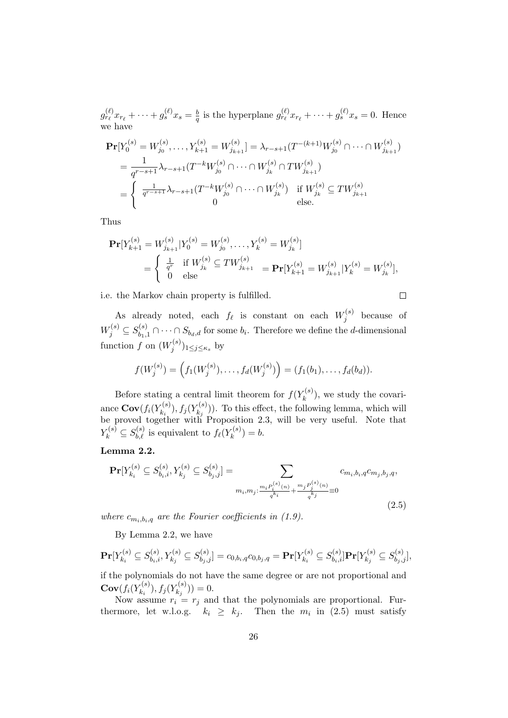$g_{r_\ell}^{(\ell)} x_{r_\ell} + \cdots + g_s^{(\ell)} x_s = \frac{b}{q}$  $\frac{b}{q}$  is the hyperplane  $g_{r_\ell}^{(\ell)} x_{r_\ell} + \cdots + g_s^{(\ell)} x_s = 0$ . Hence we have

$$
\begin{split} \mathbf{Pr}[Y_0^{(s)} = W_{j_0}^{(s)}, \dots, Y_{k+1}^{(s)} = W_{j_{k+1}}^{(s)}] &= \lambda_{r-s+1}(T^{-(k+1)}W_{j_0}^{(s)} \cap \dots \cap W_{j_{k+1}}^{(s)}) \\ &= \frac{1}{q^{r-s+1}} \lambda_{r-s+1}(T^{-k}W_{j_0}^{(s)} \cap \dots \cap W_{j_k}^{(s)} \cap TW_{j_{k+1}}^{(s)}) \\ &= \begin{cases} \frac{1}{q^{r-s+1}} \lambda_{r-s+1}(T^{-k}W_{j_0}^{(s)} \cap \dots \cap W_{j_k}^{(s)}) & \text{if } W_{j_k}^{(s)} \subseteq TW_{j_{k+1}}^{(s)} \\ 0 & \text{else.} \end{cases} \end{split}
$$

Thus

$$
\begin{split} \mathbf{Pr}[Y_{k+1}^{(s)} = W_{j_{k+1}}^{(s)} | Y_0^{(s)} = W_{j_0}^{(s)}, \dots, Y_k^{(s)} = W_{j_k}^{(s)}] \\ &= \begin{cases} \frac{1}{q^r} & \text{if } W_{j_k}^{(s)} \subseteq TW_{j_{k+1}}^{(s)} \\ 0 & \text{else} \end{cases} = \mathbf{Pr}[Y_{k+1}^{(s)} = W_{j_{k+1}}^{(s)} | Y_k^{(s)} = W_{j_k}^{(s)}], \end{split}
$$

i.e. the Markov chain property is fulfilled.

$$
\Box
$$

As already noted, each  $f_{\ell}$  is constant on each  $W_j^{(s)}$  $j^{(s)}$  because of  $W_j^{(s)} \subseteq S_{b_1,1}^{(s)} \cap \cdots \cap S_{b_d,d}$  for some  $b_i$ . Therefore we define the *d*-dimensional function f on  $(W_i^{(s)})$  $(j^{(s)})_{1\leq j\leq \kappa_s}$  by

$$
f(W_j^{(s)}) = (f_1(W_j^{(s)}), \ldots, f_d(W_j^{(s)}) ) = (f_1(b_1), \ldots, f_d(b_d)).
$$

Before stating a central limit theorem for  $f(Y_k^{(s)})$  $\binom{K^{(S)}}{k}$ , we study the covariance  $\mathbf{Cov}(f_i(Y_{k_i}^{(s)})$  $(f_{k_i}^{(s)}), f_j(Y_{k_j}^{(s)})$  $(k_i^{(s)}))$ . To this effect, the following lemma, which will be proved together with Proposition 2.3, will be very useful. Note that  $Y_k^{(s)} \subseteq S_{b,\ell}^{(s)}$  is equivalent to  $f_\ell(Y_k^{(s)})$  ${k^{(s)}} \choose k} = b.$ 

Lemma 2.2.

$$
\mathbf{Pr}[Y_{k_i}^{(s)} \subseteq S_{b_i,i}^{(s)}, Y_{k_j}^{(s)} \subseteq S_{b_j,j}^{(s)}] = \sum_{\substack{m_i, m_j: \frac{m_i P_i^{(s)}(n)}{q^{k_i}}} \neq \frac{m_j P_j^{(s)}(n)}{q^{k_j}}} c_{m_i, b_i, q} c_{m_j, b_j, q},
$$
\n(2.5)

where  $c_{m_i,b_i,q}$  are the Fourier coefficients in (1.9).

By Lemma 2.2, we have

$$
\mathbf{Pr}[Y_{k_i}^{(s)} \subseteq S_{b_i,i}^{(s)}, Y_{k_j}^{(s)} \subseteq S_{b_j,j}^{(s)}] = c_{0,b_i,q}c_{0,b_j,q} = \mathbf{Pr}[Y_{k_i}^{(s)} \subseteq S_{b_i,i}^{(s)}] \mathbf{Pr}[Y_{k_j}^{(s)} \subseteq S_{b_j,j}^{(s)}],
$$
 if the polynomials do not have the same degree or are not proportional and

 $\mathbf{Cov}(f_i(Y_{k:}^{(s)})$  $(f_{k_i}^{(s)}), f_j(Y_{k_j}^{(s)})$  $\binom{s}{k_j}()=0.$ 

Now assume  $r_i = r_j$  and that the polynomials are proportional. Furthermore, let w.l.o.g.  $k_i \geq k_j$ . Then the  $m_i$  in (2.5) must satisfy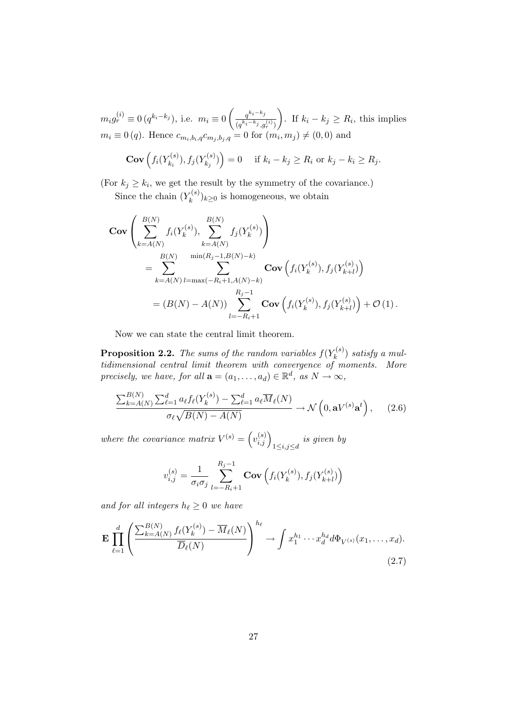$m_i g_r^{(i)} \equiv 0 \, (q^{k_i-k_j}), \text{ i.e. } m_i \equiv 0 \, \bigg( \frac{q^{k_i-k_j}}{(k_i-k_i)} \bigg)$  $(q^{k_i-k_j}, g_r^{(i)})$ ). If  $k_i - k_j \geq R_i$ , this implies  $m_i \equiv 0 (q)$ . Hence  $c_{m_i, b_i, q} c_{m_j, b_j, q} = 0$  for  $(m_i, m_j) \neq (0, 0)$  and

$$
\mathbf{Cov}\left(f_i(Y_{k_i}^{(s)}), f_j(Y_{k_j}^{(s)})\right) = 0 \quad \text{if } k_i - k_j \ge R_i \text{ or } k_j - k_i \ge R_j.
$$

(For  $k_j \geq k_i$ , we get the result by the symmetry of the covariance.) Since the chain  $(Y_k^{(s)}$  $(k^{(s)})_{k\geq 0}$  is homogeneous, we obtain

$$
\begin{split} \mathbf{Cov} & \left( \sum_{k=A(N)}^{B(N)} f_i(Y_k^{(s)}), \sum_{k=A(N)}^{B(N)} f_j(Y_k^{(s)}) \right) \\ &= \sum_{k=A(N)}^{B(N)} \sum_{l=\max(-R_i+1, A(N)-k)}^{m \in (R_j-1, B(N)-k)} \mathbf{Cov} \left( f_i(Y_k^{(s)}), f_j(Y_{k+l}^{(s)}) \right) \\ &= (B(N) - A(N)) \sum_{l=-R_i+1}^{R_j-1} \mathbf{Cov} \left( f_i(Y_k^{(s)}), f_j(Y_{k+l}^{(s)}) \right) + \mathcal{O} \left( 1 \right). \end{split}
$$

Now we can state the central limit theorem.

**Proposition 2.2.** The sums of the random variables  $f(Y_k^{(s)})$  $\binom{r(s)}{k}$  satisfy a multidimensional central limit theorem with convergence of moments. More precisely, we have, for all  $\mathbf{a} = (a_1, \dots, a_d) \in \mathbb{R}^d$ , as  $N \to \infty$ ,

$$
\frac{\sum_{k=A(N)}^{B(N)}\sum_{\ell=1}^{d}a_{\ell}f_{\ell}(Y_k^{(s)}) - \sum_{\ell=1}^{d}a_{\ell}\overline{M}_{\ell}(N)}{\sigma_{\ell}\sqrt{B(N) - A(N)}} \to \mathcal{N}\left(0, \mathbf{a}V^{(s)}\mathbf{a}^t\right),\qquad(2.6)
$$

where the covariance matrix  $V^{(s)} = (v_{i,j}^{(s)})_{1 \leq i,j \leq d}$  is given by

$$
v_{i,j}^{(s)} = \frac{1}{\sigma_i \sigma_j} \sum_{l=-R_i+1}^{R_j-1} \text{Cov}\left(f_i(Y_k^{(s)}), f_j(Y_{k+l}^{(s)})\right)
$$

and for all integers  $h_{\ell} \geq 0$  we have

$$
\mathbf{E} \prod_{\ell=1}^d \left( \frac{\sum_{k=A(N)}^{B(N)} f_\ell(Y_k^{(s)}) - \overline{M}_\ell(N)}{\overline{D}_\ell(N)} \right)^{h_\ell} \to \int x_1^{h_1} \cdots x_d^{h_d} d\Phi_{V^{(s)}}(x_1, \dots, x_d).
$$
\n(2.7)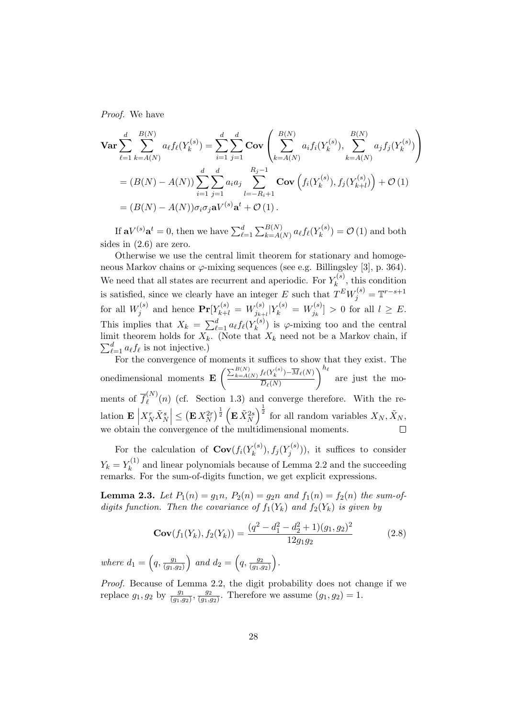Proof. We have

$$
\begin{split} \n\textbf{Var} &\sum_{\ell=1}^{d} \sum_{k=A(N)}^{B(N)} a_{\ell} f_{\ell}(Y_{k}^{(s)}) = \sum_{i=1}^{d} \sum_{j=1}^{d} \textbf{Cov} \left( \sum_{k=A(N)}^{B(N)} a_{i} f_{i}(Y_{k}^{(s)}), \sum_{k=A(N)}^{B(N)} a_{j} f_{j}(Y_{k}^{(s)}) \right) \\ \n&= (B(N) - A(N)) \sum_{i=1}^{d} \sum_{j=1}^{d} a_{i} a_{j} \sum_{l=-R_{i}+1}^{R_{j}-1} \textbf{Cov} \left( f_{i}(Y_{k}^{(s)}), f_{j}(Y_{k+l}^{(s)}) \right) + \mathcal{O} \left( 1 \right) \\ \n&= (B(N) - A(N)) \sigma_{i} \sigma_{j} \mathbf{a} V^{(s)} \mathbf{a}^{t} + \mathcal{O} \left( 1 \right). \n\end{split}
$$

If  $\mathbf{a}V^{(s)}\mathbf{a}^t = 0$ , then we have  $\sum_{\ell=1}^d \sum_{k=A(N)}^{B(N)} a_{\ell} f_{\ell}(Y_k^{(s)})$  $\mathcal{L}_{k}^{(s)}$  =  $\mathcal{O}(1)$  and both sides in (2.6) are zero.

Otherwise we use the central limit theorem for stationary and homogeneous Markov chains or  $\varphi$ -mixing sequences (see e.g. Billingsley [3], p. 364). We need that all states are recurrent and aperiodic. For  $Y_k^{(s)}$  $\zeta_k^{(s)}$ , this condition is satisfied, since we clearly have an integer E such that  $T^{E}W_j^{(s)} = \mathbb{T}^{r-s+1}$ for all  $W_i^{(s)}$  $Y_j^{(s)}$  and hence  $\mathbf{Pr}[Y_{k+l}^{(s)} = W_{j_{k+l}}^{(s)}$  $j_{k+l}^{(s)}|Y_k^{(s)} = W_{j_k}^{(s)}$  $[j_k^{(s)}] > 0$  for all  $l \geq E$ . This implies that  $X_k = \sum_{\ell=1}^d a_\ell f_\ell(Y_k^{(s)})$  $\binom{k}{k}$  is  $\varphi$ -mixing too and the central  $\sum_{\ell=1}^d a_\ell f_\ell$  is not injective.) limit theorem holds for  $X_k$ . (Note that  $X_k$  need not be a Markov chain, if

For the convergence of moments it suffices to show that they exist. The onedimensional moments  $\mathbf{E} \left( \frac{\sum_{k=A(N)}^{B(N)} f_{\ell}(Y_k^{(s)}) - \overline{M}_{\ell}(N)}{\overline{D}_{\ell}(N)} \right)$  $D_\ell(N)$  $\int^{h_{\ell}}$  are just the moments of  $\overline{f}^{(N)}_{\ell}$  $\binom{N}{\ell}(n)$  (cf. Section 1.3) and converge therefore. With the relation  $\mathbf{E}\Big|$  $\left|\frac{X_N^r \tilde{X}_N^s}{\sum_{i=1}^N \tilde{X}_{N}^s} \right|^{\frac{1}{2}} \left( \mathbf{E} \tilde{X}_N^{2s} \right)^{\frac{1}{2}}$  for all random variables  $X_N, \tilde{X}_N,$ we obtain the convergence of the multidimensional moments.

For the calculation of  $\mathbf{Cov}(f_i(Y_k^{(s)}))$  $(f_k^{(s)}),f_j(Y_j^{(s)})$  $\binom{r(s)}{j}$ , it suffices to consider  $Y_k = Y_k^{(1)}$  $k_k^{(1)}$  and linear polynomials because of Lemma 2.2 and the succeeding remarks. For the sum-of-digits function, we get explicit expressions.

**Lemma 2.3.** Let  $P_1(n) = g_1 n$ ,  $P_2(n) = g_2 n$  and  $f_1(n) = f_2(n)$  the sum-ofdigits function. Then the covariance of  $f_1(Y_k)$  and  $f_2(Y_k)$  is given by

$$
\mathbf{Cov}(f_1(Y_k), f_2(Y_k)) = \frac{(q^2 - d_1^2 - d_2^2 + 1)(g_1, g_2)^2}{12g_1g_2} \tag{2.8}
$$

where  $d_1 = \left(q, \frac{g_1}{\left(q_1\right)},\right)$  $\frac{g_1}{(g_1,g_2)}$  and  $d_2 = \left( q, \frac{g_2}{(g_1,g_2)} \right)$  $\frac{g_2}{(g_1,g_2)}\bigg).$ 

Proof. Because of Lemma 2.2, the digit probability does not change if we replace  $g_1, g_2$  by  $\frac{g_1}{(g_1, g_2)}, \frac{g_2}{(g_1, g_2)}$  $\frac{g_2}{(g_1,g_2)}$ . Therefore we assume  $(g_1,g_2)=1$ .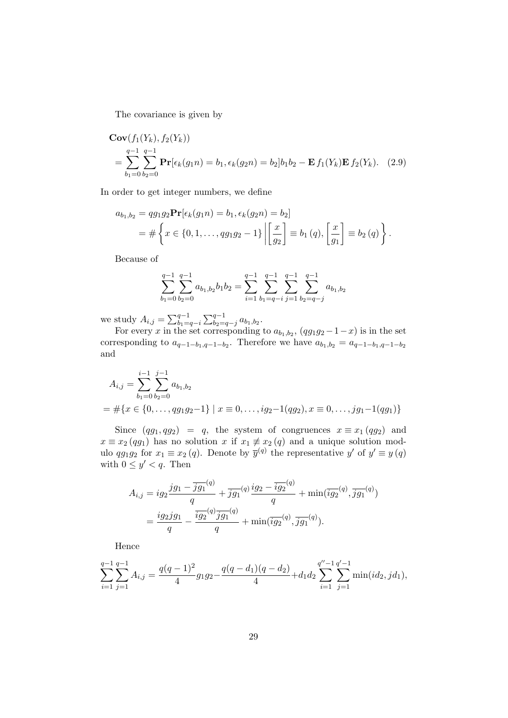The covariance is given by

$$
\mathbf{Cov}(f_1(Y_k), f_2(Y_k))
$$
  
= 
$$
\sum_{b_1=0}^{q-1} \sum_{b_2=0}^{q-1} \mathbf{Pr}[\epsilon_k(g_1 n) = b_1, \epsilon_k(g_2 n) = b_2]b_1 b_2 - \mathbf{E} f_1(Y_k) \mathbf{E} f_2(Y_k).
$$
 (2.9)

In order to get integer numbers, we define

$$
a_{b_1,b_2} = qg_1g_2 \mathbf{Pr}[\epsilon_k(g_1 n) = b_1, \epsilon_k(g_2 n) = b_2]
$$
  
=  $\#\left\{ x \in \{0, 1, ..., qg_1 g_2 - 1\} \middle| \left[ \frac{x}{g_2} \right] \equiv b_1(q), \left[ \frac{x}{g_1} \right] \equiv b_2(q) \right\}.$ 

Because of

$$
\sum_{b_1=0}^{q-1} \sum_{b_2=0}^{q-1} a_{b_1,b_2} b_1 b_2 = \sum_{i=1}^{q-1} \sum_{b_1=q-i}^{q-1} \sum_{j=1}^{q-1} \sum_{b_2=q-j}^{q-1} a_{b_1,b_2}
$$

we study  $A_{i,j} = \sum_{b_1=q-i}^{q-1} \sum_{b_2=q-j}^{q-1} a_{b_1,b_2}$ .

For every x in the set corresponding to  $a_{b_1,b_2}$ ,  $(qg_1g_2-1-x)$  is in the set corresponding to  $a_{q-1-b_1,q-1-b_2}$ . Therefore we have  $a_{b_1,b_2} = a_{q-1-b_1,q-1-b_2}$ . and

$$
A_{i,j} = \sum_{b_1=0}^{i-1} \sum_{b_2=0}^{j-1} a_{b_1,b_2}
$$
  
=  $\#\{x \in \{0, ..., qg_1g_2-1\} \mid x \equiv 0, ..., ig_2-1(qg_2), x \equiv 0, ..., jg_1-1(qg_1)\}\$ 

Since  $(qg_1, qg_2) = q$ , the system of congruences  $x \equiv x_1 (qg_2)$  and  $x \equiv x_2 (qg_1)$  has no solution x if  $x_1 \not\equiv x_2 (q)$  and a unique solution modulo  $qg_1g_2$  for  $x_1 \equiv x_2(q)$ . Denote by  $\overline{y}^{(q)}$  the representative y' of  $y' \equiv y(q)$ with  $0 \leq y' < q$ . Then

$$
A_{i,j} = ig_2 \frac{jg_1 - \overline{jg_1}^{(q)}}{q} + \overline{jg_1}^{(q)} \frac{ig_2 - \overline{ig_2}^{(q)}}{q} + \min(\overline{ig_2}^{(q)}, \overline{jg_1}^{(q)})
$$
  
= 
$$
\frac{ig_2 jg_1}{q} - \frac{\overline{ig_2}^{(q)} \overline{jg_1}^{(q)}}{q} + \min(\overline{ig_2}^{(q)}, \overline{jg_1}^{(q)}).
$$

Hence

$$
\sum_{i=1}^{q-1} \sum_{j=1}^{q-1} A_{i,j} = \frac{q(q-1)^2}{4} g_1 g_2 - \frac{q(q-d_1)(q-d_2)}{4} + d_1 d_2 \sum_{i=1}^{q''-1} \sum_{j=1}^{q'-1} \min(id_2,jd_1),
$$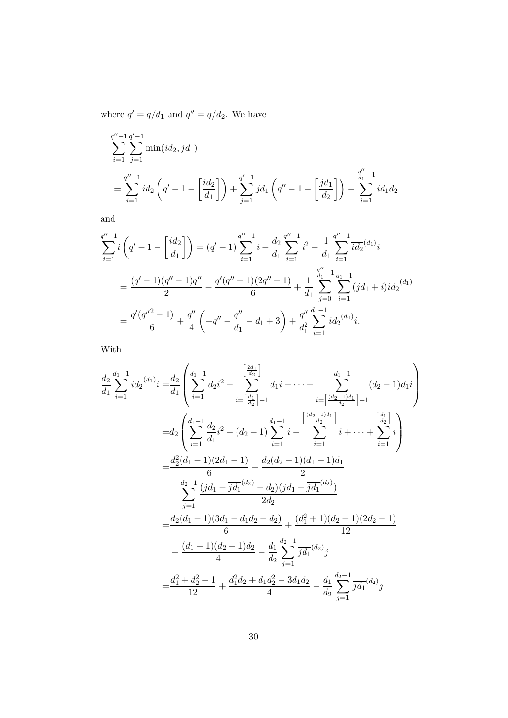where  $q' = q/d_1$  and  $q'' = q/d_2$ . We have

$$
\sum_{i=1}^{q''-1} \sum_{j=1}^{q'-1} \min(id_2, jd_1)
$$
\n
$$
= \sum_{i=1}^{q''-1} id_2 \left( q' - 1 - \left[ \frac{id_2}{d_1} \right] \right) + \sum_{j=1}^{q'-1} jd_1 \left( q'' - 1 - \left[ \frac{jd_1}{d_2} \right] \right) + \sum_{i=1}^{q''-1} id_1 d_2
$$

and

$$
\sum_{i=1}^{q''-1} i \left( q' - 1 - \left[ \frac{id_2}{d_1} \right] \right) = (q' - 1) \sum_{i=1}^{q''-1} i - \frac{d_2}{d_1} \sum_{i=1}^{q''-1} i^2 - \frac{1}{d_1} \sum_{i=1}^{q''-1} i \frac{d_2}{d_1} (d_1)_i
$$
  
= 
$$
\frac{(q' - 1)(q'' - 1)q''}{2} - \frac{q'(q'' - 1)(2q'' - 1)}{6} + \frac{1}{d_1} \sum_{j=0}^{\frac{q''}{d_1} - 1} \sum_{i=1}^{d_1 - 1} (jd_1 + i) \frac{d_2}{d_1} (d_1)
$$
  
= 
$$
\frac{q'(q''^2 - 1)}{6} + \frac{q''}{4} \left( -q'' - \frac{q''}{d_1} - d_1 + 3 \right) + \frac{q''}{d_1^2} \sum_{i=1}^{d_1 - 1} \frac{1}{id_2} (d_1)_i.
$$

With

$$
\frac{d_2}{d_1} \sum_{i=1}^{d_1-1} \overline{id_2}^{(d_1)} i = \frac{d_2}{d_1} \left( \sum_{i=1}^{d_1-1} d_2 i^2 - \sum_{i=\left[\frac{d_1}{d_2}\right]}^{\left[\frac{d_1}{d_2}\right]} d_1 i - \dots - \sum_{i=\left[\frac{(d_2-1)d_1}{d_2}\right]}^{\left[\frac{d_1}{d_2}-1\right]} (d_2-1)d_1 i \right)
$$
\n
$$
= d_2 \left( \sum_{i=1}^{d_1-1} \frac{d_2}{d_1} i^2 - (d_2-1) \sum_{i=1}^{d_1-1} i + \sum_{i=1}^{\left[\frac{d_2-1}{d_2}\right]} i + \dots + \sum_{i=1}^{\left[\frac{d_1}{d_2}\right]} i \right)
$$
\n
$$
= \frac{d_2^2(d_1-1)(2d_1-1)}{6} - \frac{d_2(d_2-1)(d_1-1)d_1}{2}
$$
\n
$$
+ \sum_{j=1}^{d_2-1} \frac{(jd_1 - \overline{jd_1}^{(d_2)} + d_2)(jd_1 - \overline{jd_1}^{(d_2)})}{2d_2}
$$
\n
$$
= \frac{d_2(d_1-1)(3d_1 - d_1d_2 - d_2)}{6} + \frac{(d_1^2+1)(d_2-1)(2d_2-1)}{12}
$$
\n
$$
+ \frac{(d_1-1)(d_2-1)d_2}{4} - \frac{d_1}{d_2} \sum_{j=1}^{d_2-1} \overline{jd_1}^{(d_2)} j
$$
\n
$$
= \frac{d_1^2 + d_2^2 + 1}{12} + \frac{d_1^2d_2 + d_1d_2^2 - 3d_1d_2}{4} - \frac{d_1}{d_2} \sum_{j=1}^{d_2-1} \overline{jd_1}^{(d_2)} j
$$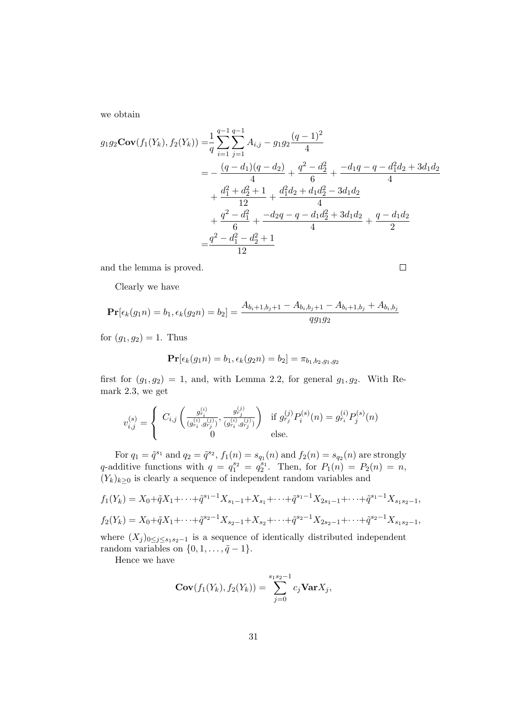we obtain

$$
g_1 g_2 \mathbf{Cov}(f_1(Y_k), f_2(Y_k)) = \frac{1}{q} \sum_{i=1}^{q-1} \sum_{j=1}^{q-1} A_{i,j} - g_1 g_2 \frac{(q-1)^2}{4}
$$
  
=  $-\frac{(q-d_1)(q-d_2)}{4} + \frac{q^2 - d_2^2}{6} + \frac{-d_1 q - q - d_1^2 d_2 + 3d_1 d_2}{4}$   
+  $\frac{d_1^2 + d_2^2 + 1}{12} + \frac{d_1^2 d_2 + d_1 d_2^2 - 3d_1 d_2}{4}$   
+  $\frac{q^2 - d_1^2}{6} + \frac{-d_2 q - q - d_1 d_2^2 + 3d_1 d_2}{4} + \frac{q - d_1 d_2}{2}$   
=  $\frac{q^2 - d_1^2 - d_2^2 + 1}{12}$ 

 $\Box$ 

and the lemma is proved.

Clearly we have

$$
\mathbf{Pr}[\epsilon_k(g_1 n) = b_1, \epsilon_k(g_2 n) = b_2] = \frac{A_{b_i+1,b_j+1} - A_{b_i,b_j+1} - A_{b_i+1,b_j} + A_{b_i,b_j}}{qg_1g_2}
$$

for  $(g_1, g_2) = 1$ . Thus

$$
\Pr[\epsilon_k(g_1 n) = b_1, \epsilon_k(g_2 n) = b_2] = \pi_{b_1, b_2, g_1, g_2}
$$

first for  $(g_1, g_2) = 1$ , and, with Lemma 2.2, for general  $g_1, g_2$ . With Remark 2.3, we get

$$
v_{i,j}^{(s)} = \begin{cases} C_{i,j} \left( \frac{g_{r_i}^{(i)}}{(g_{r_i}^{(i)}, g_{r_j}^{(j)})}, \frac{g_{r_j}^{(j)}}{(g_{r_i}^{(i)}, g_{r_j}^{(j)})} \right) & \text{if } g_{r_j}^{(j)} P_i^{(s)}(n) = g_{r_i}^{(i)} P_j^{(s)}(n) \\ 0 & \text{else.} \end{cases}
$$

For  $q_1 = \tilde{q}^{s_1}$  and  $q_2 = \tilde{q}^{s_2}$ ,  $f_1(n) = s_{q_1}(n)$  and  $f_2(n) = s_{q_2}(n)$  are strongly q-additive functions with  $q = q_1^{s_2} = q_2^{s_1}$ . Then, for  $P_1(n) = P_2(n) = n$ ,  $(Y_k)_{k\geq 0}$  is clearly a sequence of independent random variables and

$$
f_1(Y_k) = X_0 + \tilde{q}X_1 + \dots + \tilde{q}^{s_1 - 1}X_{s_1 - 1} + X_{s_1} + \dots + \tilde{q}^{s_1 - 1}X_{2s_1 - 1} + \dots + \tilde{q}^{s_1 - 1}X_{s_1 s_2 - 1},
$$
  

$$
f_2(Y_k) = X_0 + \tilde{q}X_1 + \dots + \tilde{q}^{s_2 - 1}X_{s_2 - 1} + X_{s_2} + \dots + \tilde{q}^{s_2 - 1}X_{2s_2 - 1} + \dots + \tilde{q}^{s_2 - 1}X_{s_1 s_2 - 1},
$$

where  $(X_j)_{0\leq j\leq s_1s_2-1}$  is a sequence of identically distributed independent random variables on  $\{0, 1, \ldots, \tilde{q} - 1\}.$ 

Hence we have

$$
\mathbf{Cov}(f_1(Y_k), f_2(Y_k)) = \sum_{j=0}^{s_1s_2-1} c_j \mathbf{Var} X_j,
$$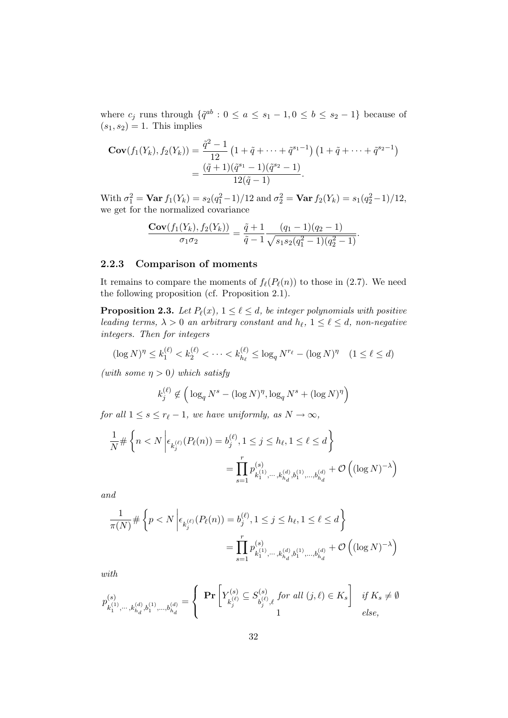where  $c_j$  runs through  $\{\tilde{q}^{ab} : 0 \le a \le s_1 - 1, 0 \le b \le s_2 - 1\}$  because of  $(s_1, s_2) = 1$ . This implies

$$
\mathbf{Cov}(f_1(Y_k), f_2(Y_k)) = \frac{\tilde{q}^2 - 1}{12} \left( 1 + \tilde{q} + \dots + \tilde{q}^{s_1 - 1} \right) \left( 1 + \tilde{q} + \dots + \tilde{q}^{s_2 - 1} \right)
$$

$$
= \frac{(\tilde{q} + 1)(\tilde{q}^{s_1} - 1)(\tilde{q}^{s_2} - 1)}{12(\tilde{q} - 1)}.
$$

With  $\sigma_1^2 = \text{Var } f_1(Y_k) = s_2(q_1^2 - 1)/12$  and  $\sigma_2^2 = \text{Var } f_2(Y_k) = s_1(q_2^2 - 1)/12$ , we get for the normalized covariance

$$
\frac{\mathbf{Cov}(f_1(Y_k), f_2(Y_k))}{\sigma_1 \sigma_2} = \frac{\tilde{q} + 1}{\tilde{q} - 1} \frac{(q_1 - 1)(q_2 - 1)}{\sqrt{s_1 s_2 (q_1^2 - 1)(q_2^2 - 1)}}.
$$

### 2.2.3 Comparison of moments

It remains to compare the moments of  $f_{\ell}(P_{\ell}(n))$  to those in (2.7). We need the following proposition (cf. Proposition 2.1).

**Proposition 2.3.** Let  $P_{\ell}(x)$ ,  $1 \leq \ell \leq d$ , be integer polynomials with positive leading terms,  $\lambda > 0$  an arbitrary constant and  $h_{\ell}$ ,  $1 \leq \ell \leq d$ , non-negative integers. Then for integers

$$
(\log N)^{\eta} \le k_1^{(\ell)} < k_2^{(\ell)} < \dots < k_{h_\ell}^{(\ell)} \le \log_q N^{r_\ell} - (\log N)^{\eta} \quad (1 \le \ell \le d)
$$

(with some  $\eta > 0$ ) which satisfy

$$
k_j^{(\ell)} \notin \left(\log_q N^s - (\log N)^\eta, \log_q N^s + (\log N)^\eta\right)
$$

for all  $1 \leq s \leq r_{\ell} - 1$ , we have uniformly, as  $N \to \infty$ ,

$$
\frac{1}{N} \# \left\{ n < N \left| \epsilon_{k_j^{(\ell)}}(P_\ell(n)) = b_j^{(\ell)}, 1 \le j \le h_\ell, 1 \le \ell \le d \right. \right\}
$$
\n
$$
= \prod_{s=1}^r p_{k_1^{(1)}, \dots, k_{h_d}^{(d)}, b_1^{(1)}, \dots, b_{h_d}^{(d)}}^{(s)} + \mathcal{O}\left( (\log N)^{-\lambda} \right)
$$

and

$$
\frac{1}{\pi(N)} \# \left\{ p < N \left| \epsilon_{k_j^{(\ell)}}(P_\ell(n)) = b_j^{(\ell)}, 1 \le j \le h_\ell, 1 \le \ell \le d \right. \right\}
$$
\n
$$
= \prod_{s=1}^r p_{k_1^{(1)}, \dots, k_{h_d}^{(d)}, b_1^{(1)}, \dots, b_{h_d}^{(d)}}^{(s)} + \mathcal{O}\left( (\log N)^{-\lambda} \right)
$$

with

$$
p_{k_1^{(1)}, \dots, k_{h_d}^{(d)}, b_1^{(1)}, \dots, b_{h_d}^{(d)}}^{(s)} = \left\{ \begin{array}{c} \Pr\left[Y_{k_j^{(\ell)}}^{(s)} \subseteq S_{b_j^{(\ell)}, \ell}^{(s)} \text{ for all } (j, \ell) \in K_s \right] & \text{if } K_s \neq \emptyset \\ 1 & \text{else,} \end{array} \right.
$$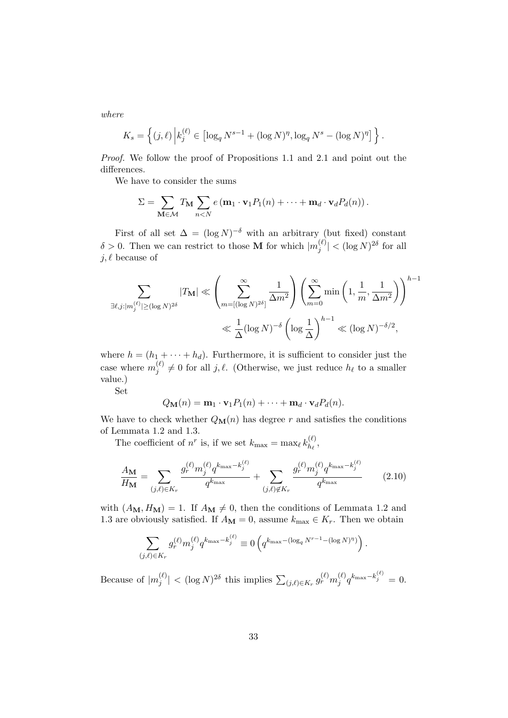where

$$
K_s = \left\{ (j,\ell) \, \middle| k_j^{(\ell)} \in \left[ \log_q N^{s-1} + (\log N)^{\eta}, \log_q N^s - (\log N)^{\eta} \right] \right\}.
$$

Proof. We follow the proof of Propositions 1.1 and 2.1 and point out the differences.

We have to consider the sums

$$
\Sigma = \sum_{\mathbf{M} \in \mathcal{M}} T_{\mathbf{M}} \sum_{n < N} e(\mathbf{m}_1 \cdot \mathbf{v}_1 P_1(n) + \cdots + \mathbf{m}_d \cdot \mathbf{v}_d P_d(n)).
$$

First of all set  $\Delta = (\log N)^{-\delta}$  with an arbitrary (but fixed) constant  $\delta > 0$ . Then we can restrict to those **M** for which  $|m_i^{(\ell)}\rangle$  $|y^{(\ell)}|$   $<$   $(\log N)^{2\delta}$  for all  $j, \ell$  because of

$$
\sum_{\exists \ell, j : |m_j^{(\ell)}| \ge (\log N)^{2\delta}} |T_{\mathbf{M}}| \ll \left(\sum_{m = [(\log N)^{2\delta}]}^{\infty} \frac{1}{\Delta m^2} \right) \left(\sum_{m=0}^{\infty} \min\left(1, \frac{1}{m}, \frac{1}{\Delta m^2}\right)\right)^{h-1} \ll \frac{1}{\Delta} (\log N)^{-\delta} \left(\log \frac{1}{\Delta}\right)^{h-1} \ll (\log N)^{-\delta/2},
$$

where  $h = (h_1 + \cdots + h_d)$ . Furthermore, it is sufficient to consider just the case where  $m_i^{(\ell)}$  $j^{(\ell)} \neq 0$  for all j,  $\ell$ . (Otherwise, we just reduce  $h_{\ell}$  to a smaller value.)

Set

$$
Q_{\mathbf{M}}(n) = \mathbf{m}_1 \cdot \mathbf{v}_1 P_1(n) + \cdots + \mathbf{m}_d \cdot \mathbf{v}_d P_d(n).
$$

We have to check whether  $Q_M(n)$  has degree r and satisfies the conditions of Lemmata 1.2 and 1.3.

The coefficient of  $n^r$  is, if we set  $k_{\text{max}} = \max_{\ell} k_{h_{\ell}}^{(\ell)}$  $\frac{\partial}{\partial h_\ell}$ 

$$
\frac{A_{\mathbf{M}}}{H_{\mathbf{M}}} = \sum_{(j,\ell)\in K_r} \frac{g_r^{(\ell)} m_j^{(\ell)} q^{k_{\max} - k_j^{(\ell)}}}{q^{k_{\max}}} + \sum_{(j,\ell)\notin K_r} \frac{g_r^{(\ell)} m_j^{(\ell)} q^{k_{\max} - k_j^{(\ell)}}}{q^{k_{\max}}} \tag{2.10}
$$

with  $(A_{\mathbf{M}}, H_{\mathbf{M}}) = 1$ . If  $A_{\mathbf{M}} \neq 0$ , then the conditions of Lemmata 1.2 and 1.3 are obviously satisfied. If  $A_M = 0$ , assume  $k_{\text{max}} \in K_r$ . Then we obtain

$$
\sum_{(j,\ell)\in K_r} g_r^{(\ell)} m_j^{(\ell)} q^{k_{\max} - k_j^{(\ell)}} \equiv 0 \left( q^{k_{\max} - (\log_q N^{r-1} - (\log N)^{\eta})} \right).
$$

Because of  $|m_i^{(\ell)}\rangle$  $\left|\frac{(\ell)}{j}\right| < (\log N)^{2\delta}$  this implies  $\sum_{(j,\ell) \in K_r} g_r^{(\ell)} m_j^{(\ell)}$  $\int_j^{(\ell)} q^{k_{\max}-k_j^{(\ell)}} = 0.$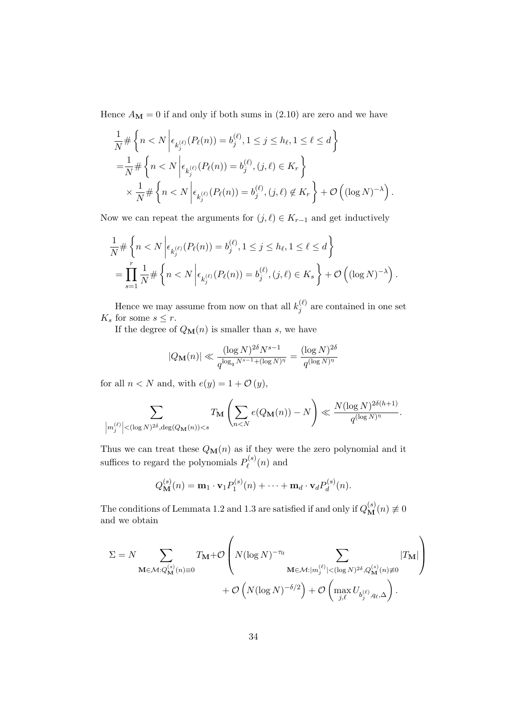Hence  $A_{\mathbf{M}} = 0$  if and only if both sums in (2.10) are zero and we have

$$
\frac{1}{N} \# \left\{ n < N \left| \epsilon_{k_j^{(\ell)}}(P_\ell(n)) = b_j^{(\ell)}, 1 \le j \le h_\ell, 1 \le \ell \le d \right. \right\}
$$
\n
$$
= \frac{1}{N} \# \left\{ n < N \left| \epsilon_{k_j^{(\ell)}}(P_\ell(n)) = b_j^{(\ell)}, (j, \ell) \in K_r \right. \right\}
$$
\n
$$
\times \frac{1}{N} \# \left\{ n < N \left| \epsilon_{k_j^{(\ell)}}(P_\ell(n)) = b_j^{(\ell)}, (j, \ell) \notin K_r \right. \right\} + \mathcal{O}\left( (\log N)^{-\lambda} \right).
$$

Now we can repeat the arguments for  $(j, \ell) \in K_{r-1}$  and get inductively

$$
\frac{1}{N} \# \left\{ n < N \left| \epsilon_{k_j^{(\ell)}}(P_\ell(n)) = b_j^{(\ell)}, 1 \le j \le h_\ell, 1 \le \ell \le d \right. \right\} \\
= \prod_{s=1}^r \frac{1}{N} \# \left\{ n < N \left| \epsilon_{k_j^{(\ell)}}(P_\ell(n)) = b_j^{(\ell)}, (j, \ell) \in K_s \right. \right\} + \mathcal{O}\left( (\log N)^{-\lambda} \right).
$$

Hence we may assume from now on that all  $k_i^{(\ell)}$  $j_j^{(\ell)}$  are contained in one set  $K_s$  for some  $s \leq r$ .

If the degree of  $Q_{\mathbf{M}}(n)$  is smaller than s, we have

$$
|Q_{\mathbf{M}}(n)| \ll \frac{(\log N)^{2\delta} N^{s-1}}{q^{\log_q N^{s-1} + (\log N)^{\eta}}} = \frac{(\log N)^{2\delta}}{q^{(\log N)^{\eta}}}
$$

for all  $n < N$  and, with  $e(y) = 1 + \mathcal{O}(y)$ ,

$$
\sum_{\left|m_j^{(\ell)}\right| < (\log N)^{2\delta}, \deg(Q_{\mathbf{M}}(n)) < s} T_{\mathbf{M}}\left(\sum_{n < N} e(Q_{\mathbf{M}}(n)) - N\right) \ll \frac{N(\log N)^{2\delta(h+1)}}{q^{(\log N)^\eta}}.
$$

Thus we can treat these  $Q_M(n)$  as if they were the zero polynomial and it suffices to regard the polynomials  $P_{\ell}^{(s)}$  $\ell^{(s)}(n)$  and

$$
Q_{\mathbf{M}}^{(s)}(n) = \mathbf{m}_1 \cdot \mathbf{v}_1 P_1^{(s)}(n) + \cdots + \mathbf{m}_d \cdot \mathbf{v}_d P_d^{(s)}(n).
$$

The conditions of Lemmata 1.2 and 1.3 are satisfied if and only if  $Q_{\bf M}^{(s)}(n) \not\equiv 0$ and we obtain

$$
\Sigma = N \sum_{\mathbf{M} \in \mathcal{M}: Q_{\mathbf{M}}^{(s)}(n) \equiv 0} T_{\mathbf{M}} + \mathcal{O}\left(N(\log N)^{-\tau_0} \sum_{\mathbf{M} \in \mathcal{M}: |m_j^{(\ell)}| < (\log N)^{2\delta}, Q_{\mathbf{M}}^{(s)}(n) \neq 0} |T_{\mathbf{M}}|\right) + \mathcal{O}\left(N(\log N)^{-\delta/2}\right) + \mathcal{O}\left(\max_{j,\ell} U_{b_j^{(\ell)},q_\ell,\Delta}\right).
$$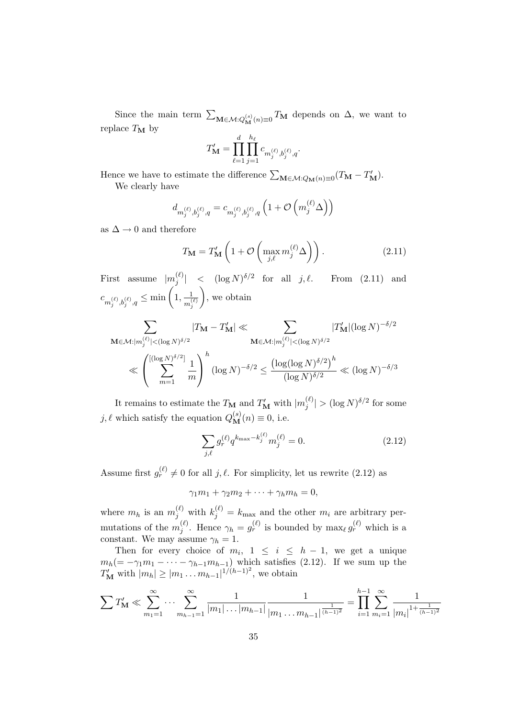Since the main term  $\sum_{\mathbf{M}\in\mathcal{M}: Q_{\mathbf{M}}^{(s)}(n)\equiv 0} T_{\mathbf{M}}$  depends on  $\Delta$ , we want to replace  $T_M$  by

$$
T'_{\mathbf{M}} = \prod_{\ell=1}^d \prod_{j=1}^{h_\ell} c_{m_j^{(\ell)}, b_j^{(\ell)}, q}.
$$

Hence we have to estimate the difference  $\sum_{\mathbf{M}\in\mathcal{M}:Q_{\mathbf{M}}(n)\equiv 0}(T_{\mathbf{M}}-T_{\mathbf{M}}')$ .

We clearly have

$$
d_{m_j^{(\ell)},b_j^{(\ell)},q} = c_{m_j^{(\ell)},b_j^{(\ell)},q} \left(1 + \mathcal{O}\left(m_j^{(\ell)}\Delta\right)\right)
$$

as  $\Delta \rightarrow 0$  and therefore

$$
T_{\mathbf{M}} = T'_{\mathbf{M}} \left( 1 + \mathcal{O} \left( \max_{j,\ell} m_j^{(\ell)} \Delta \right) \right). \tag{2.11}
$$

First assume  $|m_i^{(\ell)}\rangle$  $\begin{array}{rcl} \binom{\ell}{j} & < & (\log N)^{\delta/2} \end{array}$ From  $(2.11)$  and  $c_{m_j^{(\ell)},b_j^{(\ell)},q} \leq \min\left(1,\frac{1}{m_j^{(\ell)}}\right)$  $m_j^{(\ell)}$ , we obtain

$$
\sum_{\mathbf{M}\in\mathcal{M}:|m_j^{(\ell)}|<(\log N)^{\delta/2}}|T_{\mathbf{M}}-T_{\mathbf{M}}'| \ll \sum_{\mathbf{M}\in\mathcal{M}:|m_j^{(\ell)}|<(\log N)^{\delta/2}}|T_{\mathbf{M}}'|(\log N)^{-\delta/2}
$$

$$
\ll \left(\sum_{m=1}^{[(\log N)^{\delta/2}]} \frac{1}{m}\right)^h (\log N)^{-\delta/2} \le \frac{(\log(\log N)^{\delta/2})^h}{(\log N)^{\delta/2}} \ll (\log N)^{-\delta/3}
$$

It remains to estimate the  $T_{\mathbf{M}}$  and  $T'_{\mathbf{M}}$  with  $|m_j^{(\ell)}|$  $\frac{(\ell)}{j}$  >  $(\log N)^{\delta/2}$  for some j,  $\ell$  which satisfy the equation  $Q_{\mathbf{M}}^{(s)}(n) \equiv 0$ , i.e.

$$
\sum_{j,\ell} g_r^{(\ell)} q^{k_{\text{max}} - k_j^{(\ell)}} m_j^{(\ell)} = 0.
$$
\n(2.12)

Assume first  $g_r^{(\ell)} \neq 0$  for all j,  $\ell$ . For simplicity, let us rewrite (2.12) as

$$
\gamma_1 m_1 + \gamma_2 m_2 + \cdots + \gamma_h m_h = 0,
$$

where  $m_h$  is an  $m_j^{(\ell)}$  with  $k_j^{(\ell)} = k_{\text{max}}$  and the other  $m_i$  are arbitrary permutations of the  $m_i^{(\ell)}$ (e). Hence  $\gamma_h = g_r^{(\ell)}$  is bounded by  $\max_{\ell} g_r^{(\ell)}$  which is a constant. We may assume  $\gamma_h = 1$ .

Then for every choice of  $m_i$ ,  $1 \leq i \leq h-1$ , we get a unique  $m_h(=-\gamma_1 m_1 - \cdots - \gamma_{h-1} m_{h-1})$  which satisfies (2.12). If we sum up the  $T'_{\mathbf{M}}$  with  $|m_h| \geq |m_1 \dots m_{h-1}|^{1/(h-1)^2}$ , we obtain

$$
\sum T'_{\mathbf{M}} \ll \sum_{m_1=1}^{\infty} \cdots \sum_{m_{h-1}=1}^{\infty} \frac{1}{|m_1| \dots |m_{h-1}|} \frac{1}{|m_1 \dots m_{h-1}|^{\frac{1}{(h-1)^2}}} = \prod_{i=1}^{h-1} \sum_{m_i=1}^{\infty} \frac{1}{|m_i|^{1 + \frac{1}{(h-1)^2}}}
$$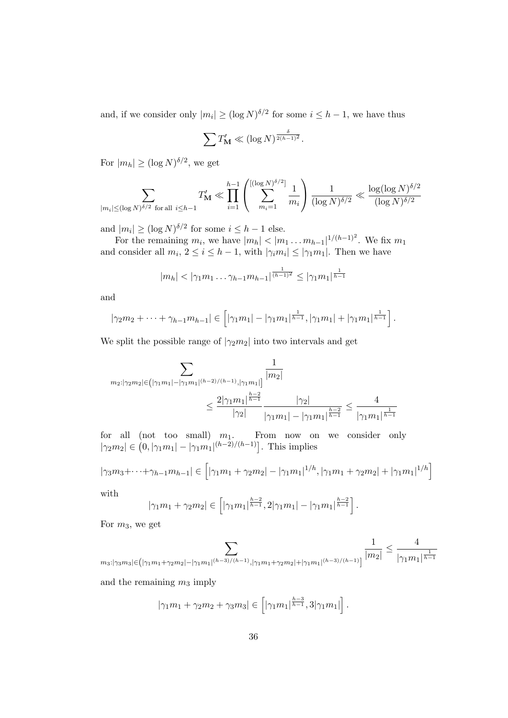and, if we consider only  $|m_i| \geq (\log N)^{\delta/2}$  for some  $i \leq h-1$ , we have thus

$$
\sum T'_{\mathbf{M}} \ll (\log N)^{\frac{\delta}{2(h-1)^2}}.
$$

For  $|m_h| \ge (\log N)^{\delta/2}$ , we get

$$
\sum_{|m_i| \leq (\log N)^{\delta/2} \text{ for all } i \leq h-1} T'_{\mathbf{M}} \ll \prod_{i=1}^{h-1} \left( \sum_{m_i=1}^{[(\log N)^{\delta/2}]} \frac{1}{m_i} \right) \frac{1}{(\log N)^{\delta/2}} \ll \frac{\log(\log N)^{\delta/2}}{(\log N)^{\delta/2}}
$$

and  $|m_i| \geq (\log N)^{\delta/2}$  for some  $i \leq h-1$  else.

For the remaining  $m_i$ , we have  $|m_h| < |m_1 \dots m_{h-1}|^{1/(h-1)^2}$ . We fix  $m_1$ and consider all  $m_i, 2 \le i \le h-1$ , with  $|\gamma_i m_i| \le |\gamma_1 m_1|$ . Then we have

$$
|m_h| < |\gamma_1 m_1 \dots \gamma_{h-1} m_{h-1}|^{\frac{1}{(h-1)^2}} \le |\gamma_1 m_1|^{\frac{1}{h-1}}
$$

and

$$
|\gamma_2 m_2 + \cdots + \gamma_{h-1} m_{h-1}| \in [|\gamma_1 m_1| - |\gamma_1 m_1|^{\frac{1}{h-1}}, |\gamma_1 m_1| + |\gamma_1 m_1|^{\frac{1}{h-1}}].
$$

We split the possible range of  $|\gamma_2 m_2|$  into two intervals and get

$$
\sum_{m_2:|\gamma_2m_2|\in \left(|\gamma_1m_1|-|\gamma_1m_1|^{(h-2)/(h-1)},|\gamma_1m_1|\right]} \frac{1}{|m_2|} \leq \frac{2|\gamma_1m_1|^{\frac{h-2}{h-1}}}{|\gamma_2|} \frac{|\gamma_2|}{|\gamma_1m_1|-|\gamma_1m_1|^{\frac{h-2}{h-1}}} \leq \frac{4}{|\gamma_1m_1|^{\frac{1}{h-1}}}
$$

for all (not too small)  $m_1$ . From now on we consider only  $|\gamma_2 m_2| \in (0, |\gamma_1 m_1| - |\gamma_1 m_1|^{(h-2)/(h-1)}].$  This implies

$$
|\gamma_3 m_3 + \dots + \gamma_{h-1} m_{h-1}| \in [|\gamma_1 m_1 + \gamma_2 m_2| - |\gamma_1 m_1|^{1/h}, |\gamma_1 m_1 + \gamma_2 m_2| + |\gamma_1 m_1|^{1/h}]
$$

with

$$
|\gamma_1 m_1 + \gamma_2 m_2| \in \left[ |\gamma_1 m_1|^{\frac{h-2}{h-1}}, 2 |\gamma_1 m_1| - |\gamma_1 m_1|^{\frac{h-2}{h-1}} \right].
$$

For m3, we get

$$
\sum_{m_3: |\gamma_3 m_3| \in (|\gamma_1 m_1 + \gamma_2 m_2| - |\gamma_1 m_1|^{(h-3)/(h-1)}, |\gamma_1 m_1 + \gamma_2 m_2| + |\gamma_1 m_1|^{(h-3)/(h-1)}]} \frac{1}{|m_2|} \le \frac{4}{|\gamma_1 m_1|^{\frac{1}{h-1}}}
$$

and the remaining  $m_3$  imply

$$
|\gamma_1 m_1 + \gamma_2 m_2 + \gamma_3 m_3| \in [|\gamma_1 m_1|^{\frac{h-3}{h-1}}, 3 |\gamma_1 m_1|].
$$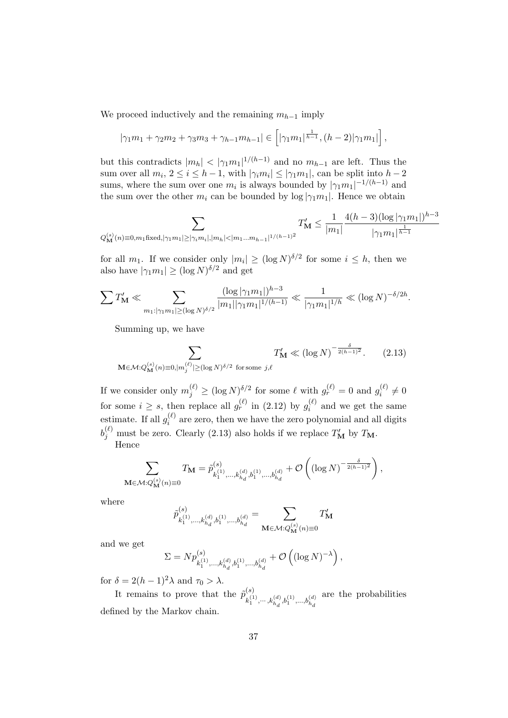We proceed inductively and the remaining  $m_{h-1}$  imply

$$
|\gamma_1 m_1 + \gamma_2 m_2 + \gamma_3 m_3 + \gamma_{h-1} m_{h-1}| \in [|\gamma_1 m_1|^{\frac{1}{h-1}}, (h-2)|\gamma_1 m_1|],
$$

but this contradicts  $|m_h| < |\gamma_1 m_1|^{1/(h-1)}$  and no  $m_{h-1}$  are left. Thus the sum over all  $m_i, 2 \le i \le h-1$ , with  $|\gamma_i m_i| \le |\gamma_1 m_1|$ , can be split into  $h-2$ sums, where the sum over one  $m_i$  is always bounded by  $|\gamma_1 m_1|^{-1/(h-1)}$  and the sum over the other  $m_i$  can be bounded by log  $|\gamma_1 m_1|$ . Hence we obtain

$$
\sum_{Q_{\bf M}^{(s)}(n)\equiv 0, m_1 {\rm fixed}, |\gamma_1 m_1|\geq |\gamma_i m_i|, |m_h|< |m_1...m_{h-1}|^{1/(h-1)^2}} T'_{\bf M} \leq \frac{1}{|m_1|} \frac{4(h-3)(\log|\gamma_1 m_1|)^{h-3}}{|\gamma_1 m_1|^{\frac{1}{h-1}}}
$$

for all  $m_1$ . If we consider only  $|m_i| \geq (\log N)^{\delta/2}$  for some  $i \leq h$ , then we also have  $|\gamma_1 m_1| \ge (\log N)^{\delta/2}$  and get

$$
\sum T'_{\mathbf{M}} \ll \sum_{m_1: |\gamma_1 m_1| \ge (\log N)^{\delta/2}} \frac{(\log |\gamma_1 m_1|)^{h-3}}{|m_1||\gamma_1 m_1|^{1/(h-1)}} \ll \frac{1}{|\gamma_1 m_1|^{1/h}} \ll (\log N)^{-\delta/2h}.
$$

Summing up, we have

$$
\sum_{\mathbf{M}\in\mathcal{M}:Q_{\mathbf{M}}^{(s)}(n)\equiv 0,|m_j^{(\ell)}|\geq (\log N)^{\delta/2} \text{ for some } j,\ell} T'_{\mathbf{M}} \ll (\log N)^{-\frac{\delta}{2(h-1)^2}}.
$$
 (2.13)

If we consider only  $m_j^{(\ell)} \ge (\log N)^{\delta/2}$  for some  $\ell$  with  $g_r^{(\ell)} = 0$  and  $g_i^{(\ell)}$  $q_i^{(\ell)} \neq 0$ for some  $i \geq s$ , then replace all  $g_r^{(\ell)}$  in (2.12) by  $g_i^{(\ell)}$  $i^{(t)}$  and we get the same estimate. If all  $g_i^{(\ell)}$  $i^{(t)}$  are zero, then we have the zero polynomial and all digits  $b_j^{(\ell)}$  must be zero. Clearly (2.13) also holds if we replace  $T'_M$  by  $T_M$ . Hence

$$
\sum_{\mathbf{M}\in\mathcal{M}: Q_{\mathbf{M}}^{(s)}(n)\equiv 0} T_{\mathbf{M}} = \tilde{p}_{k_1^{(1)},\ldots,k_{h_d}^{(d)},b_1^{(1)},\ldots,b_{h_d}^{(d)}}^{(s)} + \mathcal{O}\left(\left(\log N\right)^{-\frac{\delta}{2(h-1)^2}}\right),
$$

where

$$
\tilde{p}^{(s)}_{k_{1}^{(1)},\ldots,k_{h_{d}}^{(d)},b_{1}^{(1)},\ldots,b_{h_{d}}^{(d)}}=\sum_{\mathbf{M}\in\mathcal{M}:Q_{\mathbf{M}}^{(s)}(n)\equiv 0}T_{\mathbf{M}}^{\prime}
$$

and we get

$$
\Sigma = N p_{k_1^{(1)}, \dots, k_{h_d}^{(d)}, b_1^{(1)}, \dots, b_{h_d}^{(d)}}^{(d)} + \mathcal{O}\left((\log N)^{-\lambda}\right),
$$

for  $\delta = 2(h-1)^2 \lambda$  and  $\tau_0 > \lambda$ .

It remains to prove that the  $\tilde{p}_{1}^{(s)}$  $k_1^{(1)}, \cdots, k_{h_d}^{(d)}, b_1^{(1)}, \ldots, b_{h_d}^{(d)}$ are the probabilities defined by the Markov chain.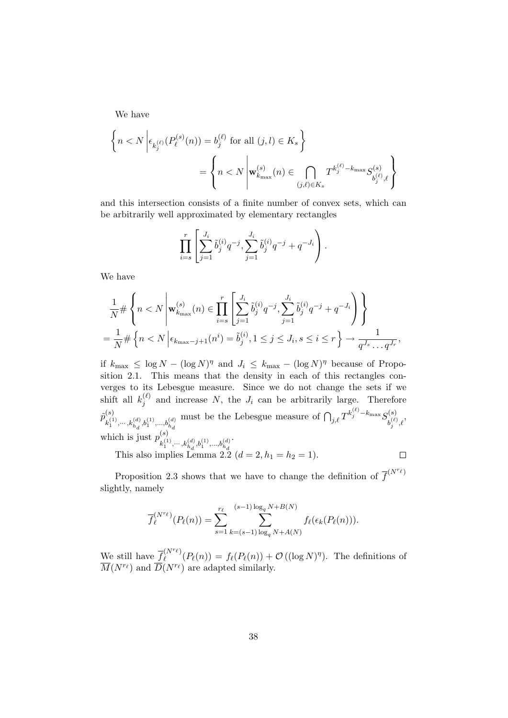We have

$$
\left\{ n < N \left| \epsilon_{k_j^{(\ell)}}(P_\ell^{(s)}(n)) = b_j^{(\ell)} \text{ for all } (j,l) \in K_s \right. \right\}
$$
\n
$$
= \left\{ n < N \left| \mathbf{w}_{k_{\text{max}}}^{(s)}(n) \in \bigcap_{(j,\ell) \in K_s} T^{k_j^{(\ell)} - k_{\text{max}}} S_{b_j^{(\ell)},\ell}^{(s)} \right. \right\}
$$

and this intersection consists of a finite number of convex sets, which can be arbitrarily well approximated by elementary rectangles

$$
\prod_{i=s}^r \left[ \sum_{j=1}^{J_i} \tilde{b}_j^{(i)} q^{-j}, \sum_{j=1}^{J_i} \tilde{b}_j^{(i)} q^{-j} + q^{-J_i} \right).
$$

We have

$$
\frac{1}{N} \# \left\{ n < N \, \middle| \, \mathbf{w}_{k_{\max}}^{(s)}(n) \in \prod_{i=s}^r \left[ \sum_{j=1}^{J_i} \tilde{b}_j^{(i)} q^{-j}, \sum_{j=1}^{J_i} \tilde{b}_j^{(i)} q^{-j} + q^{-J_i} \right] \right\}
$$
\n
$$
= \frac{1}{N} \# \left\{ n < N \, \middle| \, \epsilon_{k_{\max}-j+1}(n^i) = \tilde{b}_j^{(i)}, 1 \le j \le J_i, s \le i \le r \right\} \to \frac{1}{q^{J_s} \dots q^{J_r}},
$$

if  $k_{\text{max}} \leq \log N - (\log N)^{\eta}$  and  $J_i \leq k_{\text{max}} - (\log N)^{\eta}$  because of Proposition 2.1. This means that the density in each of this rectangles converges to its Lebesgue measure. Since we do not change the sets if we shift all  $k_i^{(\ell)}$  $j_j^{(t)}$  and increase N, the  $J_i$  can be arbitrarily large. Therefore  $\tilde{p}_{\ldots 0}^{(s)}$  $k_1^{(1)}, \cdots, k_{h_d}^{(d)}, b_1^{(1)}, \ldots, b_{h_d}^{(d)}$ must be the Lebesgue measure of  $\bigcap_{j,\ell} T^{k_j^{(\ell)}}$ - $k_{\max} S_{k^{(\ell)}}^{(s)}$  $b_j^{(\ell)},\ell$ which is just  $p_{0}^{(s)}$  $k_1^{(1)}, \cdots, k_{h_d}^{(d)}, b_1^{(1)}, \ldots, b_{h_d}^{(d)}$ .

This also implies Lemma 2.2  $(d = 2, h_1 = h_2 = 1)$ .

Proposition 2.3 shows that we have to change the definition of  $\overline{f}^{(N^{r_{\ell}})}$ slightly, namely

$$
\overline{f}_{\ell}^{(N^{r_{\ell}})}(P_{\ell}(n)) = \sum_{s=1}^{r_{\ell}} \sum_{k=(s-1)\log_q N + A(N)}^{(s-1)\log_q N + B(N)} f_{\ell}(\epsilon_k(P_{\ell}(n))).
$$

We still have  $\overline{f}_{\ell}^{(N^{r_{\ell}})}$  $\mathcal{C}^{(N^{\prime}\ell)}_{\ell}(P_{\ell}(n)) = f_{\ell}(P_{\ell}(n)) + \mathcal{O}((\log N)^{\eta}).$  The definitions of  $\overline{M}(N^{r_{\ell}})$  and  $\overline{D}(N^{r_{\ell}})$  are adapted similarly.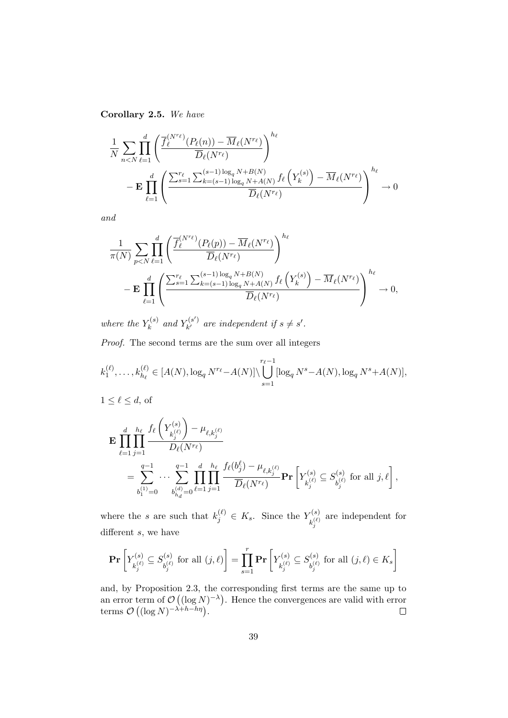Corollary 2.5. We have

$$
\frac{1}{N} \sum_{n < N} \prod_{\ell=1}^d \left( \frac{\overline{f}_{\ell}^{(N^{r_{\ell}})}(P_{\ell}(n)) - \overline{M}_{\ell}(N^{r_{\ell}})}{\overline{D}_{\ell}(N^{r_{\ell}})} \right)^{h_{\ell}} - \mathbf{E} \prod_{\ell=1}^d \left( \frac{\sum_{s=1}^{r_{\ell}} \sum_{k=(s-1)\log_q N + B(N)}^{(s-1)\log_q N + B(N)} f_{\ell}\left(Y_k^{(s)}\right) - \overline{M}_{\ell}(N^{r_{\ell}})}{\overline{D}_{\ell}(N^{r_{\ell}})} \right)^{h_{\ell}} \to 0
$$

and

$$
\frac{1}{\pi(N)} \sum_{p
$$

where the  $Y_k^{(s)}$  $\mathcal{L}_{k}^{(s)}$  and  $Y_{k'}^{(s')}$  $\mathbf{r}_{k'}^{(s')}$  are independent if  $s \neq s'$ .

Proof. The second terms are the sum over all integers

$$
k_1^{(\ell)}, \ldots, k_{h_\ell}^{(\ell)} \in [A(N), \log_q N^{r_\ell} - A(N)] \setminus \bigcup_{s=1}^{r_\ell-1} [\log_q N^s - A(N), \log_q N^s + A(N)],
$$

$$
1 \le \ell \le d, \text{ of }
$$

$$
\mathbf{E} \prod_{\ell=1}^{d} \prod_{j=1}^{h_{\ell}} \frac{f_{\ell} \left( Y_{k_{j}^{(\ell)}}^{(s)} \right) - \mu_{\ell,k_{j}^{(\ell)}}}{D_{\ell}(N^{r_{\ell}})} \n= \sum_{b_{1}^{(1)}=0}^{q-1} \cdots \sum_{b_{h_{d}}^{(d)}=0}^{q-1} \prod_{\ell=1}^{d} \prod_{j=1}^{h_{\ell}} \frac{f_{\ell}(b_{j}^{\ell}) - \mu_{\ell,k_{j}^{(\ell)}}}{\overline{D}_{\ell}(N^{r_{\ell}})} \mathbf{Pr} \left[ Y_{k_{j}^{(\ell)}}^{(s)} \subseteq S_{b_{j}^{(\ell)}}^{(s)} \text{ for all } j, \ell \right],
$$

where the s are such that  $k_j^{(\ell)} \in K_s$ . Since the  $Y_{\nu^{(\ell)}}^{(s)}$  $k_j^{(\ell)}$ are independent for different s, we have

$$
\mathbf{Pr}\left[Y_{k_j^{(\ell)}}^{(s)} \subseteq S_{b_j^{(\ell)}}^{(s)} \text{ for all } (j,\ell)\right] = \prod_{s=1}^r \mathbf{Pr}\left[Y_{k_j^{(\ell)}}^{(s)} \subseteq S_{b_j^{(\ell)}}^{(s)} \text{ for all } (j,\ell) \in K_s\right]
$$

and, by Proposition 2.3, the corresponding first terms are the same up to an error term of  $\mathcal{O}\left((\log N)^{-\lambda}\right)$ . Hence the convergences are valid with error terms  $\mathcal{O}\left((\log N)^{-\lambda+h-h\eta}\right)$ .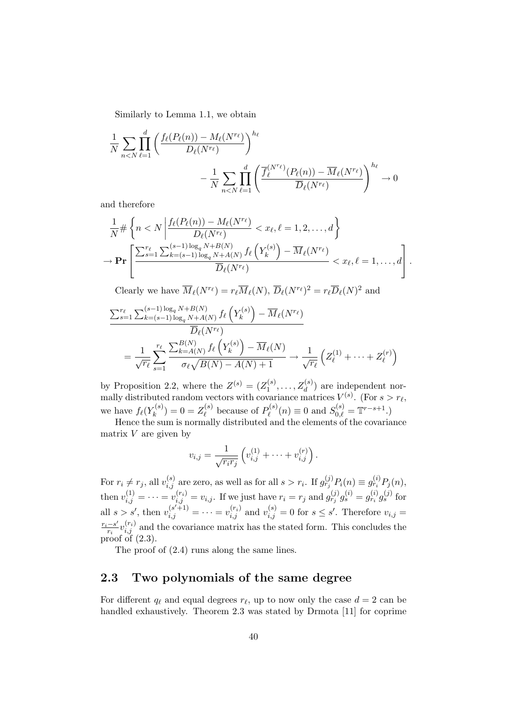Similarly to Lemma 1.1, we obtain

$$
\frac{1}{N} \sum_{n < N} \prod_{\ell=1}^d \left( \frac{f_\ell(P_\ell(n)) - M_\ell(N^{r_\ell})}{D_\ell(N^{r_\ell})} \right)^{h_\ell} - \frac{1}{N} \sum_{n < N} \prod_{\ell=1}^d \left( \frac{\overline{f}_\ell^{(N^{r_\ell})}(P_\ell(n)) - \overline{M}_\ell(N^{r_\ell})}{\overline{D}_\ell(N^{r_\ell})} \right)^{h_\ell} \to 0
$$

and therefore

$$
\frac{1}{N} \# \left\{ n < N \left| \frac{f_{\ell}(P_{\ell}(n)) - M_{\ell}(N^{r_{\ell}})}{D_{\ell}(N^{r_{\ell}})} < x_{\ell}, \ell = 1, 2, \ldots, d \right\} \right\}
$$
\n
$$
\to \mathbf{Pr} \left[ \frac{\sum_{s=1}^{r_{\ell}} \sum_{k=(s-1)\log_q N + A(N)}^{(s-1)\log_q N + B(N)} f_{\ell} \left( Y_{k}^{(s)} \right) - \overline{M}_{\ell}(N^{r_{\ell}})}{\overline{D}_{\ell}(N^{r_{\ell}})} < x_{\ell}, \ell = 1, \ldots, d \right].
$$

Clearly we have  $\overline{M}_{\ell}(N^{r_{\ell}}) = r_{\ell} \overline{M}_{\ell}(N), \overline{D}_{\ell}(N^{r_{\ell}})^{2} = r_{\ell} \overline{D}_{\ell}(N)^{2}$  and

$$
\frac{\sum_{s=1}^{r_{\ell}} \sum_{k=(s-1)\log_{q} N+B(N)}^{(s-1)\log_{q} N+B(N)} f_{\ell}\left(Y_{k}^{(s)}\right) - \overline{M}_{\ell}(N^{r_{\ell}})}{\overline{D}_{\ell}(N^{r_{\ell}})}
$$
\n
$$
= \frac{1}{\sqrt{r_{\ell}}} \sum_{s=1}^{r_{\ell}} \frac{\sum_{k=A(N)}^{B(N)} f_{\ell}\left(Y_{k}^{(s)}\right) - \overline{M}_{\ell}(N)}{\sigma_{\ell} \sqrt{B(N) - A(N) + 1}} \to \frac{1}{\sqrt{r_{\ell}}} \left(Z_{\ell}^{(1)} + \dots + Z_{\ell}^{(r)}\right)
$$

by Proposition 2.2, where the  $Z^{(s)} = (Z_1^{(s)})$  $\mathcal{I}_1^{(s)}, \ldots, \mathcal{Z}_d^{(s)}$  are independent normally distributed random vectors with covariance matrices  $V^{(s)}$ . (For  $s > r_\ell$ , we have  $f_{\ell}(Y_k^{(s)})$  $(z_k^{(s)}) = 0 = Z_\ell^{(s)}$  $P_{\ell}^{(s)}$  because of  $P_{\ell}^{(s)}$  $S_{\ell}^{(s)}(n) \equiv 0$  and  $S_{0,\ell}^{(s)} = \mathbb{T}^{r-s+1}$ .)

Hence the sum is normally distributed and the elements of the covariance matrix  $V$  are given by

$$
v_{i,j} = \frac{1}{\sqrt{r_i r_j}} \left( v_{i,j}^{(1)} + \dots + v_{i,j}^{(r)} \right).
$$

For  $r_i \neq r_j$ , all  $v_{i,j}^{(s)}$  are zero, as well as for all  $s > r_i$ . If  $g_{r_j}^{(j)}P_i(n) \equiv g_{r_i}^{(i)}P_j(n)$ , then  $v_{i,j}^{(1)} = \cdots = v_{i,j}^{(r_i)} = v_{i,j}$ . If we just have  $r_i = r_j$  and  $g_{r_j}^{(j)} g_s^{(i)} = g_{r_i}^{(i)} g_s^{(j)}$  for all  $s > s'$ , then  $v_{i,j}^{(s'+1)} = \cdots = v_{i,j}^{(r_i)}$  and  $v_{i,j}^{(s)} = 0$  for  $s \leq s'$ . Therefore  $v_{i,j} =$  $r_i - s'$  $\frac{-s'}{r_i}v_{i,j}^{(r_i)}$  and the covariance matrix has the stated form. This concludes the proof of  $(2.3)$ .

The proof of (2.4) runs along the same lines.

#### 2.3 Two polynomials of the same degree

For different  $q_\ell$  and equal degrees  $r_\ell$ , up to now only the case  $d = 2$  can be handled exhaustively. Theorem 2.3 was stated by Drmota [11] for coprime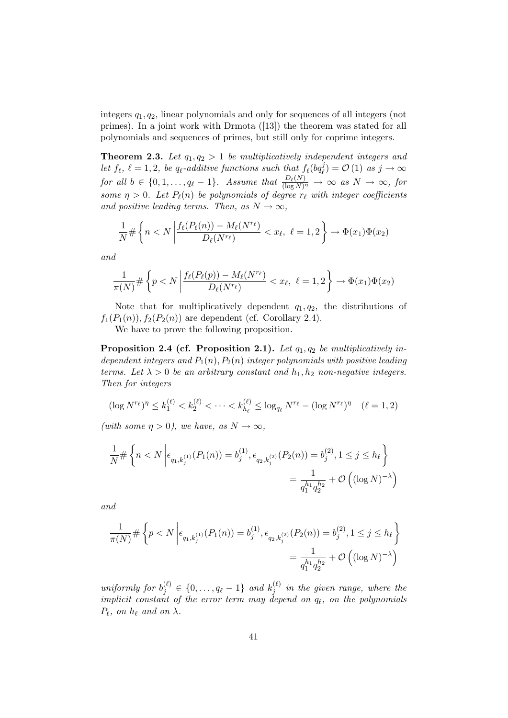integers  $q_1, q_2$ , linear polynomials and only for sequences of all integers (not primes). In a joint work with Drmota ([13]) the theorem was stated for all polynomials and sequences of primes, but still only for coprime integers.

**Theorem 2.3.** Let  $q_1, q_2 > 1$  be multiplicatively independent integers and let  $f_{\ell}$ ,  $\ell = 1, 2$ , be  $q_{\ell}$ -additive functions such that  $f_{\ell}(bq_{\ell}^{j}) = \mathcal{O}(1)$  as  $j \to \infty$ for all  $b \in \{0, 1, \ldots, q_\ell - 1\}$ . Assume that  $\frac{D_\ell(N)}{(\log N)^\eta} \to \infty$  as  $N \to \infty$ , for some  $\eta > 0$ . Let  $P_{\ell}(n)$  be polynomials of degree  $r_{\ell}$  with integer coefficients and positive leading terms. Then, as  $N \to \infty$ ,

$$
\frac{1}{N} \# \left\{ n < N \left| \frac{f_{\ell}(P_{\ell}(n)) - M_{\ell}(N^{r_{\ell}})}{D_{\ell}(N^{r_{\ell}})} \right| < x_{\ell}, \ \ell = 1, 2 \right\} \to \Phi(x_1) \Phi(x_2)
$$

and

$$
\frac{1}{\pi(N)} \# \left\{ p < N \left| \frac{f_{\ell}(P_{\ell}(p)) - M_{\ell}(N^{r_{\ell}})}{D_{\ell}(N^{r_{\ell}})} < x_{\ell}, \ \ell = 1, 2 \right. \right\} \to \Phi(x_1) \Phi(x_2)
$$

Note that for multiplicatively dependent  $q_1, q_2$ , the distributions of  $f_1(P_1(n)), f_2(P_2(n))$  are dependent (cf. Corollary 2.4).

We have to prove the following proposition.

Proposition 2.4 (cf. Proposition 2.1). Let  $q_1, q_2$  be multiplicatively independent integers and  $P_1(n)$ ,  $P_2(n)$  integer polynomials with positive leading terms. Let  $\lambda > 0$  be an arbitrary constant and  $h_1, h_2$  non-negative integers. Then for integers

$$
(\log N^{r_{\ell}})^{\eta} \le k_1^{(\ell)} < k_2^{(\ell)} < \cdots < k_{h_{\ell}}^{(\ell)} \le \log_{q_{\ell}} N^{r_{\ell}} - (\log N^{r_{\ell}})^{\eta} \quad (\ell = 1, 2)
$$

(with some  $\eta > 0$ ), we have, as  $N \to \infty$ ,

$$
\frac{1}{N} \# \left\{ n < N \left| \epsilon_{q_1, k_j^{(1)}}(P_1(n)) = b_j^{(1)}, \epsilon_{q_2, k_j^{(2)}}(P_2(n)) = b_j^{(2)}, 1 \le j \le h_\ell \right. \right\}
$$
\n
$$
= \frac{1}{q_1^{h_1} q_2^{h_2}} + \mathcal{O}\left( (\log N)^{-\lambda} \right)
$$

and

$$
\frac{1}{\pi(N)} \# \left\{ p < N \left| \epsilon_{q_1, k_j^{(1)}}(P_1(n)) = b_j^{(1)}, \epsilon_{q_2, k_j^{(2)}}(P_2(n)) = b_j^{(2)}, 1 \le j \le h_\ell \right\} \right\}
$$
\n
$$
= \frac{1}{q_1^{h_1} q_2^{h_2}} + \mathcal{O}\left( (\log N)^{-\lambda} \right)
$$

uniformly for  $b_j^{(\ell)} \in \{0, \ldots, q_\ell - 1\}$  and  $k_j^{(\ell)}$  $j_j^{(k)}$  in the given range, where the implicit constant of the error term may depend on  $q_\ell$ , on the polynomials  $P_\ell$ , on  $h_\ell$  and on  $\lambda$ .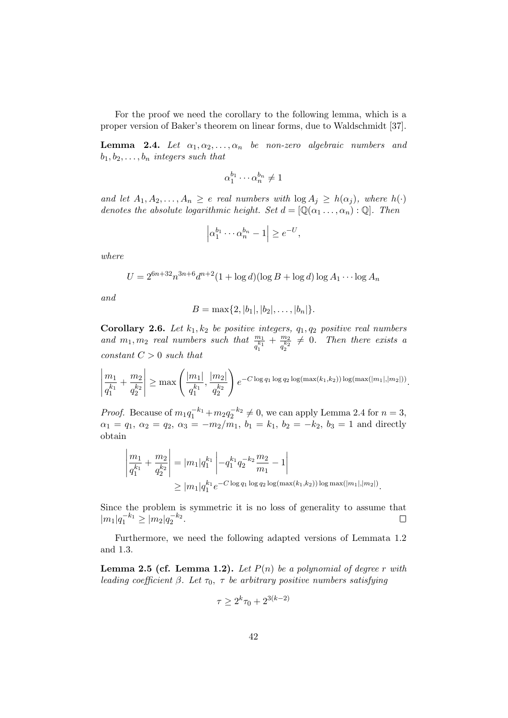For the proof we need the corollary to the following lemma, which is a proper version of Baker's theorem on linear forms, due to Waldschmidt [37].

**Lemma 2.4.** Let  $\alpha_1, \alpha_2, \ldots, \alpha_n$  be non-zero algebraic numbers and  $b_1, b_2, \ldots, b_n$  integers such that

$$
\alpha_1^{b_1}\cdots \alpha_n^{b_n}\neq 1
$$

and let  $A_1, A_2, \ldots, A_n \geq e$  real numbers with  $\log A_j \geq h(\alpha_j)$ , where  $h(\cdot)$ denotes the absolute logarithmic height. Set  $d = [\mathbb{Q}(\alpha_1 \dots, \alpha_n) : \mathbb{Q}]$ . Then

$$
\left| \alpha_1^{b_1} \cdots \alpha_n^{b_n} - 1 \right| \ge e^{-U},
$$

where

$$
U = 2^{6n+32} n^{3n+6} d^{n+2} (1 + \log d)(\log B + \log d) \log A_1 \cdots \log A_n
$$

and

$$
B = \max\{2, |b_1|, |b_2|, \ldots, |b_n|\}
$$

**Corollary 2.6.** Let  $k_1, k_2$  be positive integers,  $q_1, q_2$  positive real numbers and  $m_1, m_2$  real numbers such that  $\frac{m_1}{q_1^{k_1}}$  $+\frac{m_2}{k_2}$  $q_2^{k_2}$  $\neq 0$ . Then there exists a constant  $C > 0$  such that

$$
\left|\frac{m_1}{q_1^{k_1}} + \frac{m_2}{q_2^{k_2}}\right| \ge \max\left(\frac{|m_1|}{q_1^{k_1}}, \frac{|m_2|}{q_2^{k_2}}\right) e^{-C \log q_1 \log q_2 \log(\max(k_1, k_2)) \log(\max(|m_1|, |m_2|))}.
$$

*Proof.* Because of  $m_1q_1^{-k_1} + m_2q_2^{-k_2} \neq 0$ , we can apply Lemma 2.4 for  $n = 3$ ,  $\alpha_1 = q_1, \ \alpha_2 = q_2, \ \alpha_3 = -m_2/m_1, \ b_1 = k_1, \ b_2 = -k_2, \ b_3 = 1$  and directly obtain

$$
\left| \frac{m_1}{q_1^{k_1}} + \frac{m_2}{q_2^{k_2}} \right| = |m_1| q_1^{k_1} \left| -q_1^{k_1} q_2^{-k_2} \frac{m_2}{m_1} - 1 \right|
$$
  
\n
$$
\geq |m_1| q_1^{k_1} e^{-C \log q_1 \log q_2 \log(\max(k_1, k_2)) \log \max(|m_1|, |m_2|)}.
$$

Since the problem is symmetric it is no loss of generality to assume that  $|m_1|q_1^{-k_1} \geq |m_2|q_2^{-k_2}.$  $\Box$ 

Furthermore, we need the following adapted versions of Lemmata 1.2 and 1.3.

**Lemma 2.5 (cf. Lemma 1.2).** Let  $P(n)$  be a polynomial of degree r with leading coefficient  $\beta$ . Let  $\tau_0$ ,  $\tau$  be arbitrary positive numbers satisfying

$$
\tau \ge 2^k \tau_0 + 2^{3(k-2)}
$$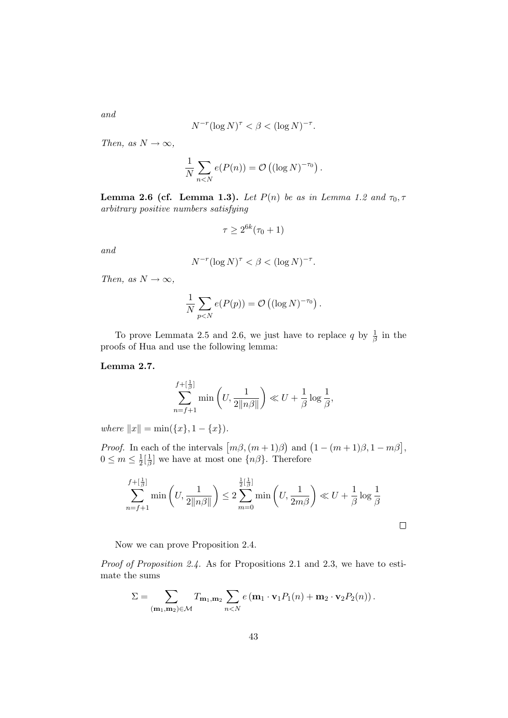$$
N^{-r} (\log N)^{\tau} < \beta < (\log N)^{-\tau}.
$$

Then, as  $N \to \infty$ ,

$$
\frac{1}{N} \sum_{n < N} e(P(n)) = \mathcal{O}\left((\log N)^{-\tau_0}\right).
$$

Lemma 2.6 (cf. Lemma 1.3). Let  $P(n)$  be as in Lemma 1.2 and  $\tau_0$ ,  $\tau$ arbitrary positive numbers satisfying

$$
\tau \ge 2^{6k}(\tau_0 + 1)
$$

and

$$
N^{-r}(\log N)^{\tau} < \beta < (\log N)^{-\tau}.
$$

Then, as  $N \to \infty$ ,

$$
\frac{1}{N}\sum_{p
$$

To prove Lemmata 2.5 and 2.6, we just have to replace q by  $\frac{1}{\beta}$  in the proofs of Hua and use the following lemma:

Lemma 2.7.

$$
\sum_{n=f+1}^{f+[\frac{1}{\beta}]} \min\left(U, \frac{1}{2\|\eta\beta\|}\right) \ll U + \frac{1}{\beta} \log \frac{1}{\beta},
$$

where  $||x|| = \min({x}, 1 - {x}).$ 

*Proof.* In each of the intervals  $[m\beta, (m+1)\beta]$  and  $(1 - (m+1)\beta, 1 - m\beta]$ ,  $0 \leq m \leq \frac{1}{2}$  $\frac{1}{2}$  $\left[\frac{1}{\beta}\right]$  $\frac{1}{\beta}$  we have at most one  $\{n\beta\}$ . Therefore

$$
\sum_{n=f+1}^{f+[\frac{1}{\beta}]} \min\left(U, \frac{1}{2\|n\beta\|}\right) \le 2 \sum_{m=0}^{\frac{1}{2}[\frac{1}{\beta}]} \min\left(U, \frac{1}{2m\beta}\right) \ll U + \frac{1}{\beta} \log \frac{1}{\beta}
$$

Now we can prove Proposition 2.4.

Proof of Proposition 2.4. As for Propositions 2.1 and 2.3, we have to estimate the sums

$$
\Sigma = \sum_{(\mathbf{m}_1, \mathbf{m}_2) \in \mathcal{M}} T_{\mathbf{m}_1, \mathbf{m}_2} \sum_{n < N} e(\mathbf{m}_1 \cdot \mathbf{v}_1 P_1(n) + \mathbf{m}_2 \cdot \mathbf{v}_2 P_2(n)).
$$

43

and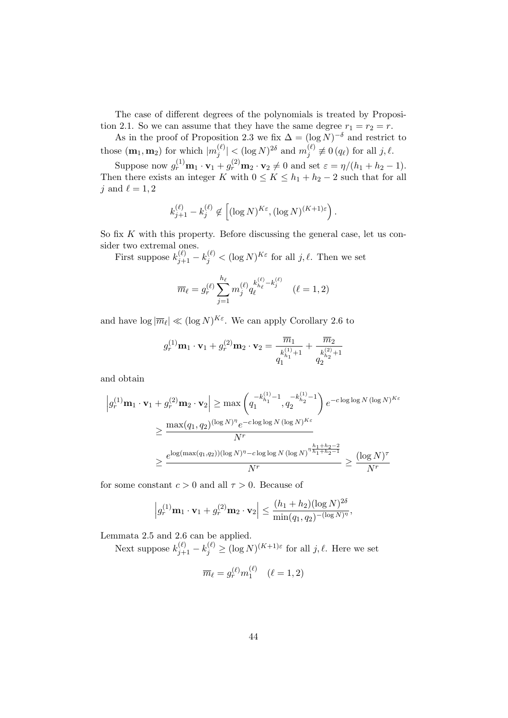The case of different degrees of the polynomials is treated by Proposition 2.1. So we can assume that they have the same degree  $r_1 = r_2 = r$ .

As in the proof of Proposition 2.3 we fix  $\Delta = (\log N)^{-\delta}$  and restrict to those  $(\mathbf{m}_1, \mathbf{m}_2)$  for which  $|m_i^{(\ell)}\rangle$  $\vert \binom{\ell}{j} \vert < (\log N)^{2\delta} \text{ and } m_j^{(\ell)}$  $j^{(\ell)} \not\equiv 0 (q_{\ell})$  for all  $j, \ell$ .

Suppose now  $g_r^{(1)} \mathbf{m}_1 \cdot \mathbf{v}_1 + g_r^{(2)} \mathbf{m}_2 \cdot \mathbf{v}_2 \neq 0$  and set  $\varepsilon = \eta/(h_1 + h_2 - 1)$ . Then there exists an integer K with  $0 \leq K \leq h_1 + h_2 - 2$  such that for all j and  $\ell = 1, 2$ 

$$
k_{j+1}^{(\ell)} - k_j^{(\ell)} \not\in \left[ (\log N)^{K \varepsilon}, (\log N)^{(K+1) \varepsilon} \right).
$$

So fix  $K$  with this property. Before discussing the general case, let us consider two extremal ones.

First suppose  $k_{j+1}^{(\ell)} - k_j^{(\ell)} < (\log N)^{K\varepsilon}$  for all  $j, \ell$ . Then we set

$$
\overline{m}_{\ell} = g_r^{(\ell)} \sum_{j=1}^{h_{\ell}} m_j^{(\ell)} q_{\ell}^{k_{h_{\ell}}^{(\ell)} - k_j^{(\ell)}} \quad (\ell = 1, 2)
$$

and have  $\log |\overline{m}_{\ell}| \ll (\log N)^{K_{\varepsilon}}$ . We can apply Corollary 2.6 to

$$
g_r^{(1)}\mathbf{m}_1 \cdot \mathbf{v}_1 + g_r^{(2)}\mathbf{m}_2 \cdot \mathbf{v}_2 = \frac{\overline{m}_1}{\overline{m}_{h_1}^{(1)} + 1} + \frac{\overline{m}_2}{\overline{m}_{h_2}^{(2)} + 1}
$$

and obtain

$$
\left| g_r^{(1)} \mathbf{m}_1 \cdot \mathbf{v}_1 + g_r^{(2)} \mathbf{m}_2 \cdot \mathbf{v}_2 \right| \ge \max \left( q_1^{-k_{h_1}^{(1)} - 1}, q_2^{-k_{h_2}^{(1)} - 1} \right) e^{-c \log \log N (\log N)^{K \varepsilon}}
$$
  

$$
\ge \frac{\max(q_1, q_2)^{(\log N)^{\eta}} e^{-c \log \log N (\log N)^{K \varepsilon}}}{N^r}
$$
  

$$
\ge \frac{e^{\log(\max(q_1, q_2)) (\log N)^{\eta} - c \log \log N (\log N)^{\eta \frac{h_1 + h_2 - 2}{h_1 + h_2 - 1}}}{N^r} \ge \frac{(\log N)^{\tau}}{N^r}
$$

for some constant  $c > 0$  and all  $\tau > 0$ . Because of

$$
\left|g_r^{(1)}\mathbf{m}_1\cdot\mathbf{v}_1+g_r^{(2)}\mathbf{m}_2\cdot\mathbf{v}_2\right| \leq \frac{(h_1+h_2)(\log N)^{2\delta}}{\min(q_1,q_2)^{-(\log N)^{\eta}}},
$$

Lemmata 2.5 and 2.6 can be applied.

Next suppose  $k_{j+1}^{(\ell)} - k_j^{(\ell)} \ge (\log N)^{(K+1)\varepsilon}$  for all  $j, \ell$ . Here we set

$$
\overline{m}_{\ell} = g_r^{(\ell)} m_1^{(\ell)} \quad (\ell = 1, 2)
$$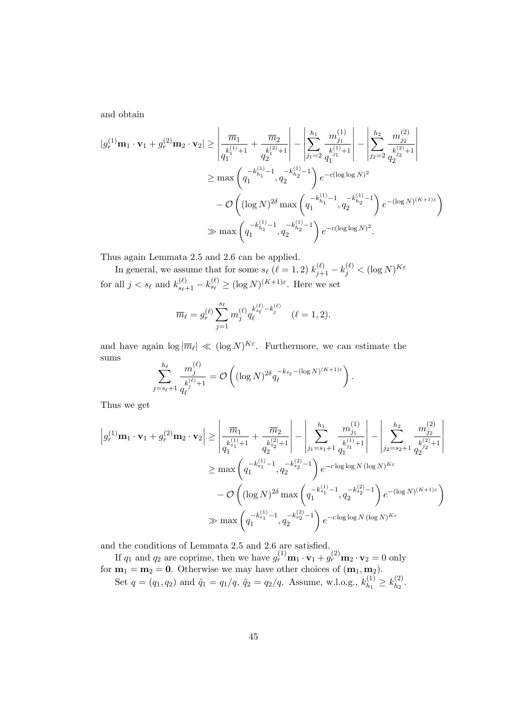and obtain

$$
|g_r^{(1)}\mathbf{m}_1 \cdot \mathbf{v}_1 + g_r^{(2)}\mathbf{m}_2 \cdot \mathbf{v}_2| \ge \left| \frac{\overline{m}_1}{q_1^{k_1^{(1)}+1}} + \frac{\overline{m}_2}{q_2^{k_2^{(2)}+1}} \right| - \left| \sum_{j_1=2}^{h_1} \frac{m_{j_1}^{(1)}}{q_1^{k_1^{(1)}+1}} \right| - \left| \sum_{j_2=2}^{h_2} \frac{m_{j_2}^{(2)}}{q_2^{k_2^{(2)}+1}} \right|
$$
  
\n
$$
\ge \max\left(q_1^{-k_{h_1}^{(1)}-1}, q_2^{-k_{h_2}^{(1)}-1} \right) e^{-c(\log \log N)^2}
$$
  
\n
$$
- \mathcal{O}\left((\log N)^{2\delta} \max\left(q_1^{-k_{h_1}^{(1)}-1}, q_2^{-k_{h_2}^{(1)}-1} \right) e^{-(\log N)^{(K+1)\varepsilon}}\right)
$$
  
\n
$$
\gg \max\left(q_1^{-k_{h_1}^{(1)}-1}, q_2^{-k_{h_2}^{(1)}-1} \right) e^{-c(\log \log N)^2}.
$$

Thus again Lemmata 2.5 and 2.6 can be applied.

In general, we assume that for some  $s_\ell$  ( $\ell = 1, 2$ )  $k_{j+1}^{(\ell)} - k_j^{(\ell)} < (\log N)^{K \varepsilon}$ for all  $j < s_\ell$  and  $k_{s_\ell+1}^{(\ell)} - k_{s_\ell}^{(\ell)} \ge (\log N)^{(K+1)\varepsilon}$ . Here we set

$$
\overline{m}_{\ell} = g_r^{(\ell)} \sum_{j=1}^{s_{\ell}} m_j^{(\ell)} q_{\ell}^{k_{s_{\ell}}^{(\ell)} - k_j^{(\ell)}} \quad (\ell = 1, 2).
$$

and have again  $\log |\overline{m}_{\ell}| \ll (\log N)^{K_{\varepsilon}}$ . Furthermore, we can estimate the sums

$$
\sum_{j=s_{\ell}+1}^{h_{\ell}} \frac{m_j^{(\ell)}}{q_{\ell}^{(\ell)}+1} = \mathcal{O}\left( (\log N)^{2\delta} q_{\ell}^{-k_{s_{\ell}} - (\log N)^{(K+1)\varepsilon}} \right)
$$

Thus we get

$$
\begin{split} \left|g_r^{(1)}\mathbf{m}_1\cdot\mathbf{v}_1+g_r^{(2)}\mathbf{m}_2\cdot\mathbf{v}_2\right| &\geq \left|\frac{\overline{m}_1}{q_1^{(s_1)}+1}+\frac{\overline{m}_2}{q_2^{(s_2)}+1}\right|-\left|\sum_{j_1=s_1+1}^{h_1}\frac{m_{j_1}^{(1)}}{q_1^{(s_1)}+1}\right|-\left|\sum_{j_2=s_2+1}^{h_2}\frac{m_{j_2}^{(2)}}{q_2^{(s_2)}+1}\right|\\ &\geq \max\left(q_1^{-k_{s_1}^{(1)}-1},q_2^{-k_{s_2}^{(2)}-1}\right)e^{-c\log\log N(\log N)^{K\varepsilon}}\\ &-\mathcal{O}\left((\log N)^{2\delta}\max\left(q_1^{-k_{s_1}^{(1)}-1},q_2^{-k_{s_2}^{(2)}-1}\right)e^{-(\log N)^{(K+1)\varepsilon}}\right)\\ &\gg \max\left(q_1^{-k_{s_1}^{(1)}-1},q_2^{-k_{s_2}^{(2)}-1}\right)e^{-c\log\log N(\log N)^{K\varepsilon}} \end{split}
$$

.

and the conditions of Lemmata 2.5 and 2.6 are satisfied.

If  $q_1$  and  $q_2$  are coprime, then we have  $g_r^{(1)}\mathbf{m}_1 \cdot \mathbf{v}_1 + g_r^{(2)}\mathbf{m}_2 \cdot \mathbf{v}_2 = 0$  only for  $m_1 = m_2 = 0$ . Otherwise we may have other choices of  $(m_1, m_2)$ . Set  $q = (q_1, q_2)$  and  $\tilde{q}_1 = q_1/q$ ,  $\tilde{q}_2 = q_2/q$ . Assume, w.l.o.g.,  $k_{h_1}^{(1)}$  $k_{h_1}^{(1)} \geq k_{h_2}^{(2)}$  $\frac{(2)}{h_2}$ .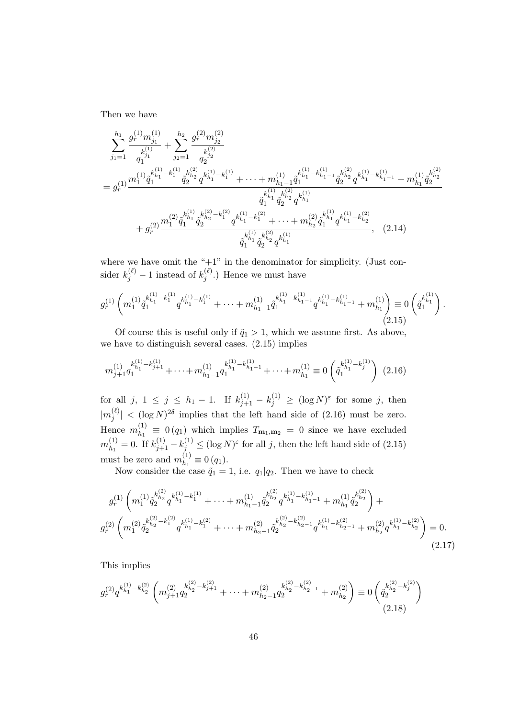Then we have

$$
\sum_{j_1=1}^{h_1} \frac{g_r^{(1)} m_{j_1}^{(1)}}{q_1^{(1)}} + \sum_{j_2=1}^{h_2} \frac{g_r^{(2)} m_{j_2}^{(2)}}{q_2^{(2)}} \n= g_r^{(1)} \frac{m_1^{(1)} \hat{q}_1^{(1)} - k_1^{(1)} \hat{q}_2^{(k_2)} q^{k_{i_1}^{(1)}} - k_1^{(1)}}{\hat{q}_2^{(k_2)} q^{k_{i_1}^{(1)}} + k_1^{(1)} + \cdots + m_{h_1-1}^{(1)} \hat{q}_1^{(1)}} \hat{q}_1^{k_{h_1-1}^{(1)}} \hat{q}_2^{k_{h_2}^{(1)}} q^{k_{h_1-1}^{(1)}} + m_{h_1}^{(1)} \hat{q}_2^{k_{h_2}^{(2)}} \n+ g_r^{(2)} \frac{m_1^{(2)} \hat{q}_1^{k_{h_1}^{(1)}} \hat{q}_2^{k_{h_2}^{(2)}} - k_1^{(2)} \hat{q}_1^{k_{h_1-1}^{(1)}} + \cdots + m_{h_2}^{(2)} \hat{q}_1^{k_{h_1}^{(1)}} q^{k_{h_1-1}^{(1)}} + k_{h_2}^{(2)}}{\hat{q}_1^{k_{h_1}^{(1)}} \hat{q}_2^{k_{h_2}^{(2)}} q^{k_{h_1}^{(1)}} + \cdots + m_{h_2}^{(2)} \hat{q}_1^{k_{h_1}^{(1)}} q^{k_{h_1-1}^{(2)}} \hat{q}_1^{k_{h_1}^{(1)}} \hat{q}_2^{k_{h_2}^{(1)}} q^{k_{h_1}^{(1)}}.
$$
\n(2.14)

where we have omit the " $+1$ " in the denominator for simplicity. (Just consider  $k_j^{(\ell)} - 1$  instead of  $k_j^{(\ell)}$  $j^{(\ell)}$ .) Hence we must have

$$
g_r^{(1)}\left(m_1^{(1)}\tilde{q}_1^{k_{h_1}^{(1)}-k_1^{(1)}}q^{k_{h_1}^{(1)}-k_1^{(1)}}+\cdots+m_{h_1-1}^{(1)}\tilde{q}_1^{k_{h_1}^{(1)}-k_{h_1-1}^{(1)}}q^{k_{h_1}^{(1)}-k_{h_1-1}^{(1)}}+m_{h_1}^{(1)}\right) \equiv 0\left(\tilde{q}_1^{k_{h_1}^{(1)}}\right). \tag{2.15}
$$

Of course this is useful only if  $\tilde{q}_1 > 1$ , which we assume first. As above, we have to distinguish several cases. (2.15) implies

$$
m_{j+1}^{(1)}q_1^{k_{h_1}^{(1)} - k_{j+1}^{(1)}} + \dots + m_{h_1-1}^{(1)}q_1^{k_{h_1}^{(1)} - k_{h_1-1}^{(1)}} + \dots + m_{h_1}^{(1)} \equiv 0 \left(\tilde{q}_1^{k_{h_1}^{(1)} - k_j^{(1)}}\right) (2.16)
$$

for all  $j, 1 \leq j \leq h_1 - 1$ . If  $k_{j+1}^{(1)} - k_j^{(1)} \geq (\log N)^{\varepsilon}$  for some j, then  $|m_i^{(\ell)}\rangle$  $|\binom{\ell}{j}| < (\log N)^{2\delta}$  implies that the left hand side of  $(2.16)$  must be zero. Hence  $m_{h_1}^{(1)}$  $\mathcal{L}_{h_1}^{(1)} \equiv 0 \left( q_1 \right)$  which implies  $T_{\mathbf{m}_1, \mathbf{m}_2} = 0$  since we have excluded  $m_{h_1}^{(1)}$  $h_1^{(1)} = 0$ . If  $k_{j+1}^{(1)} - k_j^{(1)} \leq (\log N)^{\varepsilon}$  for all j, then the left hand side of  $(2.15)$ must be zero and  $m_{h_1}^{(1)}$  $\binom{1}{h_1} \equiv 0 (q_1).$ 

Now consider the case  $\tilde{q}_1 = 1$ , i.e.  $q_1 | q_2$ . Then we have to check

$$
g_r^{(1)}\left(m_1^{(1)}\tilde{q}_2^{k_{h_2}^{(2)}}q^{k_{h_1}^{(1)}-k_1^{(1)}} + \cdots + m_{h_1-1}^{(1)}\tilde{q}_2^{k_{h_2}^{(2)}}q^{k_{h_1}^{(1)}-k_{h_1-1}^{(1)}} + m_{h_1}^{(1)}\tilde{q}_2^{k_{h_2}^{(2)}}\right) + g_r^{(2)}\left(m_1^{(2)}\tilde{q}_2^{k_{h_2}^{(2)}-k_1^{(2)}}q^{k_{h_1}^{(1)}-k_1^{(2)}} + \cdots + m_{h_2-1}^{(2)}\tilde{q}_2^{k_{h_2}^{(2)}-k_{h_2-1}^{(2)}}q^{k_{h_1}^{(1)}-k_{h_2-1}^{(2)}} + m_{h_2}^{(2)}q^{k_{h_1}^{(1)}-k_{h_2}^{(2)}}\right) = 0.
$$
\n(2.17)

This implies

$$
g_r^{(2)}q^{k_{h_1}^{(1)} - k_{h_2}^{(2)}} \left( m_{j+1}^{(2)} q_2^{k_{h_2}^{(2)} - k_{j+1}^{(2)}} + \dots + m_{h_2-1}^{(2)} q_2^{k_{h_2}^{(2)} - k_{h_2-1}^{(2)}} + m_{h_2}^{(2)} \right) \equiv 0 \left( \tilde{q}_2^{k_{h_2}^{(2)} - k_j^{(2)}} \right)
$$
\n
$$
(2.18)
$$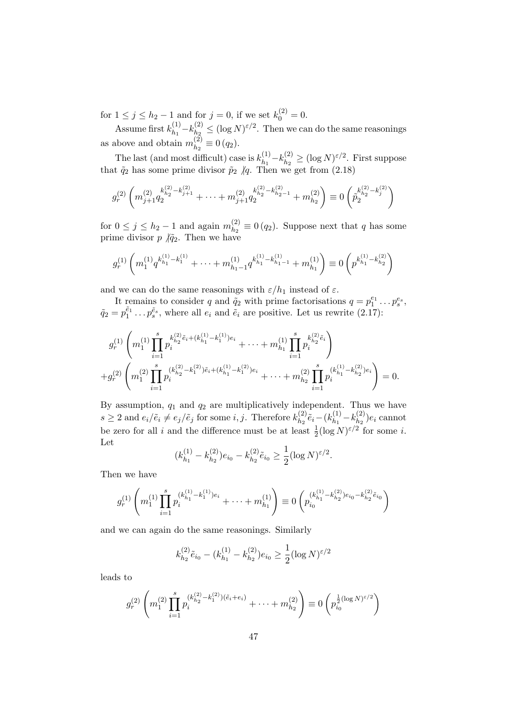for  $1 \le j \le h_2 - 1$  and for  $j = 0$ , if we set  $k_0^{(2)} = 0$ .

Assume first  $k_{h_1}^{(1)}$  $k_{h_1}^{(1)} - k_{h_2}^{(2)}$  $\lambda_{h_2}^{(2)} \leq (\log N)^{\varepsilon/2}$ . Then we can do the same reasonings as above and obtain  $m_{h_2}^{(2)}$  $\binom{2}{h_2} \equiv 0 (q_2).$ 

The last (and most difficult) case is  $k_{h_1}^{(1)}$  $k_1^{(1)} - k_{h_2}^{(2)}$  $\binom{2}{h_2} \ge (\log N)^{\varepsilon/2}$ . First suppose that  $\tilde{q}_2$  has some prime divisor  $\tilde{p}_2$  /q. Then we get from (2.18)

$$
g_r^{(2)}\left(m_{j+1}^{(2)}q_2^{k_{h_2}^{(2)}-k_{j+1}^{(2)}}+\cdots+m_{j+1}^{(2)}q_2^{k_{h_2}^{(2)}-k_{h_2-1}^{(2)}}+m_{h_2}^{(2)}\right)\equiv 0\left(\tilde{p}_2^{k_{h_2}^{(2)}-k_j^{(2)}}\right)
$$

for  $0 \leq j \leq h_2 - 1$  and again  $m_{h_2}^{(2)}$  $\binom{2}{h_2} \equiv 0 \, (q_2)$ . Suppose next that q has some prime divisor  $p \nmid \tilde{q}_2$ . Then we have

$$
g_r^{(1)}\left(m_1^{(1)}q^{k_{h_1}^{(1)}-k_1^{(1)}}+\cdots+m_{h_1-1}^{(1)}q^{k_{h_1}^{(1)}-k_{h_1-1}^{(1)}}+m_{h_1}^{(1)}\right)\equiv 0\left(p^{k_{h_1}^{(1)}-k_{h_2}^{(2)}}\right)
$$

and we can do the same reasonings with  $\varepsilon/h_1$  instead of  $\varepsilon$ .

It remains to consider q and  $\tilde{q}_2$  with prime factorisations  $q = p_1^{e_1} \dots p_s^{e_s}$ ,  $\tilde{q}_2 = p_1^{\tilde{e}_1} \dots p_s^{\tilde{e}_s}$ , where all  $e_i$  and  $\tilde{e}_i$  are positive. Let us rewrite  $(2.17)$ :

$$
g_r^{(1)}\left(m_1^{(1)}\prod_{i=1}^s p_i^{k_{h_2}^{(2)}\tilde{e}_i+(k_{h_1}^{(1)}-k_1^{(1)})e_i}+\cdots+m_{h_1}^{(1)}\prod_{i=1}^s p_i^{k_{h_2}^{(2)}\tilde{e}_i}\right) +g_r^{(2)}\left(m_1^{(2)}\prod_{i=1}^s p_i^{(k_{h_2}^{(2)}-k_1^{(2)})\tilde{e}_i+(k_{h_1}^{(1)}-k_1^{(2)})e_i}+\cdots+m_{h_2}^{(2)}\prod_{i=1}^s p_i^{(k_{h_1}^{(1)}-k_{h_2}^{(2)})e_i}\right)=0.
$$

By assumption,  $q_1$  and  $q_2$  are multiplicatively independent. Thus we have  $s \geq 2$  and  $e_i/\tilde{e}_i \neq e_j/\tilde{e}_j$  for some i, j. Therefore  $k_{h_2}^{(2)}$  $\tilde{e}_{h_2}^{(2)}$  $\tilde{e}_i - (k_{h_1}^{(1)})$  $k_{h_1}^{(1)} - k_{h_2}^{(2)}$  $e_{h_2}^{(2)}$ ) $e_i$  cannot be zero for all i and the difference must be at least  $\frac{1}{2}(\log N)^{\epsilon/2}$  for some i. Let

$$
(k_{h_1}^{(1)} - k_{h_2}^{(2)})e_{i_0} - k_{h_2}^{(2)}\tilde{e}_{i_0} \ge \frac{1}{2}(\log N)^{\varepsilon/2}.
$$

Then we have

$$
g_r^{(1)}\left(m_1^{(1)}\prod_{i=1}^s p_i^{(k_{h_1}^{(1)}-k_1^{(1)})e_i} + \cdots + m_{h_1}^{(1)}\right) \equiv 0\left(p_{i_0}^{(k_{h_1}^{(1)}-k_{h_2}^{(2)})e_{i_0}-k_{h_2}^{(2)}\tilde{e}_{i_0}}\right)
$$

and we can again do the same reasonings. Similarly

$$
k_{h_2}^{(2)} \tilde{e}_{i_0} - (k_{h_1}^{(1)} - k_{h_2}^{(2)}) e_{i_0} \ge \frac{1}{2} (\log N)^{\varepsilon/2}
$$

leads to

$$
g_r^{(2)}\left(m_1^{(2)}\prod_{i=1}^s p_i^{(k_{h_2}^{(2)}-k_1^{(2)})(\tilde{e}_i+e_i)}+\cdots+m_{h_2}^{(2)}\right)\equiv 0\left(p_{i_0}^{\frac{1}{2}(\log N)^{\varepsilon/2}}\right)
$$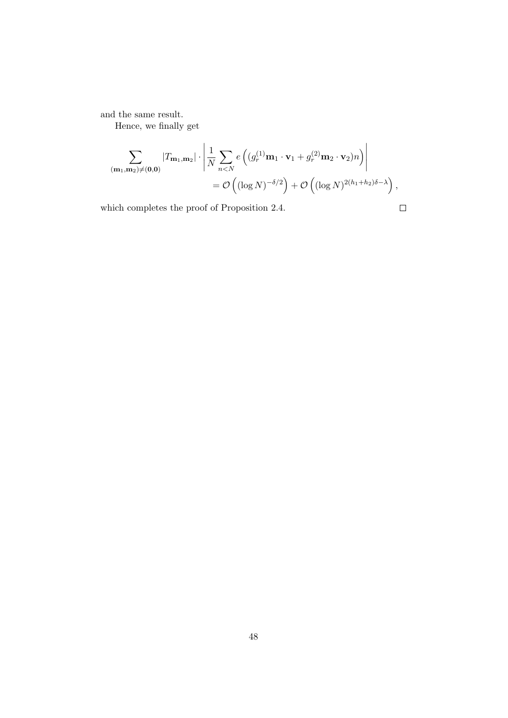and the same result.

Hence, we finally get

$$
\sum_{(\mathbf{m}_1,\mathbf{m}_2)\neq(\mathbf{0},\mathbf{0})} |T_{\mathbf{m}_1,\mathbf{m}_2}| \cdot \left| \frac{1}{N} \sum_{n  
=  $\mathcal{O}\left( (\log N)^{-\delta/2} \right) + \mathcal{O}\left( (\log N)^{2(h_1+h_2)\delta-\lambda} \right),$
$$

which completes the proof of Proposition 2.4.

 $\Box$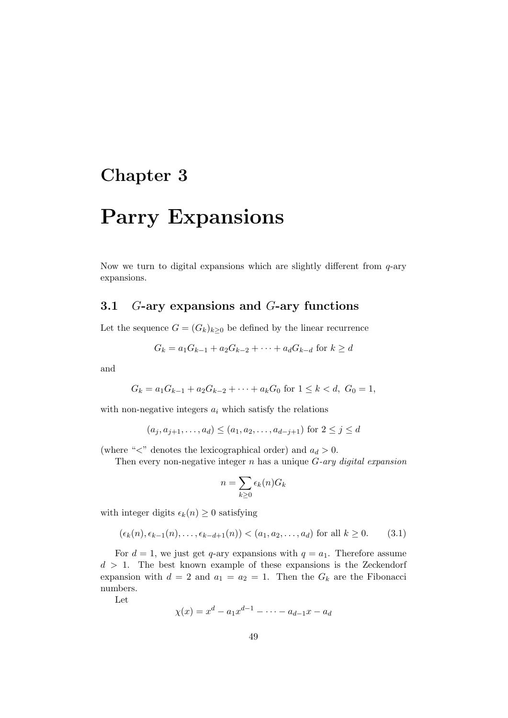## Chapter 3

# Parry Expansions

Now we turn to digital expansions which are slightly different from  $q$ -ary expansions.

#### 3.1 G-ary expansions and G-ary functions

Let the sequence  $G = (G_k)_{k \geq 0}$  be defined by the linear recurrence

$$
G_k = a_1 G_{k-1} + a_2 G_{k-2} + \dots + a_d G_{k-d} \text{ for } k \ge d
$$

and

$$
G_k = a_1 G_{k-1} + a_2 G_{k-2} + \dots + a_k G_0 \text{ for } 1 \le k < d, \ G_0 = 1,
$$

with non-negative integers  $a_i$  which satisfy the relations

$$
(a_j, a_{j+1}, \ldots, a_d) \le (a_1, a_2, \ldots, a_{d-j+1})
$$
 for  $2 \le j \le d$ 

(where " $\lt$ " denotes the lexicographical order) and  $a_d > 0$ .

Then every non-negative integer  $n$  has a unique  $G\text{-}ary\ digital\ expansion$ 

$$
n = \sum_{k \ge 0} \epsilon_k(n) G_k
$$

with integer digits  $\epsilon_k(n) \geq 0$  satisfying

$$
(\epsilon_k(n), \epsilon_{k-1}(n), \ldots, \epsilon_{k-d+1}(n)) < (a_1, a_2, \ldots, a_d)
$$
 for all  $k \ge 0$ . (3.1)

For  $d = 1$ , we just get q-ary expansions with  $q = a_1$ . Therefore assume  $d > 1$ . The best known example of these expansions is the Zeckendorf expansion with  $d = 2$  and  $a_1 = a_2 = 1$ . Then the  $G_k$  are the Fibonacci numbers.

Let

$$
\chi(x) = x^d - a_1 x^{d-1} - \dots - a_{d-1} x - a_d
$$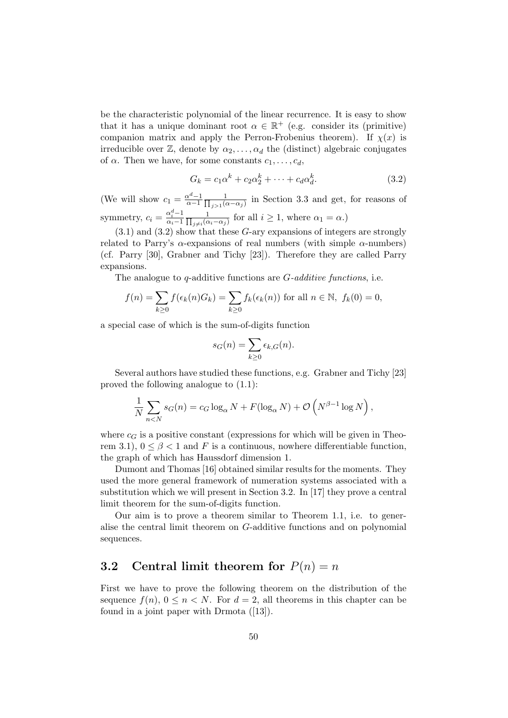be the characteristic polynomial of the linear recurrence. It is easy to show that it has a unique dominant root  $\alpha \in \mathbb{R}^+$  (e.g. consider its (primitive) companion matrix and apply the Perron-Frobenius theorem). If  $\chi(x)$  is irreducible over  $\mathbb{Z}$ , denote by  $\alpha_2, \ldots, \alpha_d$  the (distinct) algebraic conjugates of  $\alpha$ . Then we have, for some constants  $c_1, \ldots, c_d$ ,

$$
G_k = c_1 \alpha^k + c_2 \alpha_2^k + \dots + c_d \alpha_d^k. \tag{3.2}
$$

(We will show  $c_1 = \frac{\alpha^d - 1}{\alpha - 1}$  $\alpha$ <sup>-1</sup>  $\overline{\Pi}$ 1  $\frac{1}{j>1(\alpha-\alpha_j)}$  in Section 3.3 and get, for reasons of symmetry,  $c_i = \frac{\alpha_i^d - 1}{\alpha_i - 1}$  $\alpha_i-1$   $\prod$ 1  $\frac{1}{j\neq i(\alpha_i-\alpha_j)}$  for all  $i\geq 1$ , where  $\alpha_1=\alpha$ .)

 $(3.1)$  and  $(3.2)$  show that these G-ary expansions of integers are strongly related to Parry's  $\alpha$ -expansions of real numbers (with simple  $\alpha$ -numbers) (cf. Parry [30], Grabner and Tichy [23]). Therefore they are called Parry expansions.

The analogue to q-additive functions are  $G$ -additive functions, i.e.

$$
f(n) = \sum_{k \ge 0} f(\epsilon_k(n)G_k) = \sum_{k \ge 0} f_k(\epsilon_k(n))
$$
 for all  $n \in \mathbb{N}$ ,  $f_k(0) = 0$ ,

a special case of which is the sum-of-digits function

$$
s_G(n) = \sum_{k \ge 0} \epsilon_{k,G}(n).
$$

Several authors have studied these functions, e.g. Grabner and Tichy [23] proved the following analogue to (1.1):

$$
\frac{1}{N} \sum_{n < N} s_G(n) = c_G \log_\alpha N + F(\log_\alpha N) + \mathcal{O}\left(N^{\beta - 1} \log N\right),
$$

where  $c_G$  is a positive constant (expressions for which will be given in Theorem 3.1),  $0 \leq \beta < 1$  and F is a continuous, nowhere differentiable function, the graph of which has Haussdorf dimension 1.

Dumont and Thomas [16] obtained similar results for the moments. They used the more general framework of numeration systems associated with a substitution which we will present in Section 3.2. In [17] they prove a central limit theorem for the sum-of-digits function.

Our aim is to prove a theorem similar to Theorem 1.1, i.e. to generalise the central limit theorem on G-additive functions and on polynomial sequences.

#### 3.2 Central limit theorem for  $P(n) = n$

First we have to prove the following theorem on the distribution of the sequence  $f(n)$ ,  $0 \leq n \leq N$ . For  $d = 2$ , all theorems in this chapter can be found in a joint paper with Drmota ([13]).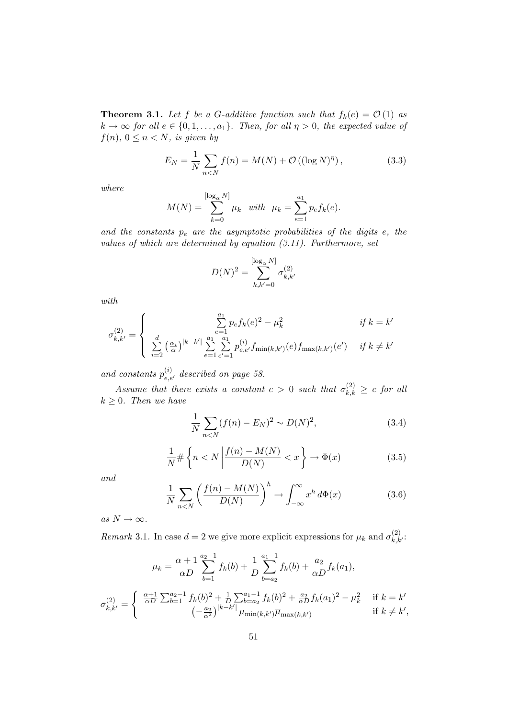**Theorem 3.1.** Let f be a G-additive function such that  $f_k(e) = \mathcal{O}(1)$  as  $k \to \infty$  for all  $e \in \{0, 1, \ldots, a_1\}$ . Then, for all  $\eta > 0$ , the expected value of  $f(n), 0 \leq n < N$ , is given by

$$
E_N = \frac{1}{N} \sum_{n < N} f(n) = M(N) + \mathcal{O}\left((\log N)^{\eta}\right),\tag{3.3}
$$

where

$$
M(N) = \sum_{k=0}^{\lfloor \log_{\alpha} N \rfloor} \mu_k \quad with \quad \mu_k = \sum_{e=1}^{a_1} p_e f_k(e).
$$

and the constants  $p_e$  are the asymptotic probabilities of the digits  $e$ , the values of which are determined by equation (3.11). Furthermore, set

$$
D(N)^2 = \sum_{k,k'=0}^{[\log_{\alpha} N]} \sigma_{k,k'}^{(2)}
$$

with

$$
\sigma_{k,k'}^{(2)} = \begin{cases}\n\sum_{e=1}^{a_1} p_e f_k(e)^2 - \mu_k^2 & \text{if } k = k' \\
\sum_{i=2}^{d} \left(\frac{\alpha_i}{\alpha}\right)^{|k-k'|} \sum_{e=1}^{a_1} \sum_{e'=1}^{a_1} p_{e,e'}^{(i)} f_{\min(k,k')}(e) f_{\max(k,k')}(e') & \text{if } k \neq k'\n\end{cases}
$$

and constants  $p_{e,e'}^{(i)}$  described on page 58.

Assume that there exists a constant  $c > 0$  such that  $\sigma_{k,k}^{(2)} \geq c$  for all  $k \geq 0$ . Then we have

$$
\frac{1}{N} \sum_{n < N} (f(n) - E_N)^2 \sim D(N)^2,\tag{3.4}
$$

$$
\frac{1}{N} \# \left\{ n < N \left| \frac{f(n) - M(N)}{D(N)} < x \right. \right\} \to \Phi(x) \tag{3.5}
$$

and

$$
\frac{1}{N} \sum_{n < N} \left( \frac{f(n) - M(N)}{D(N)} \right)^h \to \int_{-\infty}^{\infty} x^h \, d\Phi(x) \tag{3.6}
$$

as  $N \to \infty$ .

Remark 3.1. In case  $d = 2$  we give more explicit expressions for  $\mu_k$  and  $\sigma_{k,k'}^{(2)}$ .

$$
\mu_k = \frac{\alpha + 1}{\alpha D} \sum_{b=1}^{a_2 - 1} f_k(b) + \frac{1}{D} \sum_{b=a_2}^{a_1 - 1} f_k(b) + \frac{a_2}{\alpha D} f_k(a_1),
$$

$$
\sigma_{k,k'}^{(2)} = \begin{cases} \frac{\alpha + 1}{\alpha D} \sum_{b=1}^{a_2 - 1} f_k(b)^2 + \frac{1}{D} \sum_{b=a_2}^{a_1 - 1} f_k(b)^2 + \frac{a_2}{\alpha D} f_k(a_1)^2 - \mu_k^2 & \text{if } k = k'\\ (-\frac{a_2}{\alpha^2})^{|k-k'|} \mu_{\min(k,k')} \overline{\mu}_{\max(k,k')} & \text{if } k \neq k', \end{cases}
$$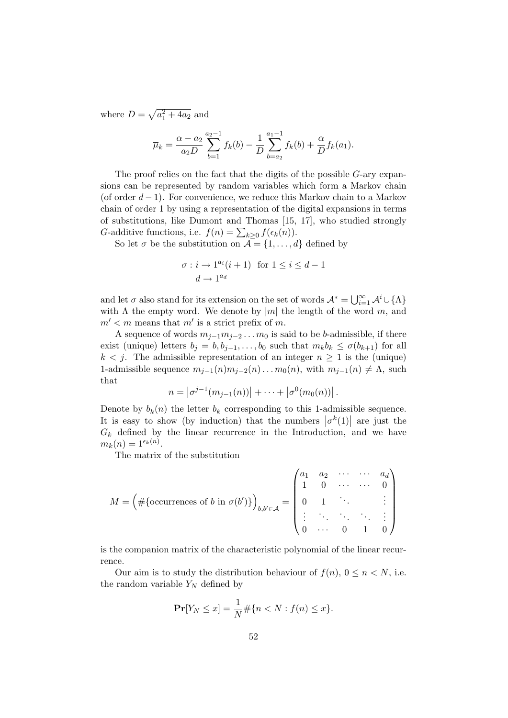where  $D = \sqrt{a_1^2 + 4a_2}$  and

$$
\overline{\mu}_k = \frac{\alpha - a_2}{a_2 D} \sum_{b=1}^{a_2 - 1} f_k(b) - \frac{1}{D} \sum_{b=a_2}^{a_1 - 1} f_k(b) + \frac{\alpha}{D} f_k(a_1).
$$

The proof relies on the fact that the digits of the possible G-ary expansions can be represented by random variables which form a Markov chain (of order  $d-1$ ). For convenience, we reduce this Markov chain to a Markov chain of order 1 by using a representation of the digital expansions in terms of substitutions, like Dumont and Thomas [15, 17], who studied strongly G-additive functions, i.e.  $f(n) = \sum_{k \geq 0} f(\epsilon_k(n)).$ 

So let  $\sigma$  be the substitution on  $\mathcal{A} = \{1, ..., d\}$  defined by

$$
\sigma: i \to 1^{a_i} (i+1) \text{ for } 1 \le i \le d-1
$$

$$
d \to 1^{a_d}
$$

and let  $\sigma$  also stand for its extension on the set of words  $\mathcal{A}^* = \bigcup_{i=1}^{\infty} \mathcal{A}^i \cup \{\Lambda\}$ with  $\Lambda$  the empty word. We denote by  $|m|$  the length of the word m, and  $m' < m$  means that m' is a strict prefix of m.

A sequence of words  $m_{j-1}m_{j-2} \ldots m_0$  is said to be b-admissible, if there exist (unique) letters  $b_j = b, b_{j-1}, \ldots, b_0$  such that  $m_k b_k \le \sigma(b_{k+1})$  for all  $k < j$ . The admissible representation of an integer  $n \geq 1$  is the (unique) 1-admissible sequence  $m_{i-1}(n)m_{i-2}(n)...m_0(n)$ , with  $m_{i-1}(n) \neq \Lambda$ , such that

$$
n = |\sigma^{j-1}(m_{j-1}(n))| + \cdots + |\sigma^{0}(m_{0}(n))|.
$$

Denote by  $b_k(n)$  the letter  $b_k$  corresponding to this 1-admissible sequence. It is easy to show (by induction) that the numbers  $|\sigma^k(1)|$  are just the  $G_k$  defined by the linear recurrence in the Introduction, and we have  $m_k(n) = 1^{\epsilon_k(n)}$ .

The matrix of the substitution

$$
M = \left(\#\{\text{occurrences of } b \text{ in } \sigma(b')\}\right)_{b,b' \in \mathcal{A}} = \begin{pmatrix} a_1 & a_2 & \cdots & \cdots & a_d \\ 1 & 0 & \cdots & \cdots & 0 \\ 0 & 1 & \ddots & & \vdots \\ \vdots & \ddots & \ddots & \ddots & \vdots \\ 0 & \cdots & 0 & 1 & 0 \end{pmatrix}
$$

is the companion matrix of the characteristic polynomial of the linear recurrence.

Our aim is to study the distribution behaviour of  $f(n)$ ,  $0 \leq n \leq N$ , i.e. the random variable  $Y_N$  defined by

$$
\Pr[Y_N \le x] = \frac{1}{N} \# \{ n < N : f(n) \le x \}.
$$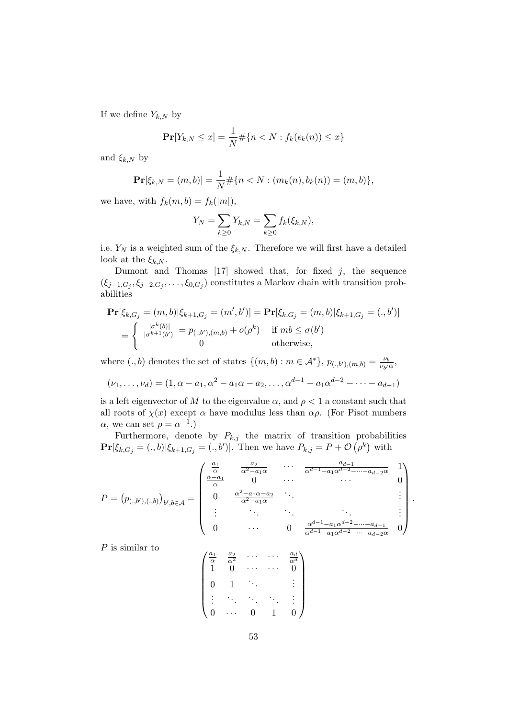If we define  $Y_{k,N}$  by

$$
\mathbf{Pr}[Y_{k,N} \le x] = \frac{1}{N} \# \{ n < N : f_k(\epsilon_k(n)) \le x \}
$$

and  $\xi_{k,N}$  by

$$
\mathbf{Pr}[\xi_{k,N} = (m,b)] = \frac{1}{N} \# \{ n < N : (m_k(n), b_k(n)) = (m,b) \},
$$

we have, with  $f_k(m, b) = f_k(|m|)$ ,

$$
Y_N = \sum_{k \ge 0} Y_{k,N} = \sum_{k \ge 0} f_k(\xi_{k,N}),
$$

i.e.  $Y_N$  is a weighted sum of the  $\xi_{k,N}$ . Therefore we will first have a detailed look at the  $\xi_{k,N}$ .

Dumont and Thomas  $[17]$  showed that, for fixed j, the sequence  $(\xi_{j-1,G_j}, \xi_{j-2,G_j}, \ldots, \xi_{0,G_j})$  constitutes a Markov chain with transition probabilities

$$
\begin{split} \mathbf{Pr}[\xi_{k,G_j} = (m, b) | \xi_{k+1,G_j} = (m', b')] = \mathbf{Pr}[\xi_{k,G_j} = (m, b) | \xi_{k+1,G_j} = (., b')] \\ = \begin{cases} \n\frac{|\sigma^k(b)|}{|\sigma^{k+1}(b')|} = p_{(.,b'),(m,b)} + o(\rho^k) & \text{if } mb \le \sigma(b') \\ \n0 & \text{otherwise,} \n\end{cases} \end{split}
$$

where  $(.,b)$  denotes the set of states  $\{(m,b): m \in \mathcal{A}^*\}, p_{(.,b'),(m,b)} = \frac{\nu_b}{\nu_b}$  $\frac{\nu_b}{\nu_{b'}\alpha}$ ,

$$
(\nu_1, \ldots, \nu_d) = (1, \alpha - a_1, \alpha^2 - a_1 \alpha - a_2, \ldots, \alpha^{d-1} - a_1 \alpha^{d-2} - \cdots - a_{d-1})
$$

is a left eigenvector of M to the eigenvalue  $\alpha$ , and  $\rho < 1$  a constant such that all roots of  $\chi(x)$  except  $\alpha$  have modulus less than  $\alpha \rho$ . (For Pisot numbers  $\alpha$ , we can set  $\rho = \alpha^{-1}$ .

Furthermore, denote by  $P_{k,j}$  the matrix of transition probabilities  $\Pr[\xi_{k,G_j} = (.,b) | \xi_{k+1,G_j} = (.,b')].$  Then we have  $P_{k,j} = P + \mathcal{O}(\rho^k)$  with

$$
P = (p_{(.,b'),(.,b)})_{b',b \in \mathcal{A}} = \begin{pmatrix} \frac{a_1}{\alpha} & \frac{a_2}{\alpha^2 - a_1 \alpha} & \cdots & \frac{a_{d-1}}{\alpha^{d-1} - a_1 \alpha^{d-2} - \cdots - a_{d-2} \alpha} & 1 \\ \frac{\alpha - a_1}{\alpha} & 0 & \cdots & \cdots & 0 \\ 0 & \frac{\alpha^2 - a_1 \alpha - a_2}{\alpha^2 - a_1 \alpha} & \ddots & \ddots & \vdots \\ \vdots & \ddots & \ddots & \ddots & \ddots & \vdots \\ 0 & \cdots & 0 & \frac{\alpha^{d-1} - a_1 \alpha^{d-2} - \cdots - a_{d-1}}{\alpha^{d-1} - a_1 \alpha^{d-2} - \cdots - a_{d-2} \alpha} & 0 \end{pmatrix}
$$

.

P is similar to

$$
\begin{pmatrix}\n\frac{a_1}{\alpha} & \frac{a_2}{\alpha^2} & \cdots & \cdots & \frac{a_d}{\alpha^d} \\
1 & 0 & \cdots & \cdots & 0 \\
0 & 1 & \ddots & & \vdots \\
\vdots & \ddots & \ddots & \ddots & \vdots \\
0 & \cdots & 0 & 1 & 0\n\end{pmatrix}
$$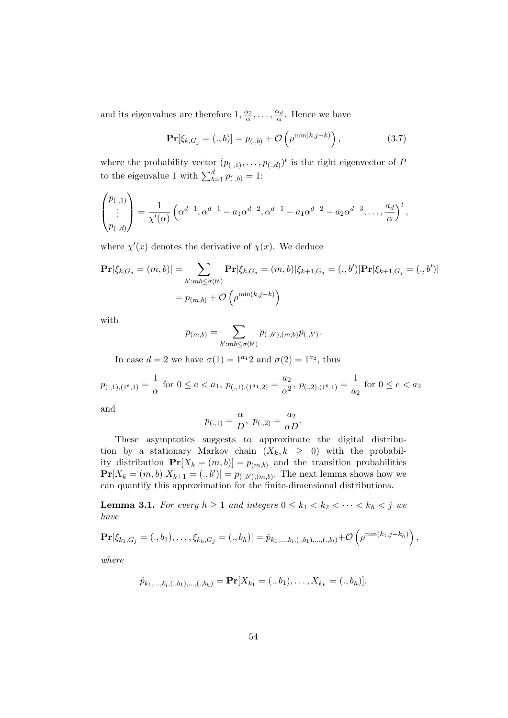and its eigenvalues are therefore  $1, \frac{\alpha_2}{\alpha}, \ldots, \frac{\alpha_d}{\alpha}$ . Hence we have

$$
\Pr[\xi_{k,G_j} = (.,b)] = p_{(.,b)} + \mathcal{O}\left(\rho^{\min(k,j-k)}\right),\tag{3.7}
$$

where the probability vector  $(p_{(.,1)}, \ldots, p_{(.,d)})^t$  is the right eigenvector of P to the eigenvalue 1 with  $\sum_{b=1}^{d} p_{(.,b)} = 1$ :

$$
\begin{pmatrix} p_{(.,1)} \ \vdots \\ p_{(.,d)} \end{pmatrix} = \frac{1}{\chi'(\alpha)} \left( \alpha^{d-1}, \alpha^{d-1} - a_1 \alpha^{d-2}, \alpha^{d-1} - a_1 \alpha^{d-2} - a_2 \alpha^{d-3}, \dots, \frac{a_d}{\alpha} \right)^t,
$$

where  $\chi'(x)$  denotes the derivative of  $\chi(x)$ . We deduce

$$
\mathbf{Pr}[\xi_{k,G_j} = (m, b)] = \sum_{b': mb \le \sigma(b')} \mathbf{Pr}[\xi_{k,G_j} = (m, b) | \xi_{k+1,G_j} = (., b')] \mathbf{Pr}[\xi_{k+1,G_j} = (., b')]
$$

$$
= p_{(m,b)} + \mathcal{O}\left(\rho^{\min(k, j-k)}\right)
$$

with

$$
p_{(m,b)} = \sum_{b': mb \le \sigma(b')} p_{(.,b'),(m,b)} p_{(.,b')}.
$$

In case  $d = 2$  we have  $\sigma(1) = 1^{a_1}2$  and  $\sigma(2) = 1^{a_2}$ , thus

$$
p_{(.,1),(1^e,1)} = \frac{1}{\alpha} \text{ for } 0 \le e < a_1, \ p_{(.,1),(1^{a_1},2)} = \frac{a_2}{\alpha^2}, \ p_{(.,2),(1^e,1)} = \frac{1}{a_2} \text{ for } 0 \le e < a_2
$$

and

$$
p_{(.,1)} = \frac{\alpha}{D}, p_{(.,2)} = \frac{a_2}{\alpha D}.
$$

These asymptotics suggests to approximate the digital distribution by a stationary Markov chain  $(X_k, k \geq 0)$  with the probability distribution  $\mathbf{Pr}[X_k = (m, b)] = p_{(m, b)}$  and the transition probabilities  $Pr[X_k = (m, b) | X_{k+1} = (., b')] = p_{(., b'),(m, b)}$ . The next lemma shows how we can quantify this approximation for the finite-dimensional distributions.

**Lemma 3.1.** For every  $h \geq 1$  and integers  $0 \leq k_1 < k_2 < \cdots < k_h < j$  we have

$$
\mathbf{Pr}[\xi_{k_1,G_j}=(.,b_1),\ldots,\xi_{k_h,G_j}=(.,b_h)]=\hat{p}_{k_1,\ldots,k_l,(.,b_1),\ldots,(.,b_l)}+\mathcal{O}\left(\rho^{\min(k_1,j-k_h)}\right),
$$

where

$$
\hat{p}_{k_1,\ldots,k_l,(.,b_1),\ldots,(.,b_h)} = \mathbf{Pr}[X_{k_1} = (.,b_1),\ldots,X_{k_h} = (.,b_h)].
$$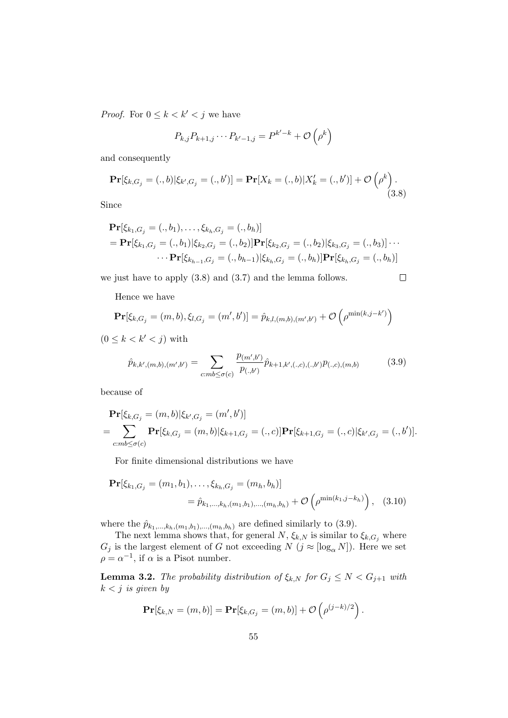*Proof.* For  $0 \leq k < k' < j$  we have

$$
P_{k,j}P_{k+1,j}\cdots P_{k'-1,j}=P^{k'-k}+\mathcal{O}\left(\rho^k\right)
$$

and consequently

$$
\mathbf{Pr}[\xi_{k,G_j} = (.,b)|\xi_{k',G_j} = (.,b')] = \mathbf{Pr}[X_k = (.,b)|X'_k = (.,b')] + \mathcal{O}\left(\rho^k\right).
$$
\n(3.8)

Since

$$
\begin{aligned} \mathbf{Pr}[\xi_{k_1,G_j} = (.,b_1),\ldots,\xi_{k_h,G_j} = (.,b_h)] \\ &= \mathbf{Pr}[\xi_{k_1,G_j} = (.,b_1)|\xi_{k_2,G_j} = (.,b_2)]\mathbf{Pr}[\xi_{k_2,G_j} = (.,b_2)|\xi_{k_3,G_j} = (.,b_3)]\cdots \\ &\cdots \mathbf{Pr}[\xi_{k_{h-1},G_j} = (.,b_{h-1})|\xi_{k_h,G_j} = (.,b_h)]\mathbf{Pr}[\xi_{k_h,G_j} = (.,b_h)] \end{aligned}
$$

we just have to apply (3.8) and (3.7) and the lemma follows.

 $\Box$ 

Hence we have

$$
\mathbf{Pr}[\xi_{k,G_j} = (m, b), \xi_{l,G_j} = (m', b')] = \hat{p}_{k,l,(m,b),(m',b')} + \mathcal{O}\left(\rho^{\min(k,j-k')}\right)
$$

 $(0 \leq k < k' < j)$  with

$$
\hat{p}_{k,k',(m,b),(m',b')} = \sum_{c:mb \le \sigma(c)} \frac{p_{(m',b')}}{p_{(.,b')}} \hat{p}_{k+1,k',(.,c),(.,b')} p_{(.,c),(m,b)} \tag{3.9}
$$

because of

$$
\begin{split} &\mathbf{Pr}[\xi_{k,G_j} = (m,b) | \xi_{k',G_j} = (m',b')] \\ &= \sum_{c:mb \le \sigma(c)} \mathbf{Pr}[\xi_{k,G_j} = (m,b) | \xi_{k+1,G_j} = (.,c)] \mathbf{Pr}[\xi_{k+1,G_j} = (.,c) | \xi_{k',G_j} = (.,b')]. \end{split}
$$

For finite dimensional distributions we have

$$
\mathbf{Pr}[\xi_{k_1,G_j} = (m_1, b_1), \dots, \xi_{k_h,G_j} = (m_h, b_h)]
$$
  
=  $\hat{p}_{k_1,\dots,k_h,(m_1,b_1),\dots,(m_h,b_h)} + \mathcal{O}\left(\rho^{\min(k_1,j-k_h)}\right),$  (3.10)

where the  $\hat{p}_{k_1,\dots,k_h,(m_1,b_1),\dots,(m_h,b_h)}$  are defined similarly to (3.9).

The next lemma shows that, for general  $N$ ,  $\xi_{k,N}$  is similar to  $\xi_{k,G_j}$  where  $G_j$  is the largest element of G not exceeding  $N$   $(j \approx [\log_{\alpha} N])$ . Here we set  $\rho = \alpha^{-1}$ , if  $\alpha$  is a Pisot number.

**Lemma 3.2.** The probability distribution of  $\xi_{k,N}$  for  $G_j \leq N < G_{j+1}$  with  $k < j$  is given by

$$
\mathbf{Pr}[\xi_{k,N}=(m,b)]=\mathbf{Pr}[\xi_{k,G_j}=(m,b)]+\mathcal{O}\left(\rho^{(j-k)/2}\right).
$$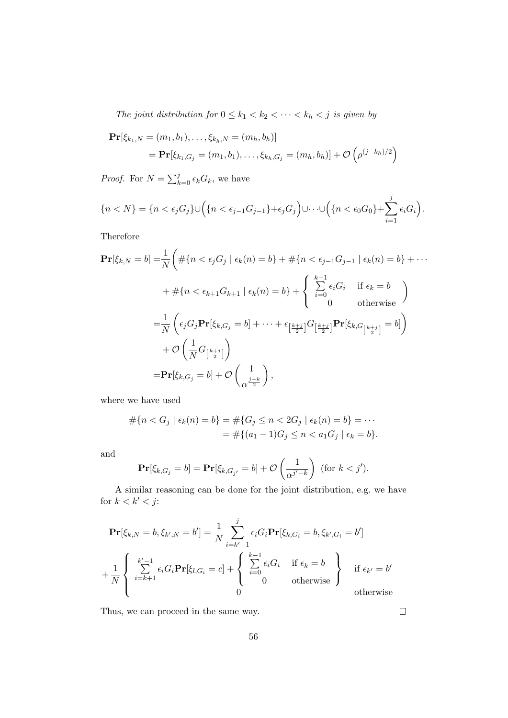The joint distribution for  $0 \leq k_1 < k_2 < \cdots < k_h < j$  is given by

$$
\mathbf{Pr}[\xi_{k_1,N} = (m_1, b_1), \dots, \xi_{k_h,N} = (m_h, b_h)]
$$
  
= 
$$
\mathbf{Pr}[\xi_{k_1,G_j} = (m_1, b_1), \dots, \xi_{k_h,G_j} = (m_h, b_h)] + \mathcal{O}\left(\rho^{(j-k_h)/2}\right)
$$

*Proof.* For  $N = \sum_{k=0}^{j} \epsilon_k G_k$ , we have

$$
\{n < N\} = \{n < \epsilon_j G_j\} \cup \left(\{n < \epsilon_{j-1} G_{j-1}\} + \epsilon_j G_j\right) \cup \cdots \cup \left(\{n < \epsilon_0 G_0\} + \sum_{i=1}^j \epsilon_i G_i\right).
$$

Therefore

$$
\mathbf{Pr}[\xi_{k,N} = b] = \frac{1}{N} \left( \# \{ n < \epsilon_j G_j \mid \epsilon_k(n) = b \} + \# \{ n < \epsilon_{j-1} G_{j-1} \mid \epsilon_k(n) = b \} + \cdots \right. \\
 \left. + \# \{ n < \epsilon_{k+1} G_{k+1} \mid \epsilon_k(n) = b \} + \begin{cases} \sum_{i=0}^{k-1} \epsilon_i G_i & \text{if } \epsilon_k = b \\ 0 & \text{otherwise} \end{cases} \right)
$$
\n
$$
= \frac{1}{N} \left( \epsilon_j G_j \mathbf{Pr}[\xi_{k,G_j} = b] + \cdots + \epsilon_{\left[\frac{k+j}{2}\right]} G_{\left[\frac{k+j}{2}\right]} \mathbf{Pr}[\xi_{k,G_{\left[\frac{k+j}{2}\right]}} = b] \right) \\
 \quad + \mathcal{O}\left( \frac{1}{N} G_{\left[\frac{k+j}{2}\right]} \right)
$$
\n
$$
= \mathbf{Pr}[\xi_{k,G_j} = b] + \mathcal{O}\left( \frac{1}{\alpha^{\frac{j-k}{2}}} \right),
$$

where we have used

$$
\# \{ n < G_j \mid \epsilon_k(n) = b \} = \# \{ G_j \le n < 2G_j \mid \epsilon_k(n) = b \} = \cdots
$$
\n
$$
= \# \{ (a_1 - 1)G_j \le n < a_1 G_j \mid \epsilon_k = b \}.
$$

and

$$
\mathbf{Pr}[\xi_{k,G_j} = b] = \mathbf{Pr}[\xi_{k,G_{j'}} = b] + \mathcal{O}\left(\frac{1}{\alpha^{j'-k}}\right) \text{ (for } k < j').
$$

A similar reasoning can be done for the joint distribution, e.g. we have for  $k < k' < j$ :

$$
\mathbf{Pr}[\xi_{k,N} = b, \xi_{k',N} = b'] = \frac{1}{N} \sum_{i=k'+1}^{j} \epsilon_i G_i \mathbf{Pr}[\xi_{k,G_i} = b, \xi_{k',G_i} = b']
$$
  
+ 
$$
\frac{1}{N} \begin{cases} k'-1 \\ \sum_{i=k+1}^{k'-1} \epsilon_i G_i \mathbf{Pr}[\xi_{l,G_i} = c] + \begin{cases} k^{-1} \\ \sum_{i=0}^{k-1} \epsilon_i G_i & \text{if } \epsilon_k = b \\ 0 & \text{otherwise} \end{cases} \text{ if } \epsilon_{k'} = b' \text{ otherwise}
$$

Thus, we can proceed in the same way.

 $\Box$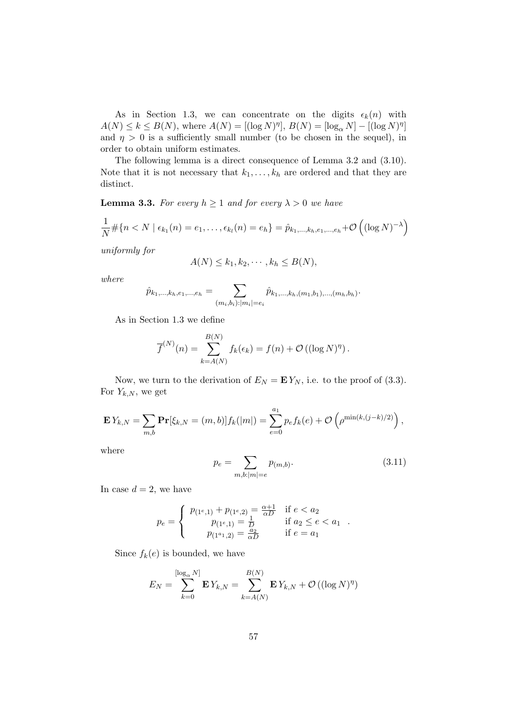As in Section 1.3, we can concentrate on the digits  $\epsilon_k(n)$  with  $A(N) \le k \le B(N)$ , where  $A(N) = [(\log N)^{\eta}], B(N) = [\log_{\alpha} N] - [(\log N)^{\eta}]$ and  $\eta > 0$  is a sufficiently small number (to be chosen in the sequel), in order to obtain uniform estimates.

The following lemma is a direct consequence of Lemma 3.2 and (3.10). Note that it is not necessary that  $k_1, \ldots, k_h$  are ordered and that they are distinct.

**Lemma 3.3.** For every  $h \geq 1$  and for every  $\lambda > 0$  we have

$$
\frac{1}{N} \# \{ n < N \mid \epsilon_{k_1}(n) = e_1, \dots, \epsilon_{k_l}(n) = e_h \} = \hat{p}_{k_1, \dots, k_h, e_1, \dots, e_h} + \mathcal{O}\left( (\log N)^{-\lambda} \right)
$$

uniformly for

$$
A(N) \leq k_1, k_2, \cdots, k_h \leq B(N),
$$

where

$$
\hat{p}_{k_1,\ldots,k_h,e_1,\ldots,e_h} = \sum_{(m_i,b_i):|m_i|=e_i} \hat{p}_{k_1,\ldots,k_h,(m_1,b_1),\ldots,(m_h,b_h)}.
$$

As in Section 1.3 we define

$$
\overline{f}^{(N)}(n) = \sum_{k=A(N)}^{B(N)} f_k(\epsilon_k) = f(n) + \mathcal{O}((\log N)^{\eta}).
$$

Now, we turn to the derivation of  $E_N = E Y_N$ , i.e. to the proof of (3.3). For  $Y_{k,N}$ , we get

$$
\mathbf{E} Y_{k,N} = \sum_{m,b} \mathbf{Pr}[\xi_{k,N} = (m,b)] f_k(|m|) = \sum_{e=0}^{a_1} p_e f_k(e) + \mathcal{O}\left(\rho^{\min(k,(j-k)/2)}\right),
$$

where

$$
p_e = \sum_{m,b:|m|=e} p_{(m,b)}.\tag{3.11}
$$

In case  $d = 2$ , we have

$$
p_e = \begin{cases} p_{(1^e,1)} + p_{(1^e,2)} = \frac{\alpha+1}{\alpha D} & \text{if } e < a_2 \\ p_{(1^e,1)} = \frac{1}{D} & \text{if } a_2 \le e < a_1 \\ p_{(1^{a_1},2)} = \frac{a_2}{\alpha D} & \text{if } e = a_1 \end{cases}
$$

Since  $f_k(e)$  is bounded, we have

$$
E_N = \sum_{k=0}^{\lfloor \log_{\alpha} N \rfloor} \mathbf{E} Y_{k,N} = \sum_{k=A(N)}^{B(N)} \mathbf{E} Y_{k,N} + \mathcal{O}((\log N)^{\eta})
$$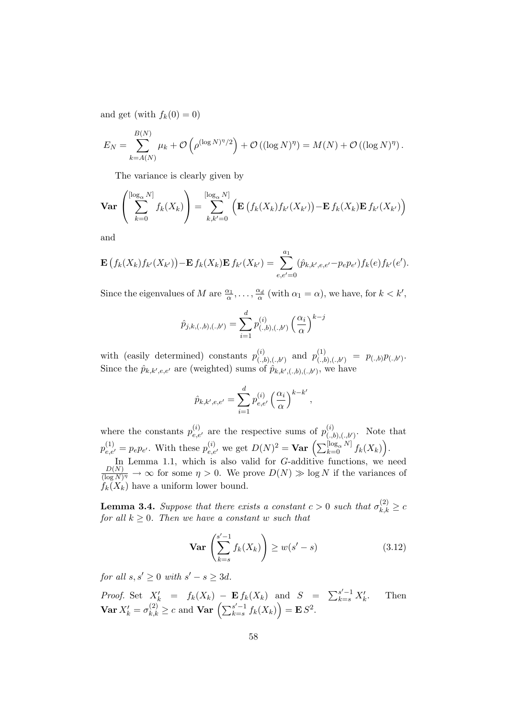and get (with  $f_k(0) = 0$ )

$$
E_N = \sum_{k=A(N)}^{B(N)} \mu_k + \mathcal{O}\left(\rho^{(\log N)^{\eta}/2}\right) + \mathcal{O}\left((\log N)^{\eta}\right) = M(N) + \mathcal{O}\left((\log N)^{\eta}\right).
$$

The variance is clearly given by

$$
\mathbf{Var}\left(\sum_{k=0}^{\left[\log_{\alpha} N\right]} f_k(X_k)\right) = \sum_{k,k'=0}^{\left[\log_{\alpha} N\right]} \left(\mathbf{E}\left(f_k(X_k)f_{k'}(X_{k'})\right) - \mathbf{E}\, f_k(X_k)\mathbf{E}\, f_{k'}(X_{k'})\right)
$$

and

$$
\mathbf{E}\left(f_k(X_k)f_{k'}(X_{k'})\right)-\mathbf{E}\,f_k(X_k)\mathbf{E}\,f_{k'}(X_{k'})=\sum_{e,e'=0}^{a_1}(\hat{p}_{k,k',e,e'}-p_e p_{e'})f_k(e)f_{k'}(e').
$$

Since the eigenvalues of M are  $\frac{\alpha_1}{\alpha}, \dots, \frac{\alpha_d}{\alpha}$  (with  $\alpha_1 = \alpha$ ), we have, for  $k < k'$ ,

$$
\hat{p}_{j,k,(.,b),(.,b')} = \sum_{i=1}^{d} p_{(.,b),(.,b')}^{(i)} \left(\frac{\alpha_i}{\alpha}\right)^{k-j}
$$

with (easily determined) constants  $p_{(.,b),(.,b')}^{(i)}$  and  $p_{(.,b),(.,b')}^{(1)} = p_{(.,b)}p_{(.,b')}$ . Since the  $\hat{p}_{k,k',e,e'}$  are (weighted) sums of  $\hat{p}_{k,k',(.,b),(.,b')},$  we have

$$
\hat{p}_{k,k',e,e'} = \sum_{i=1}^{d} p_{e,e'}^{(i)} \left(\frac{\alpha_i}{\alpha}\right)^{k-k'},
$$

where the constants  $p_{e,e'}^{(i)}$  are the respective sums of  $p_{(.,b),(.,b')}^{(i)}$ . Note that  $p_{e,e'}^{(1)} = p_e p_{e'}.$  With these  $p_{e,e'}^{(i)}$  we get  $D(N)^2 = \textbf{Var} \left( \sum_{k=0}^{\lfloor \log_{\alpha} N \rfloor} f_k(X_k) \right)$ . In Lemma 1.1, which is also valid for  $G$ -additive functions, we need  $D(N)$  $\frac{D(N)}{(\log N)^{\eta}} \to \infty$  for some  $\eta > 0$ . We prove  $D(N) \gg \log N$  if the variances of  $f_k(X_k)$  have a uniform lower bound.

**Lemma 3.4.** Suppose that there exists a constant  $c > 0$  such that  $\sigma_{k,k}^{(2)} \geq c$ for all  $k \geq 0$ . Then we have a constant w such that

$$
\mathbf{Var}\left(\sum_{k=s}^{s'-1} f_k(X_k)\right) \ge w(s'-s) \tag{3.12}
$$

for all  $s, s' \geq 0$  with  $s' - s \geq 3d$ .

Proof. Set  $X'_k = f_k(X_k) - \mathbf{E} f_k(X_k)$  and  $S = \sum_{k=s}^{s'-1} X'_k$ <br> **Var**  $X'_k = \sigma_{k,k}^{(2)} \ge c$  and **Var**  $\left(\sum_{k=s}^{s'-1} f_k(X_k)\right) = \mathbf{E} S^2$ . . Then  ${k=}^{s'-1} f_k(X_k) = \mathbf{E} S^2.$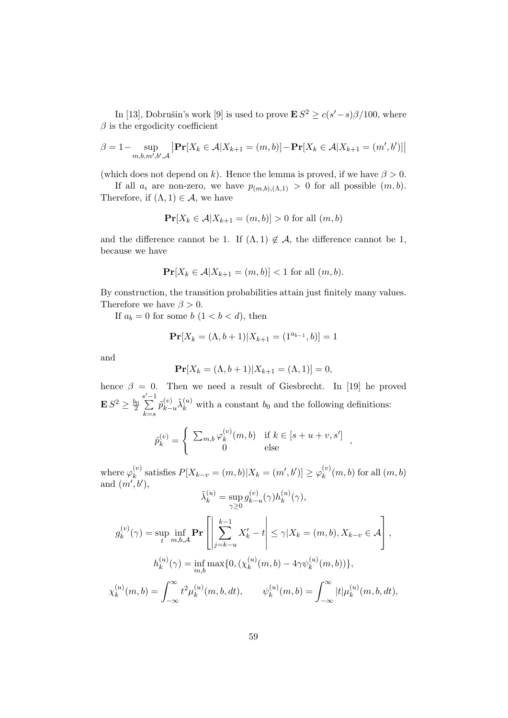In [13], Dobrušin's work [9] is used to prove  $\mathbf{E} S^2 \ge c(s'-s)\beta/100$ , where  $\beta$  is the ergodicity coefficient

$$
\beta = 1 - \sup_{m,b,m',b',\mathcal{A}} \left| \mathbf{Pr}[X_k \in \mathcal{A}|X_{k+1} = (m,b)] - \mathbf{Pr}[X_k \in \mathcal{A}|X_{k+1} = (m',b')] \right|
$$

(which does not depend on k). Hence the lemma is proved, if we have  $\beta > 0$ .

If all  $a_i$  are non-zero, we have  $p_{(m,b),(\Lambda,1)}>0$  for all possible  $(m,b)$ . Therefore, if  $(\Lambda, 1) \in \mathcal{A}$ , we have

$$
\mathbf{Pr}[X_k \in \mathcal{A}|X_{k+1} = (m, b)] > 0 \text{ for all } (m, b)
$$

and the difference cannot be 1. If  $(\Lambda, 1) \notin \mathcal{A}$ , the difference cannot be 1, because we have

$$
\mathbf{Pr}[X_k \in \mathcal{A}|X_{k+1} = (m, b)] < 1 \text{ for all } (m, b).
$$

By construction, the transition probabilities attain just finitely many values. Therefore we have  $\beta > 0$ .

If  $a_b = 0$  for some  $b \ (1 < b < d)$ , then

$$
\mathbf{Pr}[X_k = (\Lambda, b+1) | X_{k+1} = (1^{a_{b-1}}, b)] = 1
$$

and

$$
\Pr[X_k = (\Lambda, b + 1)|X_{k+1} = (\Lambda, 1)] = 0,
$$

hence  $\beta = 0$ . Then we need a result of Giesbrecht. In [19] he proved  $\mathbf{E}\, S^2 \geq \frac{b_0}{2}$  $\sum_{n=1}^{\infty}$  $k = s$  $\tilde{p}_{k-u}^{(v)}\tilde{\lambda}_k^{(u)}$  with a constant  $b_0$  and the following definitions:

$$
\tilde{p}_k^{(v)} = \begin{cases}\n\sum_{m,b} \varphi_k^{(v)}(m,b) & \text{if } k \in [s+u+v, s'] \\
0 & \text{else}\n\end{cases}
$$

,

where  $\varphi_k^{(v)}$  $\mathcal{L}_{k}^{(v)}$  satisfies  $P[X_{k-v} = (m, b) | X_k = (m', b')] \geq \varphi_k^{(v)}$  $\binom{v}{k}(m,b)$  for all  $(m,b)$ and  $(m', b')$ ,

$$
\tilde{\lambda}^{(u)}_k = \sup_{\gamma \ge 0} g_{k-u}^{(v)}(\gamma) h_k^{(u)}(\gamma),
$$

$$
g_k^{(v)}(\gamma) = \sup_t \inf_{m,b,\mathcal{A}} \mathbf{Pr} \left[ \left| \sum_{j=k-u}^{k-1} X'_k - t \right| \leq \gamma | X_k = (m, b), X_{k-v} \in \mathcal{A} \right],
$$
  

$$
h_k^{(u)}(\gamma) = \inf_{m,b} \max\{0, (\chi_k^{(u)}(m, b) - 4\gamma \psi_k^{(u)}(m, b))\},
$$

$$
\chi_k^{(u)}(m,b) = \int_{-\infty}^{\infty} t^2 \mu_k^{(u)}(m,b,dt), \qquad \psi_k^{(u)}(m,b) = \int_{-\infty}^{\infty} |t| \mu_k^{(u)}(m,b,dt),
$$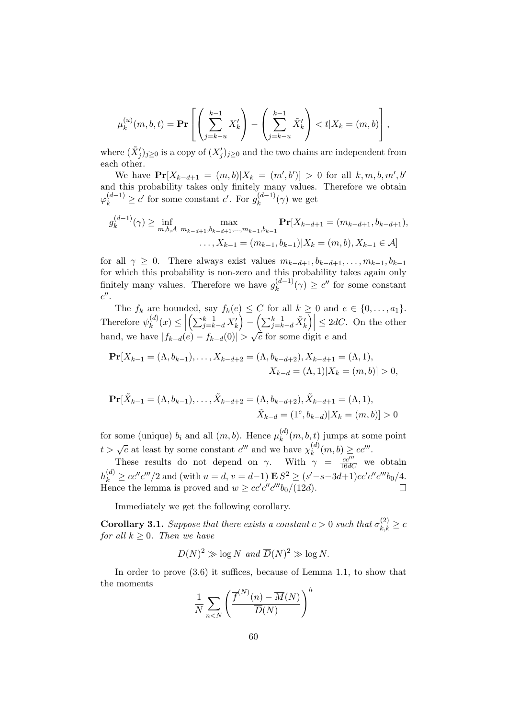$$
\mu_k^{(u)}(m,b,t) = \mathbf{Pr}\left[\left(\sum_{j=k-u}^{k-1} X_k'\right) - \left(\sum_{j=k-u}^{k-1} \tilde{X}_k'\right) < t | X_k = (m,b)\right],
$$

where  $(\tilde{X}'_j)_{j\geq 0}$  is a copy of  $(X'_j)_{j\geq 0}$  and the two chains are independent from each other.

We have  $\Pr[X_{k-d+1} = (m, b) | X_k = (m', b')] > 0$  for all  $k, m, b, m', b'$ and this probability takes only finitely many values. Therefore we obtain  $\varphi_k^{(d-1)} \geq c'$  for some constant c'. For  $g_k^{(d-1)}$  $\kappa^{(a-1)}(\gamma)$  we get

$$
g_k^{(d-1)}(\gamma) \ge \inf_{m,b,A} \max_{m_{k-d+1},b_{k-d+1},\dots,m_{k-1},b_{k-1}} \mathbf{Pr}[X_{k-d+1} = (m_{k-d+1},b_{k-d+1}),
$$

$$
\dots, X_{k-1} = (m_{k-1},b_{k-1})|X_k = (m,b), X_{k-1} \in \mathcal{A}]
$$

for all  $\gamma \geq 0$ . There always exist values  $m_{k-d+1}, b_{k-d+1}, \ldots, m_{k-1}, b_{k-1}$ for which this probability is non-zero and this probability takes again only finitely many values. Therefore we have  $g_k^{(d-1)}$  $k_k^{(d-1)}(\gamma) \ge c''$  for some constant  $c''$ .

The  $f_k$  are bounded, say  $f_k(e) \leq C$  for all  $k \geq 0$  and  $e \in \{0, \ldots, a_1\}.$ Therefore  $\psi_k^{(d)}$  $\binom{d}{k}(x) \leq$  $\left(\sum_{j=k-d}^{k-1} X'_k\right) - \left(\sum_{j=k-d}^{k-1} \tilde{X}'_k\right) \leq 2dC$ . On the other hand, we have  $|f_{k-d}(e) - f_{k-d}(0)| > \sqrt{\frac{2}{n}}$  $\overline{c}$  for some digit e and

$$
\mathbf{Pr}[X_{k-1} = (\Lambda, b_{k-1}), \dots, X_{k-d+2} = (\Lambda, b_{k-d+2}), X_{k-d+1} = (\Lambda, 1),
$$
  

$$
X_{k-d} = (\Lambda, 1)|X_k = (m, b)| > 0,
$$

$$
\mathbf{Pr}[\tilde{X}_{k-1} = (\Lambda, b_{k-1}), \dots, \tilde{X}_{k-d+2} = (\Lambda, b_{k-d+2}), \tilde{X}_{k-d+1} = (\Lambda, 1),
$$
  

$$
\tilde{X}_{k-d} = (1^e, b_{k-d}) | X_k = (m, b) ] > 0
$$

for some (unique)  $b_i$  and all  $(m, b)$ . Hence  $\mu_k^{(d)}$  $\binom{u}{k}(m, b, t)$  jumps at some point t >  $\sqrt{c}$  at least by some constant c''' and we have  $\chi_k^{(d)}$ ,  $k^{(d)}(m, b) \geq cc'''$ .

These results do not depend on  $\gamma$ . With  $\gamma = \frac{cc'''}{16dC}$  we obtain  $h_k^{(d)} \geq cc''c'''/2$  and (with  $u = d$ ,  $v = d-1$ )  $\mathbf{E} S^2 \geq (s'-s-3d+1)cc'c''c'''b_0/4$ . Hence the lemma is proved and  $w \geq cc'c''c'''b_0/(12d)$ .

Immediately we get the following corollary.

**Corollary 3.1.** Suppose that there exists a constant  $c > 0$  such that  $\sigma_{k,k}^{(2)} \geq c$ for all  $k \geq 0$ . Then we have

$$
D(N)^2 \gg \log N \text{ and } \overline{D}(N)^2 \gg \log N.
$$

In order to prove (3.6) it suffices, because of Lemma 1.1, to show that the moments  $\boldsymbol{h}$ 

$$
\frac{1}{N} \sum_{n < N} \left( \frac{\overline{f}^{(N)}(n) - \overline{M}(N)}{\overline{D}(N)} \right)^n
$$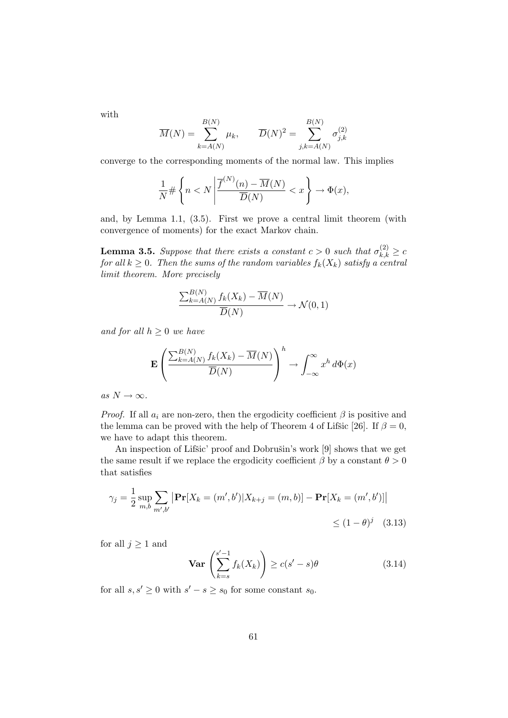with

$$
\overline{M}(N) = \sum_{k=A(N)}^{B(N)} \mu_k, \qquad \overline{D}(N)^2 = \sum_{j,k=A(N)}^{B(N)} \sigma_{j,k}^{(2)}
$$

converge to the corresponding moments of the normal law. This implies

$$
\frac{1}{N} \# \left\{ n < N \left| \frac{\overline{f}^{(N)}(n) - \overline{M}(N)}{\overline{D}(N)} < x \right. \right\} \to \Phi(x),
$$

and, by Lemma 1.1, (3.5). First we prove a central limit theorem (with convergence of moments) for the exact Markov chain.

**Lemma 3.5.** Suppose that there exists a constant  $c > 0$  such that  $\sigma_{k,k}^{(2)} \geq c$ for all  $k \geq 0$ . Then the sums of the random variables  $f_k(X_k)$  satisfy a central limit theorem. More precisely

$$
\frac{\sum_{k=A(N)}^{B(N)} f_k(X_k) - \overline{M}(N)}{\overline{D}(N)} \to \mathcal{N}(0, 1)
$$

and for all  $h \geq 0$  we have

$$
\mathbf{E}\left(\frac{\sum_{k=A(N)}^{B(N)}f_k(X_k)-\overline{M}(N)}{\overline{D}(N)}\right)^h \to \int_{-\infty}^{\infty} x^h d\Phi(x)
$$

as  $N \to \infty$ .

*Proof.* If all  $a_i$  are non-zero, then the ergodicity coefficient  $\beta$  is positive and the lemma can be proved with the help of Theorem 4 of Lifsic [26]. If  $\beta = 0$ , we have to adapt this theorem.

An inspection of Lifšic' proof and Dobrušin's work [9] shows that we get the same result if we replace the ergodicity coefficient  $\beta$  by a constant  $\theta > 0$ that satisfies

$$
\gamma_j = \frac{1}{2} \sup_{m,b} \sum_{m',b'} |\mathbf{Pr}[X_k = (m',b')] X_{k+j} = (m,b)] - \mathbf{Pr}[X_k = (m',b')] \le (1-\theta)^j \quad (3.13)
$$

for all  $j \geq 1$  and

$$
\mathbf{Var}\left(\sum_{k=s}^{s'-1} f_k(X_k)\right) \ge c(s'-s)\theta\tag{3.14}
$$

for all  $s, s' \geq 0$  with  $s' - s \geq s_0$  for some constant  $s_0$ .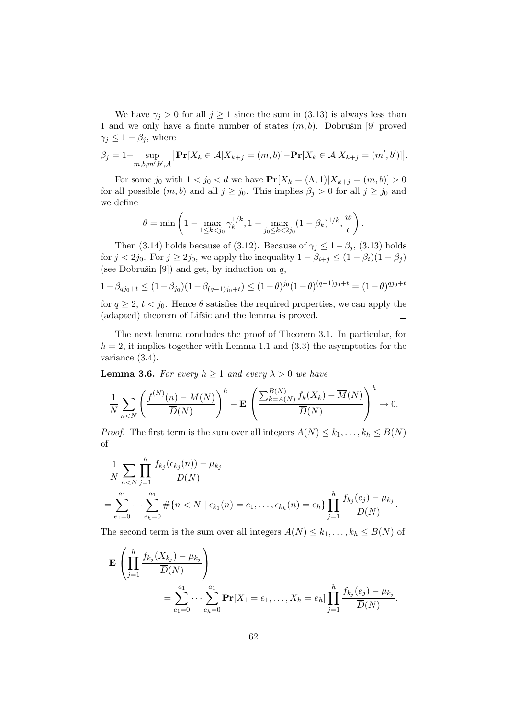We have  $\gamma_j > 0$  for all  $j \geq 1$  since the sum in (3.13) is always less than 1 and we only have a finite number of states  $(m, b)$ . Dobrušin [9] proved  $\gamma_j \leq 1 - \beta_j$ , where

$$
\beta_j = 1 - \sup_{m,b,m',b',\mathcal{A}} \left| \mathbf{Pr}[X_k \in \mathcal{A}|X_{k+j} = (m,b)] - \mathbf{Pr}[X_k \in \mathcal{A}|X_{k+j} = (m',b')] \right|.
$$

For some  $j_0$  with  $1 < j_0 < d$  we have  $Pr[X_k = (\Lambda, 1) | X_{k+j} = (m, b)] > 0$ for all possible  $(m, b)$  and all  $j \ge j_0$ . This implies  $\beta_j > 0$  for all  $j \ge j_0$  and we define

$$
\theta = \min\left(1 - \max_{1 \le k < j_0} \gamma_k^{1/k}, 1 - \max_{j_0 \le k < 2j_0} (1 - \beta_k)^{1/k}, \frac{w}{c}\right).
$$

Then (3.14) holds because of (3.12). Because of  $\gamma_i \leq 1-\beta_i$ , (3.13) holds for  $j < 2j_0$ . For  $j \ge 2j_0$ , we apply the inequality  $1 - \beta_{i+j} \le (1 - \beta_i)(1 - \beta_j)$ (see Dobrušin [9]) and get, by induction on  $q$ ,

$$
1 - \beta_{qj_0 + t} \le (1 - \beta_{j_0})(1 - \beta_{(q-1)j_0 + t}) \le (1 - \theta)^{j_0}(1 - \theta)^{(q-1)j_0 + t} = (1 - \theta)^{qj_0 + t}
$$

for  $q \ge 2$ ,  $t < j_0$ . Hence  $\theta$  satisfies the required properties, we can apply the (adapted) theorem of Lifšic and the lemma is proved.  $\Box$ 

The next lemma concludes the proof of Theorem 3.1. In particular, for  $h = 2$ , it implies together with Lemma 1.1 and (3.3) the asymptotics for the variance (3.4).

**Lemma 3.6.** For every  $h \ge 1$  and every  $\lambda > 0$  we have

$$
\frac{1}{N} \sum_{n < N} \left( \frac{\overline{f}^{(N)}(n) - \overline{M}(N)}{\overline{D}(N)} \right)^h - \mathbf{E} \left( \frac{\sum_{k = A(N)}^{B(N)} f_k(X_k) - \overline{M}(N)}{\overline{D}(N)} \right)^h \to 0.
$$

*Proof.* The first term is the sum over all integers  $A(N) \leq k_1, \ldots, k_h \leq B(N)$ of

$$
\frac{1}{N} \sum_{n < N} \prod_{j=1}^{h} \frac{f_{k_j}(\epsilon_{k_j}(n)) - \mu_{k_j}}{\overline{D}(N)} \\
= \sum_{e_1=0}^{a_1} \cdots \sum_{e_h=0}^{a_1} \# \{ n < N \mid \epsilon_{k_1}(n) = e_1, \dots, \epsilon_{k_h}(n) = e_h \} \prod_{j=1}^{h} \frac{f_{k_j}(e_j) - \mu_{k_j}}{\overline{D}(N)}.
$$

The second term is the sum over all integers  $A(N) \leq k_1, \ldots, k_h \leq B(N)$  of

$$
\mathbf{E} \left( \prod_{j=1}^{h} \frac{f_{k_j}(X_{k_j}) - \mu_{k_j}}{\overline{D}(N)} \right) = \sum_{e_1=0}^{a_1} \cdots \sum_{e_h=0}^{a_1} \mathbf{Pr}[X_1 = e_1, \dots, X_h = e_h] \prod_{j=1}^{h} \frac{f_{k_j}(e_j) - \mu_{k_j}}{\overline{D}(N)}.
$$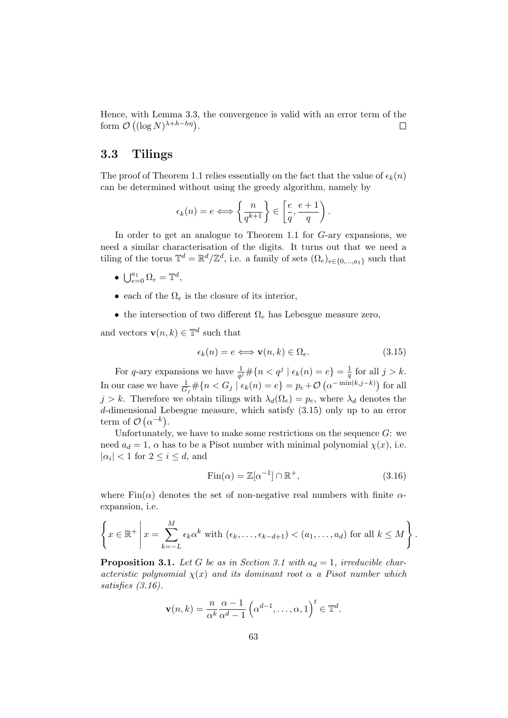Hence, with Lemma 3.3, the convergence is valid with an error term of the form  $\mathcal{O}\left((\log N)^{\lambda+h-h\eta}\right)$ .  $\Box$ 

#### 3.3 Tilings

The proof of Theorem 1.1 relies essentially on the fact that the value of  $\epsilon_k(n)$ can be determined without using the greedy algorithm, namely by

$$
\epsilon_k(n) = e \Longleftrightarrow \left\{ \frac{n}{q^{k+1}} \right\} \in \left[ \frac{e}{q}, \frac{e+1}{q} \right).
$$

In order to get an analogue to Theorem 1.1 for G-ary expansions, we need a similar characterisation of the digits. It turns out that we need a tiling of the torus  $\mathbb{T}^d = \mathbb{R}^d / \mathbb{Z}^d$ , i.e. a family of sets  $(\Omega_e)_{e \in \{0,\dots,a_1\}}$  such that

- $\bigcup_{e=0}^{a_1} \Omega_e = \mathbb{T}^d$ ,
- each of the  $\Omega_e$  is the closure of its interior,
- the intersection of two different  $\Omega_e$  has Lebesgue measure zero,

and vectors  $\mathbf{v}(n,k) \in \mathbb{T}^d$  such that

$$
\epsilon_k(n) = e \Longleftrightarrow \mathbf{v}(n,k) \in \Omega_e.
$$
 (3.15)

For q-ary expansions we have  $\frac{1}{q^j} \# \{n < q^j \mid \epsilon_k(n) = e\} = \frac{1}{q}$  $\frac{1}{q}$  for all  $j > k$ . In our case we have  $\frac{1}{G_j} \# \{n < G_j \mid \epsilon_k(n) = e\} = p_e + \mathcal{O}\left(\alpha^{-\min(k,j-k)}\right)$  for all  $j > k$ . Therefore we obtain tilings with  $\lambda_d(\Omega_e) = p_e$ , where  $\lambda_d$  denotes the d-dimensional Lebesgue measure, which satisfy (3.15) only up to an error term of  $\mathcal{O}(\alpha^{-k})$ .

Unfortunately, we have to make some restrictions on the sequence  $G$ : we need  $a_d = 1$ ,  $\alpha$  has to be a Pisot number with minimal polynomial  $\chi(x)$ , i.e.  $|\alpha_i|$  < 1 for  $2 \le i \le d$ , and

$$
Fin(\alpha) = \mathbb{Z}[\alpha^{-1}] \cap \mathbb{R}^+, \tag{3.16}
$$

where  $\text{Fin}(\alpha)$  denotes the set of non-negative real numbers with finite  $\alpha$ expansion, i.e.

$$
\left\{x \in \mathbb{R}^+\, \middle| \, x = \sum_{k=-L}^M \epsilon_k \alpha^k \text{ with } (\epsilon_k, \dots, \epsilon_{k-d+1}) < (a_1, \dots, a_d) \text{ for all } k \leq M \right\}.
$$

**Proposition 3.1.** Let G be as in Section 3.1 with  $a_d = 1$ , irreducible characteristic polynomial  $\chi(x)$  and its dominant root  $\alpha$  a Pisot number which satisfies (3.16).

$$
\mathbf{v}(n,k) = \frac{n}{\alpha^k} \frac{\alpha - 1}{\alpha^d - 1} \left( \alpha^{d-1}, \dots, \alpha, 1 \right)^t \in \mathbb{T}^d.
$$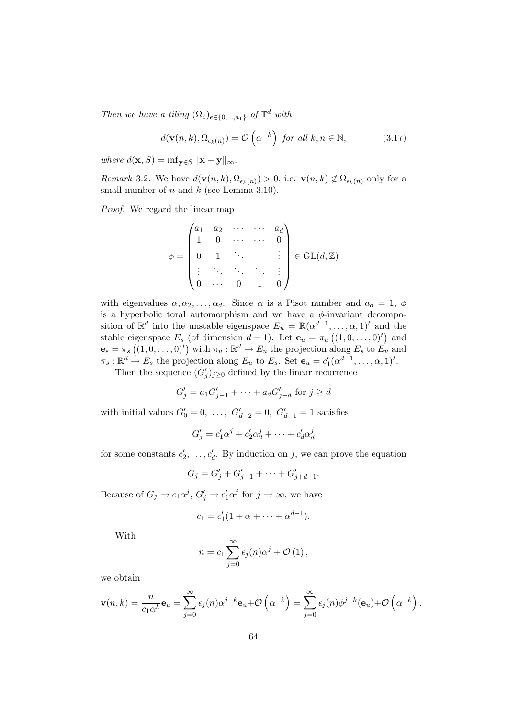Then we have a tiling  $(\Omega_e)_{e \in \{0,\dots,a_1\}}$  of  $\mathbb{T}^d$  with

$$
d(\mathbf{v}(n,k), \Omega_{\epsilon_k(n)}) = \mathcal{O}\left(\alpha^{-k}\right) \text{ for all } k, n \in \mathbb{N},\tag{3.17}
$$

where  $d(\mathbf{x}, S) = \inf_{\mathbf{y} \in S} ||\mathbf{x} - \mathbf{y}||_{\infty}$ .

*Remark* 3.2. We have  $d(\mathbf{v}(n,k), \Omega_{\epsilon_k(n)}) > 0$ , i.e.  $\mathbf{v}(n,k) \notin \Omega_{\epsilon_k(n)}$  only for a small number of  $n$  and  $k$  (see Lemma 3.10).

Proof. We regard the linear map

$$
\phi = \begin{pmatrix} a_1 & a_2 & \cdots & \cdots & a_d \\ 1 & 0 & \cdots & \cdots & 0 \\ 0 & 1 & \ddots & & \vdots \\ \vdots & \ddots & \ddots & \ddots & \vdots \\ 0 & \cdots & 0 & 1 & 0 \end{pmatrix} \in GL(d, \mathbb{Z})
$$

with eigenvalues  $\alpha, \alpha_2, \ldots, \alpha_d$ . Since  $\alpha$  is a Pisot number and  $a_d = 1$ ,  $\phi$ is a hyperbolic toral automorphism and we have a  $\phi$ -invariant decomposition of  $\mathbb{R}^d$  into the unstable eigenspace  $E_u = \mathbb{R}(\alpha^{d-1}, \ldots, \alpha, 1)^t$  and the stable eigenspace  $E_s$  (of dimension  $d-1$ ). Let  $\mathbf{e}_u = \pi_u((1,0,\ldots,0)^t)$  and  $\mathbf{e}_s = \pi_s \left( (1, 0, \ldots, 0)^t \right)$  with  $\pi_u : \mathbb{R}^d \to E_u$  the projection along  $E_s$  to  $E_u$  and  $\pi_s : \mathbb{R}^d \to E_s$  the projection along  $E_u$  to  $E_s$ . Set  $\mathbf{e}_u = c'$  $C_1'(\alpha^{d-1}, \ldots, \alpha, 1)^t.$ 

Then the sequence  $(G'_j)_{j\geq 0}$  defined by the linear recurrence

$$
G'_{j} = a_{1}G'_{j-1} + \dots + a_{d}G'_{j-d} \text{ for } j \ge d
$$

with initial values  $G'_0 = 0, \ldots, G'_{d-2} = 0, G'_{d-1} = 1$  satisfies

$$
G'_{j} = c'_{1}\alpha^{j} + c'_{2}\alpha^{j}_{2} + \cdots + c'_{d}\alpha^{j}_{d}
$$

for some constants  $c_3$  $z'_2, \ldots, c'_d$ . By induction on j, we can prove the equation

$$
G_j = G'_j + G'_{j+1} + \cdots + G'_{j+d-1}.
$$

Because of  $G_j \to c_1 \alpha^j$ ,  $G'_j \to c'_1 \alpha^j$  for  $j \to \infty$ , we have

$$
c_1 = c'_1(1 + \alpha + \dots + \alpha^{d-1}).
$$

With

$$
n = c_1 \sum_{j=0}^{\infty} \epsilon_j(n) \alpha^j + \mathcal{O}(1),
$$

we obtain

$$
\mathbf{v}(n,k) = \frac{n}{c_1 \alpha^k} \mathbf{e}_u = \sum_{j=0}^{\infty} \epsilon_j(n) \alpha^{j-k} \mathbf{e}_u + \mathcal{O}\left(\alpha^{-k}\right) = \sum_{j=0}^{\infty} \epsilon_j(n) \phi^{j-k}(\mathbf{e}_u) + \mathcal{O}\left(\alpha^{-k}\right).
$$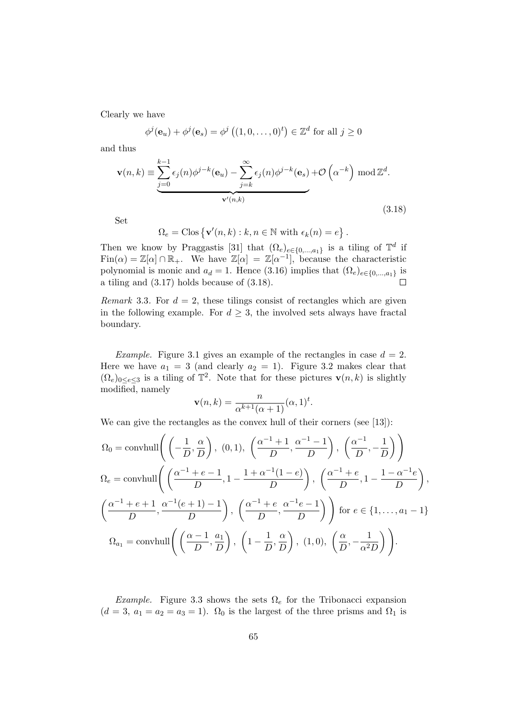Clearly we have

$$
\phi^{j}(\mathbf{e}_{u}) + \phi^{j}(\mathbf{e}_{s}) = \phi^{j}((1,0,\ldots,0)^{t}) \in \mathbb{Z}^{d} \text{ for all } j \ge 0
$$

and thus

$$
\mathbf{v}(n,k) \equiv \underbrace{\sum_{j=0}^{k-1} \epsilon_j(n) \phi^{j-k}(\mathbf{e}_u) - \sum_{j=k}^{\infty} \epsilon_j(n) \phi^{j-k}(\mathbf{e}_s)}_{\mathbf{v}'(n,k)} + \mathcal{O}\left(\alpha^{-k}\right) \operatorname{mod} \mathbb{Z}^d.
$$
\n(3.18)

Set

$$
\Omega_e = \text{Clos}\left\{ \mathbf{v}'(n,k) : k, n \in \mathbb{N} \text{ with } \epsilon_k(n) = e \right\}.
$$

Then we know by Praggastis [31] that  $(\Omega_e)_{e \in \{0,\dots,a_1\}}$  is a tiling of  $\mathbb{T}^d$  if  $\text{Fin}(\alpha) = \mathbb{Z}[\alpha] \cap \mathbb{R}_+$ . We have  $\mathbb{Z}[\alpha] = \mathbb{Z}[\alpha^{-1}]$ , because the characteristic polynomial is monic and  $a_d = 1$ . Hence (3.16) implies that  $(\Omega_e)_{e \in \{0,\dots,a_1\}}$  is a tiling and (3.17) holds because of (3.18).  $\Box$ 

Remark 3.3. For  $d = 2$ , these tilings consist of rectangles which are given in the following example. For  $d > 3$ , the involved sets always have fractal boundary.

*Example.* Figure 3.1 gives an example of the rectangles in case  $d = 2$ . Here we have  $a_1 = 3$  (and clearly  $a_2 = 1$ ). Figure 3.2 makes clear that  $(\Omega_e)_{0 \leq e \leq 3}$  is a tiling of  $\mathbb{T}^2$ . Note that for these pictures  $\mathbf{v}(n,k)$  is slightly modified, namely

$$
\mathbf{v}(n,k) = \frac{n}{\alpha^{k+1}(\alpha+1)}(\alpha,1)^t.
$$

We can give the rectangles as the convex hull of their corners (see [13]):

$$
\Omega_0 = \text{convhull}\left(\left(-\frac{1}{D}, \frac{\alpha}{D}\right), (0, 1), \left(\frac{\alpha^{-1}+1}{D}, \frac{\alpha^{-1}-1}{D}\right), \left(\frac{\alpha^{-1}}{D}, -\frac{1}{D}\right)\right)
$$
  

$$
\Omega_e = \text{convhull}\left(\left(\frac{\alpha^{-1}+e-1}{D}, 1-\frac{1+\alpha^{-1}(1-e)}{D}\right), \left(\frac{\alpha^{-1}+e}{D}, 1-\frac{1-\alpha^{-1}e}{D}\right), \left(\frac{\alpha^{-1}+e+1}{D}, \frac{\alpha^{-1}(e+1)-1}{D}\right), \left(\frac{\alpha^{-1}+e}{D}, \frac{\alpha^{-1}e-1}{D}\right)\right)
$$
for  $e \in \{1, ..., a_1 - 1\}$   

$$
\Omega_{a_1} = \text{convhull}\left(\left(\frac{\alpha-1}{D}, \frac{a_1}{D}\right), \left(1-\frac{1}{D}, \frac{\alpha}{D}\right), (1, 0), \left(\frac{\alpha}{D}, -\frac{1}{\alpha^2 D}\right)\right).
$$

*Example.* Figure 3.3 shows the sets  $\Omega_e$  for the Tribonacci expansion  $(d = 3, a_1 = a_2 = a_3 = 1)$ .  $\Omega_0$  is the largest of the three prisms and  $\Omega_1$  is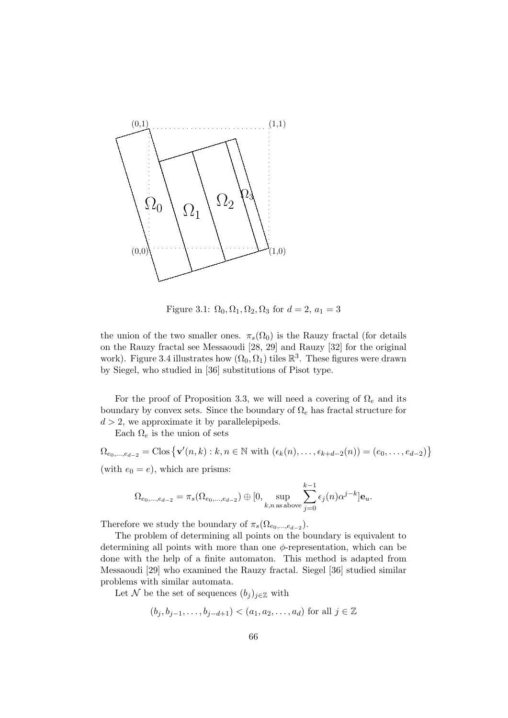

Figure 3.1:  $\Omega_0$ ,  $\Omega_1$ ,  $\Omega_2$ ,  $\Omega_3$  for  $d = 2$ ,  $a_1 = 3$ 

the union of the two smaller ones.  $\pi_s(\Omega_0)$  is the Rauzy fractal (for details on the Rauzy fractal see Messaoudi [28, 29] and Rauzy [32] for the original work). Figure 3.4 illustrates how  $(\Omega_0, \Omega_1)$  tiles  $\mathbb{R}^3$ . These figures were drawn by Siegel, who studied in [36] substitutions of Pisot type.

For the proof of Proposition 3.3, we will need a covering of  $\Omega_e$  and its boundary by convex sets. Since the boundary of  $\Omega_e$  has fractal structure for  $d > 2$ , we approximate it by parallelepipeds.

Each  $\Omega_e$  is the union of sets

 $\Omega_{e_0,...,e_{d-2}} = \text{Clos}\left\{ \mathbf{v}'(n,k) : k, n \in \mathbb{N} \text{ with } (\epsilon_k(n), \ldots, \epsilon_{k+d-2}(n)) = (e_0, \ldots, e_{d-2}) \right\}$ (with  $e_0 = e$ ), which are prisms:

$$
\Omega_{e_0,\dots,e_{d-2}}=\pi_s(\Omega_{e_0,\dots,e_{d-2}})\oplus [0,\underset{k,n\,\text{as above}}{\sup}\sum_{j=0}^{k-1}\epsilon_j(n)\alpha^{j-k}]\mathbf{e}_u.
$$

Therefore we study the boundary of  $\pi_s(\Omega_{e_0,\dots,e_{d-2}})$ .

The problem of determining all points on the boundary is equivalent to determining all points with more than one  $\phi$ -representation, which can be done with the help of a finite automaton. This method is adapted from Messaoudi [29] who examined the Rauzy fractal. Siegel [36] studied similar problems with similar automata.

Let N be the set of sequences  $(b_j)_{j\in\mathbb{Z}}$  with

$$
(b_j, b_{j-1}, \ldots, b_{j-d+1}) < (a_1, a_2, \ldots, a_d)
$$
 for all  $j \in \mathbb{Z}$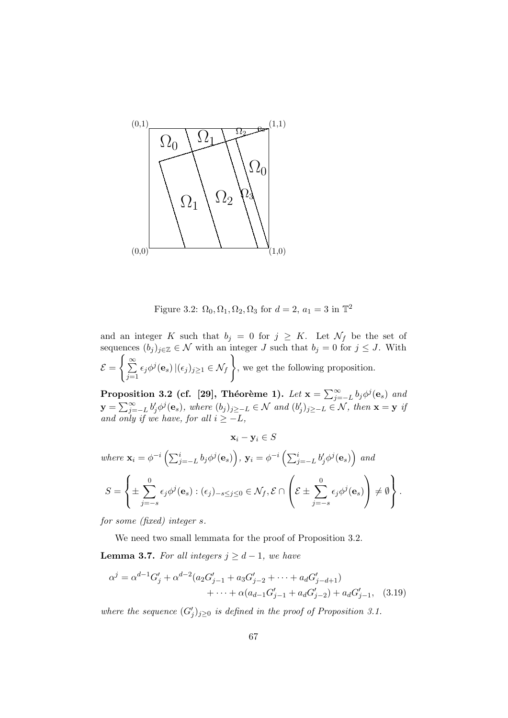

Figure 3.2:  $\Omega_0, \Omega_1, \Omega_2, \Omega_3$  for  $d = 2$ ,  $a_1 = 3$  in  $\mathbb{T}^2$ 

and an integer K such that  $b_j = 0$  for  $j \geq K$ . Let  $\mathcal{N}_f$  be the set of sequences  $(b_j)_{j\in\mathbb{Z}}\in\mathcal{N}$  with an integer J such that  $b_j=0$  for  $j\leq J$ . With  $\mathcal{E} = \bigg\{\sum_{i=1}^\infty$  $j=1$  $\epsilon_j\phi^j(\mathbf{e}_s)\,|(\epsilon_j)_{j\geq 1}\in \mathcal{N}_f\,\Big\}$ , we get the following proposition.

Proposition 3.2 (cf. [29], Théorème 1). Let  $\mathbf{x} = \sum_{j=-L}^{\infty} b_j \phi^j(\mathbf{e}_s)$  and  $\mathbf{y} = \sum_{j=-L}^{\infty} b'_j \phi^j(\mathbf{e}_s)$ , where  $(b_j)_{j\geq -L} \in \mathcal{N}$  and  $(b'_j)_{j\geq -L}$  $(j)_{j\geq -L} \in \mathcal{N}$ , then  $\mathbf{x} = \mathbf{y}$  if and only if we have, for all  $i \geq -L$ ,

$$
\mathbf{x}_{i} - \mathbf{y}_{i} \in S
$$
  
\nwhere  $\mathbf{x}_{i} = \phi^{-i} \left( \sum_{j=-L}^{i} b_{j} \phi^{j}(\mathbf{e}_{s}) \right), \mathbf{y}_{i} = \phi^{-i} \left( \sum_{j=-L}^{i} b'_{j} \phi^{j}(\mathbf{e}_{s}) \right)$  and  
\n
$$
S = \left\{ \pm \sum_{j=-s}^{0} \epsilon_{j} \phi^{j}(\mathbf{e}_{s}) : (\epsilon_{j})_{-s \leq j \leq 0} \in \mathcal{N}_{f}, \mathcal{E} \cap \left( \mathcal{E} \pm \sum_{j=-s}^{0} \epsilon_{j} \phi^{j}(\mathbf{e}_{s}) \right) \neq \emptyset \right\}.
$$

for some (fixed) integer s.

We need two small lemmata for the proof of Proposition 3.2.

**Lemma 3.7.** For all integers  $j \geq d-1$ , we have

$$
\alpha^{j} = \alpha^{d-1} G'_{j} + \alpha^{d-2} (a_2 G'_{j-1} + a_3 G'_{j-2} + \dots + a_d G'_{j-d+1})
$$
  
 
$$
+ \dots + \alpha (a_{d-1} G'_{j-1} + a_d G'_{j-2}) + a_d G'_{j-1}, \quad (3.19)
$$

where the sequence  $(G'_j)_{j\geq 0}$  is defined in the proof of Proposition 3.1.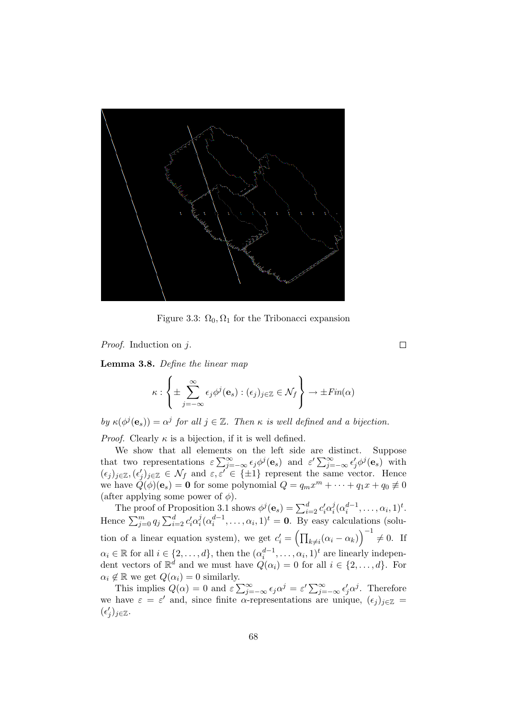

Figure 3.3:  $\Omega_0, \Omega_1$  for the Tribonacci expansion

Proof. Induction on j.

Lemma 3.8. Define the linear map

$$
\kappa: \left\{ \pm \sum_{j=-\infty}^{\infty} \epsilon_j \phi^j(\mathbf{e}_s) : (\epsilon_j)_{j \in \mathbb{Z}} \in \mathcal{N}_f \right\} \to \pm Fin(\alpha)
$$

by  $\kappa(\phi^j(\mathbf{e}_s)) = \alpha^j$  for all  $j \in \mathbb{Z}$ . Then  $\kappa$  is well defined and a bijection.

*Proof.* Clearly  $\kappa$  is a bijection, if it is well defined.

We show that all elements on the left side are distinct. Suppose that two representations  $\varepsilon \sum_{j=-\infty}^{\infty} \epsilon_j \phi^j(\mathbf{e}_s)$  and  $\varepsilon' \sum_{j=-\infty}^{\infty} \epsilon'_j \phi^j(\mathbf{e}_s)$  with  $(\epsilon_j)_{j\in\mathbb{Z}},(\epsilon'_j)$  $j_j|_{j\in\mathbb{Z}} \in \mathcal{N}_f$  and  $\varepsilon, \varepsilon' \in \{\pm 1\}$  represent the same vector. Hence we have  $\dot{Q}(\dot{\phi})(\mathbf{e}_s) = \mathbf{0}$  for some polynomial  $Q = q_m x^m + \cdots + q_1 x + q_0 \neq 0$ (after applying some power of  $\phi$ ).

The proof of Proposition 3.1 shows  $\phi^j(\mathbf{e}_s) = \sum_{i=2}^d c'_i \alpha_i^j$  $i^j(\alpha_i^{d-1},\ldots,\alpha_i,1)^t.$ Hence  $\sum_{j=0}^m q_j \sum_{i=2}^d c'_i \alpha_i^j$  $i(\alpha_i^{d-1},\ldots,\alpha_i,1)^t = \mathbf{0}$ . By easy calculations (solution of a linear equation system), we get  $c_i' = (\prod_{k \neq i} (\alpha_i - \alpha_k))^{-1} \neq 0$ . If  $\alpha_i \in \mathbb{R}$  for all  $i \in \{2, ..., d\}$ , then the  $(\alpha_i^{d-1}, ..., \alpha_i, 1)^t$  are linearly independent vectors of  $\mathbb{R}^d$  and we must have  $Q(\alpha_i) = 0$  for all  $i \in \{2, ..., d\}$ . For  $\alpha_i \notin \mathbb{R}$  we get  $Q(\alpha_i) = 0$  similarly.

This implies  $Q(\alpha) = 0$  and  $\varepsilon \sum_{j=-\infty}^{\infty} \epsilon_j \alpha^j = \varepsilon' \sum_{j=-\infty}^{\infty} \epsilon_j' \alpha^j$ . Therefore we have  $\varepsilon = \varepsilon'$  and, since finite  $\alpha$ -representations are unique,  $(\epsilon_j)_{j \in \mathbb{Z}} =$  $(\epsilon'$  $'_{j})_{j\in\mathbb{Z}}.$ 

 $\Box$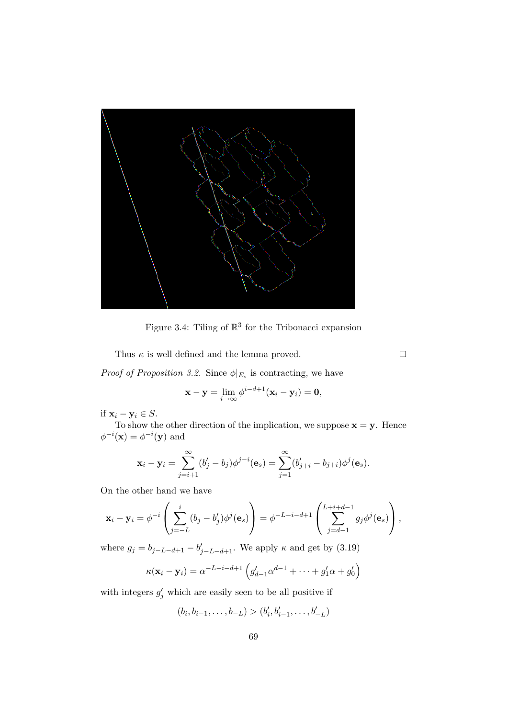

Figure 3.4: Tiling of  $\mathbb{R}^3$  for the Tribonacci expansion

Thus  $\kappa$  is well defined and the lemma proved.

*Proof of Proposition 3.2.* Since  $\phi|_{E_s}$  is contracting, we have

$$
\mathbf{x} - \mathbf{y} = \lim_{i \to \infty} \phi^{i-d+1}(\mathbf{x}_i - \mathbf{y}_i) = \mathbf{0},
$$

if  $\mathbf{x}_i - \mathbf{y}_i \in S$ .

To show the other direction of the implication, we suppose  $\mathbf{x} = \mathbf{y}$ . Hence  $\phi^{-i}(\mathbf{x}) = \phi^{-i}(\mathbf{y})$  and

$$
\mathbf{x}_i - \mathbf{y}_i = \sum_{j=i+1}^{\infty} (b'_j - b_j) \phi^{j-i}(\mathbf{e}_s) = \sum_{j=1}^{\infty} (b'_{j+i} - b_{j+i}) \phi^j(\mathbf{e}_s).
$$

On the other hand we have

$$
\mathbf{x}_i - \mathbf{y}_i = \phi^{-i} \left( \sum_{j=-L}^i (b_j - b'_j) \phi^j(\mathbf{e}_s) \right) = \phi^{-L-i-d+1} \left( \sum_{j=d-1}^{L+i+d-1} g_j \phi^j(\mathbf{e}_s) \right),
$$

where  $g_j = b_{j-L-d+1} - b'_{j-L-d+1}$ . We apply  $\kappa$  and get by (3.19)

$$
\kappa(\mathbf{x}_i - \mathbf{y}_i) = \alpha^{-L-i-d+1} \left( g'_{d-1} \alpha^{d-1} + \dots + g'_1 \alpha + g'_0 \right)
$$

with integers  $g'_j$  which are easily seen to be all positive if

$$
(b_i, b_{i-1}, \ldots, b_{-L}) > (b'_i, b'_{i-1}, \ldots, b'_{-L})
$$

 $\Box$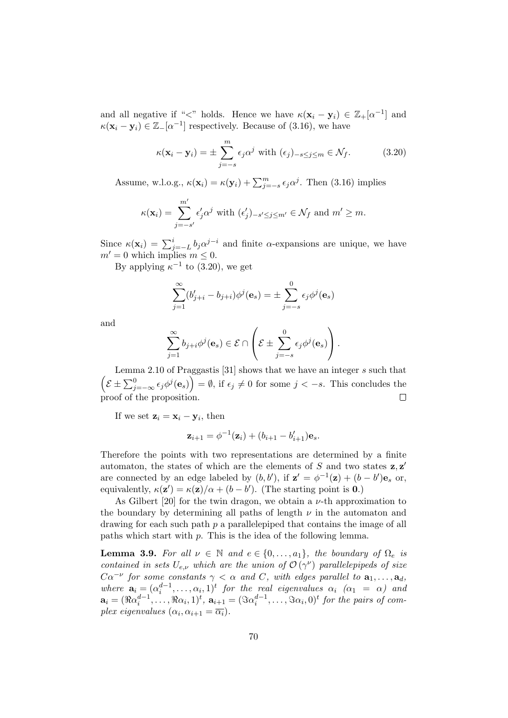and all negative if "<" holds. Hence we have  $\kappa(\mathbf{x}_i - \mathbf{y}_i) \in \mathbb{Z}_+[\alpha^{-1}]$  and  $\kappa(\mathbf{x}_i - \mathbf{y}_i) \in \mathbb{Z} - [\alpha^{-1}]$  respectively. Because of (3.16), we have

$$
\kappa(\mathbf{x}_i - \mathbf{y}_i) = \pm \sum_{j=-s}^{m} \epsilon_j \alpha^j \text{ with } (\epsilon_j)_{-s \le j \le m} \in \mathcal{N}_f.
$$
 (3.20)

Assume, w.l.o.g.,  $\kappa(\mathbf{x}_i) = \kappa(\mathbf{y}_i) + \sum_{j=-s}^{m} \epsilon_j \alpha^j$ . Then (3.16) implies

$$
\kappa(\mathbf{x}_i) = \sum_{j=-s'}^{m'} \epsilon'_j \alpha^j \text{ with } (\epsilon'_j)_{-s' \leq j \leq m'} \in \mathcal{N}_f \text{ and } m' \geq m.
$$

Since  $\kappa(\mathbf{x}_i) = \sum_{j=-L}^{i} b_j \alpha^{j-i}$  and finite  $\alpha$ -expansions are unique, we have  $m' = 0$  which implies  $m \leq 0$ .

By applying  $\kappa^{-1}$  to (3.20), we get

$$
\sum_{j=1}^{\infty} (b'_{j+i} - b_{j+i})\phi^j(\mathbf{e}_s) = \pm \sum_{j=-s}^{0} \epsilon_j \phi^j(\mathbf{e}_s)
$$

and

$$
\sum_{j=1}^{\infty} b_{j+i} \phi^j(\mathbf{e}_s) \in \mathcal{E} \cap \left( \mathcal{E} \pm \sum_{j=-s}^0 \epsilon_j \phi^j(\mathbf{e}_s) \right).
$$

Lemma 2.10 of Praggastis [31] shows that we have an integer s such that  $\left(\mathcal{E} \pm \sum_{j=-\infty}^{0} \epsilon_j \phi^j(\mathbf{e}_s)\right) = \emptyset$ , if  $\epsilon_j \neq 0$  for some  $j < -s$ . This concludes the proof of the proposition.  $\Box$ 

If we set  $z_i = x_i - y_i$ , then

$$
\mathbf{z}_{i+1} = \phi^{-1}(\mathbf{z}_i) + (b_{i+1} - b'_{i+1})\mathbf{e}_s.
$$

Therefore the points with two representations are determined by a finite automaton, the states of which are the elements of  $S$  and two states  $z, z'$ are connected by an edge labeled by  $(b, b')$ , if  $\mathbf{z}' = \phi^{-1}(\mathbf{z}) + (b - b')\mathbf{e}_s$  or, equivalently,  $\kappa(\mathbf{z}') = \kappa(\mathbf{z})/\alpha + (b - b')$ . (The starting point is **0**.)

As Gilbert [20] for the twin dragon, we obtain a  $\nu$ -th approximation to the boundary by determining all paths of length  $\nu$  in the automaton and drawing for each such path  $p$  a parallelepiped that contains the image of all paths which start with p. This is the idea of the following lemma.

**Lemma 3.9.** For all  $\nu \in \mathbb{N}$  and  $e \in \{0, \ldots, a_1\}$ , the boundary of  $\Omega_e$  is contained in sets  $U_{e,\nu}$  which are the union of  $\mathcal{O}(\gamma^{\nu})$  parallelepipeds of size  $C\alpha^{-\nu}$  for some constants  $\gamma < \alpha$  and C, with edges parallel to  $\mathbf{a}_1, \ldots, \mathbf{a}_d$ , where  $\mathbf{a}_i = (\alpha_i^{d-1}, \dots, \alpha_i, 1)^t$  for the real eigenvalues  $\alpha_i$  ( $\alpha_1 = \alpha$ ) and  $\mathbf{a}_i = (\Re \alpha_i^{d-1}, \dots, \Re \alpha_i, 1)^t, \ \mathbf{a}_{i+1} = (\Im \alpha_i^{d-1}, \dots, \Im \alpha_i, 0)^t \text{ for the pairs of com-}$ plex eigenvalues  $(\alpha_i, \alpha_{i+1} = \overline{\alpha_i}).$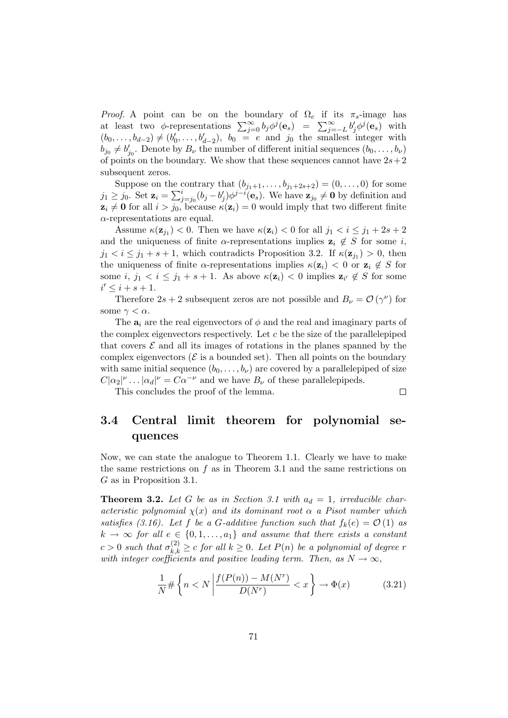*Proof.* A point can be on the boundary of  $\Omega_e$  if its  $\pi_s$ -image has at least two  $\phi$ -representations  $\sum_{j=0}^{\infty} b_j \phi^j(\mathbf{e}_s) = \sum_{j=-L}^{\infty} b'_j \phi^j(\mathbf{e}_s)$  with  $(b_0, \ldots, b_{d-2}) \neq (b'_0)$  $b_0, \ldots, b_{d-2}$ ,  $b_0 = e$  and  $j_0$  the smallest integer with  $\vec{b}_{j_0} \neq \vec{b}'_j$  $j_0'$ . Denote by  $B_\nu$  the number of different initial sequences  $(b_0, \ldots, b_\nu)$ of points on the boundary. We show that these sequences cannot have  $2s+2$ subsequent zeros.

Suppose on the contrary that  $(b_{j_1+1},..., b_{j_1+2s+2}) = (0,..., 0)$  for some  $j_1 \geq j_0$ . Set  $\mathbf{z}_i = \sum_{j=j_0}^{i} (b_j - b'_j)$  $\mathbf{y}'_j$ ) $\phi^{j-i}(\mathbf{e}_s)$ . We have  $\mathbf{z}_{j_0} \neq \mathbf{0}$  by definition and  $z_i \neq 0$  for all  $i > j_0$ , because  $\kappa(z_i) = 0$  would imply that two different finite  $\alpha$ -representations are equal.

Assume  $\kappa(\mathbf{z}_{j_1}) < 0$ . Then we have  $\kappa(\mathbf{z}_i) < 0$  for all  $j_1 < i \leq j_1 + 2s + 2$ and the uniqueness of finite  $\alpha$ -representations implies  $z_i \notin S$  for some i,  $j_1 < i \leq j_1 + s + 1$ , which contradicts Proposition 3.2. If  $\kappa(\mathbf{z}_{j_1}) > 0$ , then the uniqueness of finite  $\alpha$ -representations implies  $\kappa(\mathbf{z}_i) < 0$  or  $\mathbf{z}_i \notin S$  for some  $i, j_1 < i \leq j_1 + s + 1$ . As above  $\kappa(\mathbf{z}_i) < 0$  implies  $\mathbf{z}_{i'} \notin S$  for some  $i' \leq i + s + 1.$ 

Therefore  $2s + 2$  subsequent zeros are not possible and  $B_{\nu} = \mathcal{O}(\gamma^{\nu})$  for some  $\gamma < \alpha$ .

The  $a_i$  are the real eigenvectors of  $\phi$  and the real and imaginary parts of the complex eigenvectors respectively. Let  $c$  be the size of the parallelepiped that covers  $\mathcal E$  and all its images of rotations in the planes spanned by the complex eigenvectors ( $\mathcal E$  is a bounded set). Then all points on the boundary with same initial sequence  $(b_0, \ldots, b_{\nu})$  are covered by a parallelepiped of size  $C|\alpha_2|^{\nu} \dots |\alpha_d|^{\nu} = C\alpha^{-\nu}$  and we have  $B_{\nu}$  of these parallelepipeds.

This concludes the proof of the lemma.

#### $\Box$

### 3.4 Central limit theorem for polynomial sequences

Now, we can state the analogue to Theorem 1.1. Clearly we have to make the same restrictions on  $f$  as in Theorem 3.1 and the same restrictions on G as in Proposition 3.1.

**Theorem 3.2.** Let G be as in Section 3.1 with  $a_d = 1$ , irreducible characteristic polynomial  $\chi(x)$  and its dominant root  $\alpha$  a Pisot number which satisfies (3.16). Let f be a G-additive function such that  $f_k(e) = \mathcal{O}(1)$  as  $k \to \infty$  for all  $e \in \{0, 1, \ldots, a_1\}$  and assume that there exists a constant  $c > 0$  such that  $\sigma_{k,k}^{(2)} \ge c$  for all  $k \ge 0$ . Let  $P(n)$  be a polynomial of degree r with integer coefficients and positive leading term. Then, as  $N \to \infty$ ,

$$
\frac{1}{N} \# \left\{ n < N \left| \frac{f(P(n)) - M(N^r)}{D(N^r)} < x \right. \right\} \to \Phi(x) \tag{3.21}
$$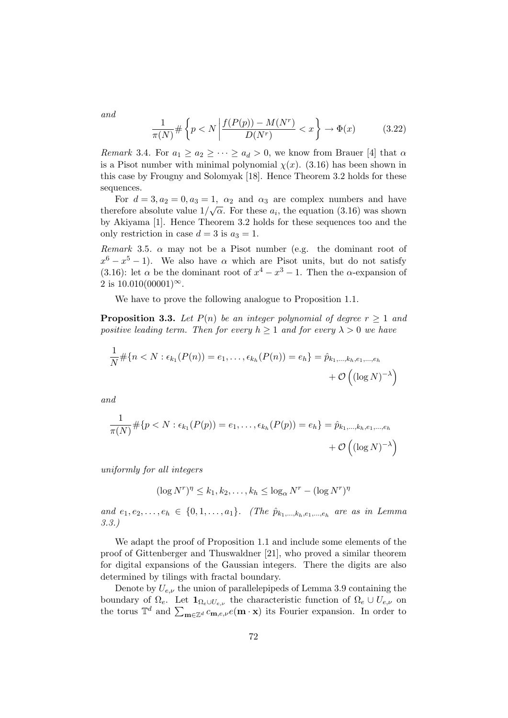and

$$
\frac{1}{\pi(N)} \# \left\{ p < N \left| \frac{f(P(p)) - M(N^r)}{D(N^r)} < x \right. \right\} \to \Phi(x) \tag{3.22}
$$

*Remark* 3.4. For  $a_1 \ge a_2 \ge \cdots \ge a_d > 0$ , we know from Brauer [4] that  $\alpha$ is a Pisot number with minimal polynomial  $\chi(x)$ . (3.16) has been shown in this case by Frougny and Solomyak [18]. Hence Theorem 3.2 holds for these sequences.

For  $d = 3, a_2 = 0, a_3 = 1, \alpha_2$  and  $\alpha_3$  are complex numbers and have therefore absolute value  $1/\sqrt{\alpha}$ . For these  $a_i$ , the equation (3.16) was shown by Akiyama [1]. Hence Theorem 3.2 holds for these sequences too and the only restriction in case  $d = 3$  is  $a_3 = 1$ .

Remark 3.5.  $\alpha$  may not be a Pisot number (e.g. the dominant root of  $x^6 - x^5 - 1$ ). We also have  $\alpha$  which are Pisot units, but do not satisfy (3.16): let  $\alpha$  be the dominant root of  $x^4 - x^3 - 1$ . Then the  $\alpha$ -expansion of 2 is  $10.010(00001)^\infty$ .

We have to prove the following analogue to Proposition 1.1.

**Proposition 3.3.** Let  $P(n)$  be an integer polynomial of degree  $r \geq 1$  and positive leading term. Then for every  $h \geq 1$  and for every  $\lambda > 0$  we have

$$
\frac{1}{N} \# \{ n < N : \epsilon_{k_1}(P(n)) = e_1, \dots, \epsilon_{k_h}(P(n)) = e_h \} = \hat{p}_{k_1, \dots, k_h, e_1, \dots, e_h} + \mathcal{O}\left( (\log N)^{-\lambda} \right)
$$

and

$$
\frac{1}{\pi(N)} \# \{ p < N : \epsilon_{k_1}(P(p)) = e_1, \dots, \epsilon_{k_h}(P(p)) = e_h \} = \hat{p}_{k_1, \dots, k_h, e_1, \dots, e_h}
$$
\n
$$
+ \mathcal{O}\left( (\log N)^{-\lambda} \right)
$$

uniformly for all integers

$$
(\log N^r)^{\eta} \le k_1, k_2, \dots, k_h \le \log_{\alpha} N^r - (\log N^r)^{\eta}
$$

and  $e_1, e_2, \ldots, e_h \in \{0, 1, \ldots, a_1\}$ . (The  $\hat{p}_{k_1, \ldots, k_h, e_1, \ldots, e_h}$  are as in Lemma 3.3.)

We adapt the proof of Proposition 1.1 and include some elements of the proof of Gittenberger and Thuswaldner [21], who proved a similar theorem for digital expansions of the Gaussian integers. There the digits are also determined by tilings with fractal boundary.

Denote by  $U_{e,\nu}$  the union of parallelepipeds of Lemma 3.9 containing the boundary of  $\Omega_e$ . Let  $\mathbf{1}_{\Omega_e \cup U_{e,\nu}}$  the characteristic function of  $\Omega_e \cup U_{e,\nu}$  on the torus  $\mathbb{T}^d$  and  $\sum_{\mathbf{m}\in\mathbb{Z}^d} c_{\mathbf{m},e,\nu}e(\mathbf{m}\cdot\mathbf{x})$  its Fourier expansion. In order to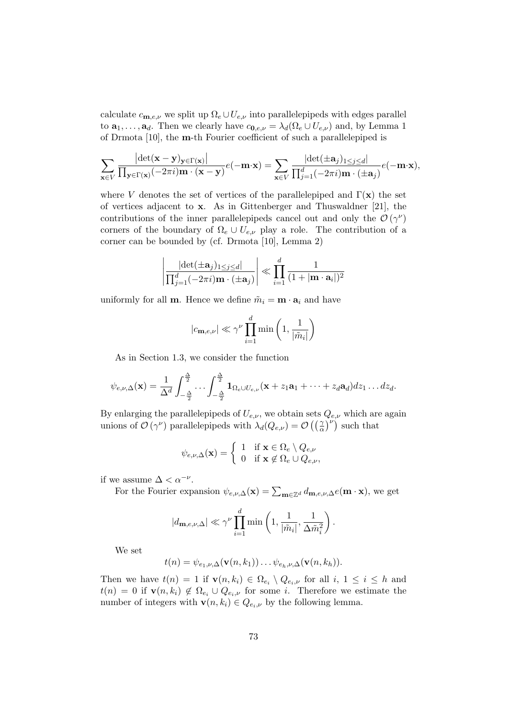calculate  $c_{\mathbf{m},e,\nu}$  we split up  $\Omega_e \cup U_{e,\nu}$  into parallelepipeds with edges parallel to  $\mathbf{a}_1, \ldots, \mathbf{a}_d$ . Then we clearly have  $c_{\mathbf{0},e,\nu} = \lambda_d(\Omega_e \cup U_{e,\nu})$  and, by Lemma 1 of Drmota [10], the m-th Fourier coefficient of such a parallelepiped is

$$
\sum_{\mathbf{x}\in V} \frac{\left|\det(\mathbf{x}-\mathbf{y})_{\mathbf{y}\in\Gamma(\mathbf{x})}\right|}{\prod_{\mathbf{y}\in\Gamma(\mathbf{x})}(-2\pi i)\mathbf{m}\cdot(\mathbf{x}-\mathbf{y})}e(-\mathbf{m}\cdot\mathbf{x}) = \sum_{\mathbf{x}\in V} \frac{\left|\det(\pm \mathbf{a}_j)_{1\leq j\leq d}\right|}{\prod_{j=1}^d(-2\pi i)\mathbf{m}\cdot(\pm \mathbf{a}_j)}e(-\mathbf{m}\cdot\mathbf{x}),
$$

where V denotes the set of vertices of the parallelepiped and  $\Gamma(\mathbf{x})$  the set of vertices adjacent to x. As in Gittenberger and Thuswaldner [21], the contributions of the inner parallelepipeds cancel out and only the  $\mathcal{O}(\gamma^{\nu})$ corners of the boundary of  $\Omega_e \cup U_{e,\nu}$  play a role. The contribution of a corner can be bounded by (cf. Drmota [10], Lemma 2)

$$
\left| \frac{\left| \det(\pm \mathbf{a}_j)_{1 \leq j \leq d} \right|}{\prod_{j=1}^d (-2\pi i) \mathbf{m} \cdot (\pm \mathbf{a}_j)} \right| \ll \prod_{i=1}^d \frac{1}{(1+|\mathbf{m} \cdot \mathbf{a}_i|)^2}
$$

uniformly for all **m**. Hence we define  $\tilde{m}_i = \mathbf{m} \cdot \mathbf{a}_i$  and have

$$
|c_{\mathbf{m},e,\nu}| \ll \gamma^{\nu} \prod_{i=1}^{d} \min\left(1, \frac{1}{|\tilde{m}_i|}\right)
$$

As in Section 1.3, we consider the function

$$
\psi_{e,\nu,\Delta}(\mathbf{x}) = \frac{1}{\Delta^d} \int_{-\frac{\Delta}{2}}^{\frac{\Delta}{2}} \cdots \int_{-\frac{\Delta}{2}}^{\frac{\Delta}{2}} \mathbf{1}_{\Omega_e \cup U_{e,\nu}}(\mathbf{x} + z_1 \mathbf{a}_1 + \cdots + z_d \mathbf{a}_d) dz_1 \ldots dz_d.
$$

By enlarging the parallelepipeds of  $U_{e,\nu}$ , we obtain sets  $Q_{e,\nu}$  which are again unions of  $\mathcal{O}(\gamma^{\nu})$  parallelepipeds with  $\lambda_d(Q_{e,\nu}) = \mathcal{O}\left(\left(\frac{\gamma}{\alpha}\right)^{\nu}\right)$  such that

$$
\psi_{e,\nu,\Delta}(\mathbf{x}) = \left\{ \begin{array}{ll} 1 & \text{if } \mathbf{x} \in \Omega_e \setminus Q_{e,\nu} \\ 0 & \text{if } \mathbf{x} \not\in \Omega_e \cup Q_{e,\nu}, \end{array} \right.
$$

if we assume  $\Delta < \alpha^{-\nu}$ .

For the Fourier expansion  $\psi_{e,\nu,\Delta}(\mathbf{x}) = \sum_{\mathbf{m}\in\mathbb{Z}^d} d_{\mathbf{m},e,\nu,\Delta}e(\mathbf{m}\cdot\mathbf{x})$ , we get

$$
|d_{\mathbf{m},e,\nu,\Delta}| \ll \gamma^{\nu} \prod_{i=1}^{d} \min\left(1, \frac{1}{|\tilde{m}_i|}, \frac{1}{\Delta \tilde{m}_i^2}\right).
$$

We set

$$
t(n) = \psi_{e_1,\nu,\Delta}(\mathbf{v}(n,k_1))\ldots\psi_{e_h,\nu,\Delta}(\mathbf{v}(n,k_h)).
$$

Then we have  $t(n) = 1$  if  $\mathbf{v}(n, k_i) \in \Omega_{e_i} \setminus Q_{e_i, \nu}$  for all  $i, 1 \leq i \leq h$  and  $t(n) = 0$  if  $\mathbf{v}(n, k_i) \notin \Omega_{e_i} \cup Q_{e_i, \nu}$  for some *i*. Therefore we estimate the number of integers with  $\mathbf{v}(n, k_i) \in Q_{e_i, \nu}$  by the following lemma.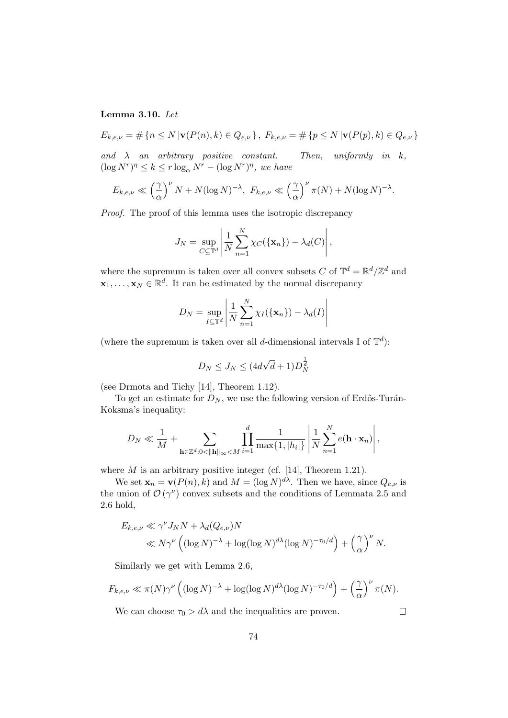#### Lemma 3.10. Let

$$
E_{k,e,\nu} = \# \{ n \le N \, | \mathbf{v}(P(n),k) \in Q_{e,\nu} \}, \ F_{k,e,\nu} = \# \{ p \le N \, | \mathbf{v}(P(p),k) \in Q_{e,\nu} \}
$$

and  $\lambda$  an arbitrary positive constant. Then, uniformly in k,  $(\log N^r)^{\eta} \leq k \leq r \log_{\alpha} N^r - (\log N^r)^{\eta}, \text{ we have}$ 

$$
E_{k,e,\nu} \ll \left(\frac{\gamma}{\alpha}\right)^{\nu} N + N(\log N)^{-\lambda}, \ F_{k,e,\nu} \ll \left(\frac{\gamma}{\alpha}\right)^{\nu} \pi(N) + N(\log N)^{-\lambda}.
$$

Proof. The proof of this lemma uses the isotropic discrepancy

$$
J_N = \sup_{C \subseteq \mathbb{T}^d} \left| \frac{1}{N} \sum_{n=1}^N \chi_C(\{\mathbf{x}_n\}) - \lambda_d(C) \right|,
$$

where the supremum is taken over all convex subsets C of  $\mathbb{T}^d = \mathbb{R}^d / \mathbb{Z}^d$  and  $\mathbf{x}_1, \ldots, \mathbf{x}_N \in \mathbb{R}^d$ . It can be estimated by the normal discrepancy

$$
D_N = \sup_{I \subseteq \mathbb{T}^d} \left| \frac{1}{N} \sum_{n=1}^N \chi_I(\{\mathbf{x}_n\}) - \lambda_d(I) \right|
$$

(where the supremum is taken over all d-dimensional intervals I of  $\mathbb{T}^d$ ):

$$
D_N \le J_N \le (4d\sqrt{d}+1)D_N^{\frac{1}{d}}
$$

(see Drmota and Tichy [14], Theorem 1.12).

To get an estimate for  $D_N$ , we use the following version of Erdős-Turán-Koksma's inequality:

$$
D_N \ll \frac{1}{M} + \sum_{\mathbf{h} \in \mathbb{Z}^d : 0 < \|\mathbf{h}\|_{\infty} < M} \prod_{i=1}^d \frac{1}{\max\{1, |h_i|\}} \left| \frac{1}{N} \sum_{n=1}^N e(\mathbf{h} \cdot \mathbf{x}_n) \right|,
$$

where  $M$  is an arbitrary positive integer (cf. [14], Theorem 1.21).

We set  $\mathbf{x}_n = \mathbf{v}(P(n), k)$  and  $M = (\log N)^{d\lambda}$ . Then we have, since  $Q_{e,\nu}$  is the union of  $\mathcal{O}(\gamma^{\nu})$  convex subsets and the conditions of Lemmata 2.5 and 2.6 hold,

$$
E_{k,e,\nu} \ll \gamma^{\nu} J_N N + \lambda_d (Q_{e,\nu}) N
$$
  
\$\ll N \gamma^{\nu} ((\log N)^{-\lambda} + \log(\log N)^{d\lambda} (\log N)^{-\tau\_0/d}) + (\frac{\gamma}{\alpha})^{\nu} N.\$

Similarly we get with Lemma 2.6,

$$
F_{k,e,\nu} \ll \pi(N)\gamma^{\nu} \left( (\log N)^{-\lambda} + \log(\log N)^{d\lambda} (\log N)^{-\tau_0/d} \right) + \left(\frac{\gamma}{\alpha}\right)^{\nu} \pi(N).
$$

We can choose  $\tau_0 > d\lambda$  and the inequalities are proven.

 $\Box$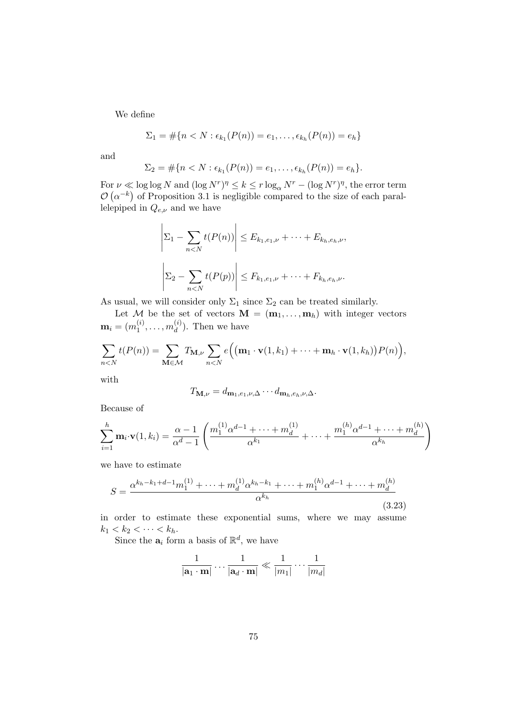We define

$$
\Sigma_1 = \#\{n < N : \epsilon_{k_1}(P(n)) = e_1, \ldots, \epsilon_{k_h}(P(n)) = e_h\}
$$

and

$$
\Sigma_2 = \#\{n < N : \epsilon_{k_1}(P(n)) = e_1, \ldots, \epsilon_{k_h}(P(n)) = e_h\}.
$$

For  $\nu \ll \log \log N$  and  $(\log N^r)^{\eta} \le k \le r \log_{\alpha} N^r - (\log N^r)^{\eta}$ , the error term  $\mathcal{O}(\alpha^{-k})$  of Proposition 3.1 is negligible compared to the size of each parallelepiped in  $Q_{e,\nu}$  and we have

$$
\left| \Sigma_1 - \sum_{n < N} t(P(n)) \right| \le E_{k_1, e_1, \nu} + \dots + E_{k_h, e_h, \nu},
$$
\n
$$
\left| \Sigma_2 - \sum_{n < N} t(P(p)) \right| \le F_{k_1, e_1, \nu} + \dots + F_{k_h, e_h, \nu}.
$$

As usual, we will consider only  $\Sigma_1$  since  $\Sigma_2$  can be treated similarly.

Let M be the set of vectors  $\mathbf{M} = (\mathbf{m}_1, \dots, \mathbf{m}_h)$  with integer vectors  $\mathbf{m}_i = (m^{(i)}_1$  $\binom{i}{1}, \ldots, m_d^{(i)}$  $\binom{v}{d}$ . Then we have

$$
\sum_{n
$$

with

$$
T_{\mathbf{M},\nu}=d_{\mathbf{m}_1,e_1,\nu,\Delta}\cdots d_{\mathbf{m}_h,e_h,\nu,\Delta}.
$$

Because of

$$
\sum_{i=1}^{h} \mathbf{m}_i \cdot \mathbf{v}(1, k_i) = \frac{\alpha - 1}{\alpha^d - 1} \left( \frac{m_1^{(1)} \alpha^{d-1} + \dots + m_d^{(1)}}{\alpha^{k_1}} + \dots + \frac{m_1^{(h)} \alpha^{d-1} + \dots + m_d^{(h)}}{\alpha^{k_h}} \right)
$$

we have to estimate

$$
S = \frac{\alpha^{k_h - k_1 + d - 1} m_1^{(1)} + \dots + m_d^{(1)} \alpha^{k_h - k_1} + \dots + m_1^{(h)} \alpha^{d - 1} + \dots + m_d^{(h)}}{\alpha^{k_h}}
$$
(3.23)

in order to estimate these exponential sums, where we may assume  $k_1 < k_2 < \cdots < k_h$ .

Since the  $a_i$  form a basis of  $\mathbb{R}^d$ , we have

$$
\frac{1}{|\mathbf{a}_1 \cdot \mathbf{m}|} \dots \frac{1}{|\mathbf{a}_d \cdot \mathbf{m}|} \ll \frac{1}{|m_1|} \dots \frac{1}{|m_d|}
$$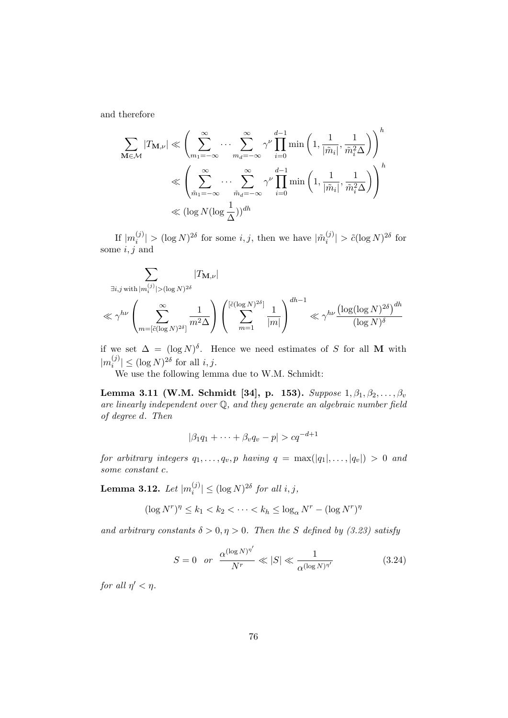and therefore

$$
\sum_{\mathbf{M}\in\mathcal{M}}|T_{\mathbf{M},\nu}|\ll \left(\sum_{m_1=-\infty}^{\infty}\cdots\sum_{m_d=-\infty}^{\infty}\gamma^{\nu}\prod_{i=0}^{d-1}\min\left(1,\frac{1}{|\tilde{m}_i|},\frac{1}{\tilde{m}_i^2\Delta}\right)\right)^h
$$
  

$$
\ll \left(\sum_{\tilde{m}_1=-\infty}^{\infty}\cdots\sum_{\tilde{m}_d=-\infty}^{\infty}\gamma^{\nu}\prod_{i=0}^{d-1}\min\left(1,\frac{1}{|\tilde{m}_i|},\frac{1}{\tilde{m}_i^2\Delta}\right)\right)^h
$$
  

$$
\ll (\log N(\log\frac{1}{\Delta}))^{dh}
$$

If  $|m_i^{(j)}$  $\vert \hat{m}_i^{(j)} \vert > (\log N)^{2\delta}$  for some *i*, *j*, then we have  $\vert \tilde{m}_i^{(j)} \vert$  $\left| \frac{\partial f}{\partial t} \right| > \tilde{c} (\log N)^{2\delta}$  for some  $i, j$  and

$$
\sum_{\exists i,j \text{ with } |m_i^{(j)}| > (\log N)^{2\delta}} |T_{\mathbf{M},\nu}|
$$
  

$$
\ll \gamma^{h\nu} \left( \sum_{m = [\tilde{c}(\log N)^{2\delta}]}^{\infty} \frac{1}{m^2 \Delta} \right) \left( \sum_{m=1}^{[\tilde{c}(\log N)^{2\delta}]} \frac{1}{|m|} \right)^{dh-1} \ll \gamma^{h\nu} \frac{(\log(\log N)^{2\delta})^{dh}}{(\log N)^{\delta}}
$$

if we set  $\Delta = (\log N)^{\delta}$ . Hence we need estimates of S for all M with  $|m_i^{(j)}$  $\binom{(j)}{i} \leq (\log N)^{2\delta}$  for all  $i, j$ .

We use the following lemma due to W.M. Schmidt:

Lemma 3.11 (W.M. Schmidt [34], p. 153). Suppose  $1, \beta_1, \beta_2, ..., \beta_v$ are linearly independent over Q, and they generate an algebraic number field of degree d. Then

$$
|\beta_1 q_1 + \cdots + \beta_v q_v - p| > cq^{-d+1}
$$

for arbitrary integers  $q_1, \ldots, q_v, p$  having  $q = \max(|q_1|, \ldots, |q_v|) > 0$  and some constant c.

Lemma 3.12. Let  $|m_i^{(j)}|$  $\binom{(j)}{i} \leq (\log N)^{2\delta}$  for all  $i, j$ ,

$$
(\log N^r)^{\eta} \le k_1 < k_2 < \dots < k_h \le \log_{\alpha} N^r - (\log N^r)^{\eta}
$$

and arbitrary constants  $\delta > 0, \eta > 0$ . Then the S defined by (3.23) satisfy

$$
S = 0 \quad or \quad \frac{\alpha^{(\log N)^{\eta'}}}{N^r} \ll |S| \ll \frac{1}{\alpha^{(\log N)^{\eta'}}}
$$
(3.24)

for all  $\eta' < \eta$ .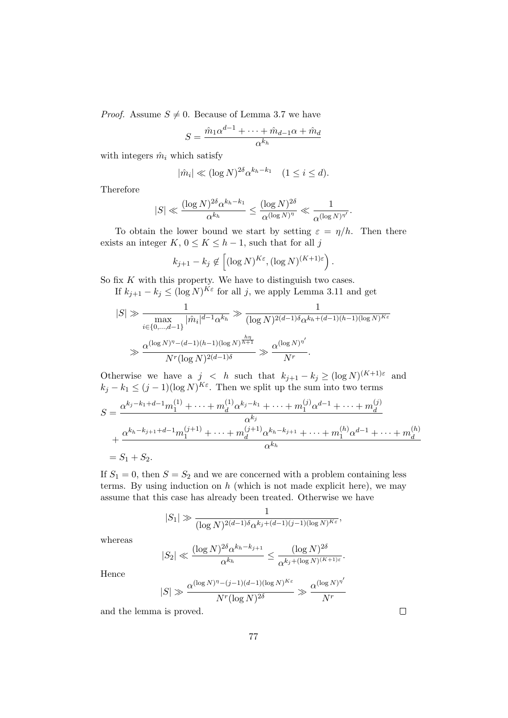*Proof.* Assume  $S \neq 0$ . Because of Lemma 3.7 we have

$$
S = \frac{\hat{m}_1 \alpha^{d-1} + \dots + \hat{m}_{d-1} \alpha + \hat{m}_d}{\alpha^{k_h}}
$$

with integers  $\hat{m}_i$  which satisfy

$$
|\hat{m}_i| \ll (\log N)^{2\delta} \alpha^{k_h - k_1} \quad (1 \le i \le d).
$$

Therefore

$$
|S| \ll \frac{(\log N)^{2\delta} \alpha^{k_h - k_1}}{\alpha^{k_h}} \le \frac{(\log N)^{2\delta}}{\alpha^{(\log N)^\eta}} \ll \frac{1}{\alpha^{(\log N)^{\eta'}}}.
$$

To obtain the lower bound we start by setting  $\varepsilon = \eta/h$ . Then there exists an integer  $K, 0 \le K \le h-1$ , such that for all j

$$
k_{j+1} - k_j \notin \left[ (\log N)^{K\varepsilon}, (\log N)^{(K+1)\varepsilon} \right).
$$

So fix  $K$  with this property. We have to distinguish two cases.

If  $k_{j+1} - k_j \leq (\log N)^{K\varepsilon}$  for all j, we apply Lemma 3.11 and get

$$
|S| \gg \frac{1}{\max_{i \in \{0, \ldots, d-1\}} |\hat{m}_i|^{d-1} \alpha^{k_h}} \gg \frac{1}{(\log N)^{2(d-1)\delta} \alpha^{k_h + (d-1)(h-1)(\log N)^{K\varepsilon}}}
$$
  

$$
\gg \frac{\alpha^{(\log N)^{\eta} - (d-1)(h-1)(\log N)^{\frac{h\eta}{h+1}}}}{N^r (\log N)^{2(d-1)\delta}} \gg \frac{\alpha^{(\log N)^{\eta'}}}{N^r}.
$$

Otherwise we have a  $j < h$  such that  $k_{j+1} - k_j \geq (\log N)^{(K+1)\varepsilon}$  and  $k_j - k_1 \leq (j-1)(\log N)^{K\varepsilon}$ . Then we split up the sum into two terms

$$
S = \frac{\alpha^{k_j - k_1 + d - 1} m_1^{(1)} + \dots + m_d^{(1)} \alpha^{k_j - k_1} + \dots + m_1^{(j)} \alpha^{d - 1} + \dots + m_d^{(j)}}{\alpha^{k_j}} + \frac{\alpha^{k_h - k_{j+1} + d - 1} m_1^{(j+1)} + \dots + m_d^{(j+1)} \alpha^{k_h - k_{j+1}} + \dots + m_1^{(h)} \alpha^{d - 1} + \dots + m_d^{(h)}}{\alpha^{k_h}}
$$
  
=  $S_1 + S_2$ .

If  $S_1 = 0$ , then  $S = S_2$  and we are concerned with a problem containing less terms. By using induction on  $h$  (which is not made explicit here), we may assume that this case has already been treated. Otherwise we have

$$
|S_1| \gg \frac{1}{(\log N)^{2(d-1)\delta} \alpha^{k_j + (d-1)(j-1)(\log N)^{K\varepsilon}}},
$$

whereas

$$
|S_2| \ll \frac{(\log N)^{2\delta} \alpha^{k_h - k_{j+1}}}{\alpha^{k_h}} \le \frac{(\log N)^{2\delta}}{\alpha^{k_j + (\log N)^{(K+1)\varepsilon}}}.
$$

Hence

$$
|S| \gg \frac{\alpha^{(\log N)^{\eta} - (j-1)(d-1)(\log N)^{K\varepsilon}}}{N^r (\log N)^{2\delta}} \gg \frac{\alpha^{(\log N)^{\eta'}}}{N^r}
$$

and the lemma is proved.

 $\Box$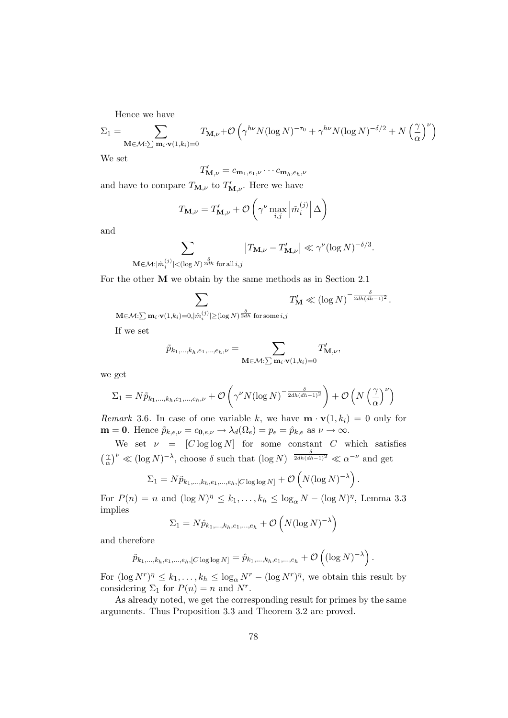Hence we have

$$
\Sigma_1 = \sum_{\mathbf{M} \in \mathcal{M}: \sum \mathbf{m}_i \cdot \mathbf{v}(1, k_i) = 0} T_{\mathbf{M}, \nu} + \mathcal{O}\left(\gamma^{h\nu} N (\log N)^{-\tau_0} + \gamma^{h\nu} N (\log N)^{-\delta/2} + N \left(\frac{\gamma}{\alpha}\right)^{\nu}\right)
$$

We set

$$
T'_{\mathbf{M},\nu} = c_{\mathbf{m}_1,e_1,\nu} \cdots c_{\mathbf{m}_h,e_h,\nu}
$$

and have to compare  $T_{\mathbf{M},\nu}$  to  $T'_{\mathbf{M},\nu}$ . Here we have

$$
T_{\mathbf{M},\nu} = T'_{\mathbf{M},\nu} + \mathcal{O}\left(\gamma^{\nu} \max_{i,j} \left| \tilde{m}_i^{(j)} \right| \Delta\right)
$$

and

$$
\sum_{\mathbf{M}\in\mathcal{M}:|\tilde{m}^{(j)}_i|<(\log N)^{\frac{\delta}{2dh}} \text{ for all }i,j} \left|T_{\mathbf{M},\nu}-T'_{\mathbf{M},\nu}\right|\ll \gamma^{\nu}(\log N)^{-\delta/3}.
$$

For the other M we obtain by the same methods as in Section 2.1

$$
\sum_{\nu(1,k,\cdot)=0 \text{ for } N\ge \frac{\delta}{2dh} \text{ for some } i} T'_{\mathbf{M}} \ll (\log N)^{-\frac{\delta}{2dh(dh-1)^2}}.
$$

 $\mathbf{M}\!\!\in\!\!\mathcal{M}\!\!:\!\!\sum\mathbf{m}_i\!\cdot\!\mathbf{v}(1,\!k_i)\!=\!\!0,\!|\tilde{m}^{(j)}_i|\!\geq\!\!(\log N)^{\tfrac{\delta}{2dh}}$  for some  $i,\!j$ 

If we set

$$
\tilde{p}_{k_1,\ldots,k_h,e_1,\ldots,e_h,\nu} = \sum_{\mathbf{M}\in\mathcal{M}:\sum\mathbf{m}_i\cdot\mathbf{v}(1,k_i)=0} T'_{\mathbf{M},\nu},
$$

we get

$$
\Sigma_1 = N\tilde{p}_{k_1,\dots,k_h,e_1,\dots,e_h,\nu} + \mathcal{O}\left(\gamma^{\nu}N(\log N)^{-\frac{\delta}{2dh(dh-1)^2}}\right) + \mathcal{O}\left(N\left(\frac{\gamma}{\alpha}\right)^{\nu}\right)
$$

Remark 3.6. In case of one variable k, we have  $\mathbf{m} \cdot \mathbf{v}(1, k_i) = 0$  only for  $\mathbf{m} = \mathbf{0}$ . Hence  $\tilde{p}_{k,e,\nu} = c_{\mathbf{0},e,\nu} \rightarrow \lambda_d(\Omega_e) = p_e = \hat{p}_{k,e}$  as  $\nu \rightarrow \infty$ .

We set  $\nu = [C \log \log N]$  for some constant C which satisfies  $\frac{v}{2}$  $\left(\frac{\gamma}{\alpha}\right)^{\nu} \ll (\log N)^{-\lambda}$ , choose  $\delta$  such that  $(\log N)^{-\frac{\delta}{2dh(dh-1)^2}} \ll \alpha^{-\nu}$  and get

$$
\Sigma_1 = N\tilde{p}_{k_1,\dots,k_h,e_1,\dots,e_h,[C\log\log N]} + \mathcal{O}\left(N(\log N)^{-\lambda}\right)
$$

.

For  $P(n) = n$  and  $(\log N)^{\eta} \le k_1, \ldots, k_h \le \log_{\alpha} N - (\log N)^{\eta}$ , Lemma 3.3 implies

$$
\Sigma_1 = N \hat{p}_{k_1,\dots,k_h,e_1,\dots,e_h} + \mathcal{O}\left(N (\log N)^{-\lambda}\right)
$$

and therefore

$$
\tilde{p}_{k_1,...,k_h,e_1,...,e_h, [C \log \log N]} = \hat{p}_{k_1,...,k_h,e_1,...,e_h} + \mathcal{O}\left((\log N)^{-\lambda}\right).
$$

For  $(\log N^r)^{\eta} \leq k_1, \ldots, k_h \leq \log_{\alpha} N^r - (\log N^r)^{\eta}$ , we obtain this result by considering  $\Sigma_1$  for  $P(n) = n$  and  $N^r$ .

As already noted, we get the corresponding result for primes by the same arguments. Thus Proposition 3.3 and Theorem 3.2 are proved.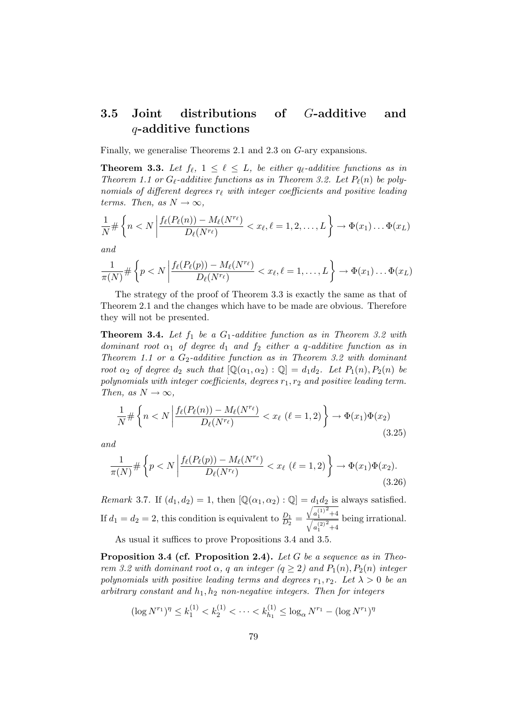#### 3.5 Joint distributions of G-additive and q-additive functions

Finally, we generalise Theorems 2.1 and 2.3 on G-ary expansions.

**Theorem 3.3.** Let  $f_{\ell}$ ,  $1 \leq \ell \leq L$ , be either  $q_{\ell}$ -additive functions as in Theorem 1.1 or  $G_{\ell}$ -additive functions as in Theorem 3.2. Let  $P_{\ell}(n)$  be polynomials of different degrees  $r_\ell$  with integer coefficients and positive leading terms. Then, as  $N \to \infty$ ,

$$
\frac{1}{N} \# \left\{ n < N \left| \frac{f_{\ell}(P_{\ell}(n)) - M_{\ell}(N^{r_{\ell}})}{D_{\ell}(N^{r_{\ell}})} \right| < x_{\ell}, \ell = 1, 2, \dots, L \right\} \to \Phi(x_1) \dots \Phi(x_L)
$$

and

$$
\frac{1}{\pi(N)} \# \left\{ p < N \left| \frac{f_{\ell}(P_{\ell}(p)) - M_{\ell}(N^{r_{\ell}})}{D_{\ell}(N^{r_{\ell}})} < x_{\ell}, \ell = 1, \ldots, L \right.\right\} \to \Phi(x_1) \ldots \Phi(x_L)
$$

The strategy of the proof of Theorem 3.3 is exactly the same as that of Theorem 2.1 and the changes which have to be made are obvious. Therefore they will not be presented.

**Theorem 3.4.** Let  $f_1$  be a  $G_1$ -additive function as in Theorem 3.2 with dominant root  $\alpha_1$  of degree  $d_1$  and  $f_2$  either a q-additive function as in Theorem 1.1 or a  $G_2$ -additive function as in Theorem 3.2 with dominant root  $\alpha_2$  of degree  $d_2$  such that  $[\mathbb{Q}(\alpha_1, \alpha_2) : \mathbb{Q}] = d_1 d_2$ . Let  $P_1(n), P_2(n)$  be polynomials with integer coefficients, degrees  $r_1, r_2$  and positive leading term. Then, as  $N \to \infty$ ,

$$
\frac{1}{N} \# \left\{ n < N \left| \frac{f_{\ell}(P_{\ell}(n)) - M_{\ell}(N^{r_{\ell}})}{D_{\ell}(N^{r_{\ell}})} \right| < x_{\ell} \ (\ell = 1, 2) \right\} \to \Phi(x_1) \Phi(x_2) \tag{3.25}
$$

and

$$
\frac{1}{\pi(N)} \# \left\{ p < N \left| \frac{f_{\ell}(P_{\ell}(p)) - M_{\ell}(N^{r_{\ell}})}{D_{\ell}(N^{r_{\ell}})} \right| < x_{\ell} \ (\ell = 1, 2) \right\} \to \Phi(x_1) \Phi(x_2). \tag{3.26}
$$

Remark 3.7. If  $(d_1, d_2) = 1$ , then  $[\mathbb{Q}(\alpha_1, \alpha_2) : \mathbb{Q}] = d_1 d_2$  is always satisfied. If  $d_1 = d_2 = 2$ , this condition is equivalent to  $\frac{D_1}{D_2} =$  $\sqrt{a_1^{(1)}}$  $^{2}$  +4  $\sqrt{a_1^{(2)}}$  $^{2}$  +4 being irrational.

As usual it suffices to prove Propositions 3.4 and 3.5.

**Proposition 3.4 (cf. Proposition 2.4).** Let G be a sequence as in Theorem 3.2 with dominant root  $\alpha$ , q an integer  $(q \geq 2)$  and  $P_1(n)$ ,  $P_2(n)$  integer polynomials with positive leading terms and degrees  $r_1, r_2$ . Let  $\lambda > 0$  be an arbitrary constant and  $h_1, h_2$  non-negative integers. Then for integers

$$
(\log N^{r_1})^{\eta} \le k_1^{(1)} < k_2^{(1)} < \cdots < k_{h_1}^{(1)} \le \log_{\alpha} N^{r_1} - (\log N^{r_1})^{\eta}
$$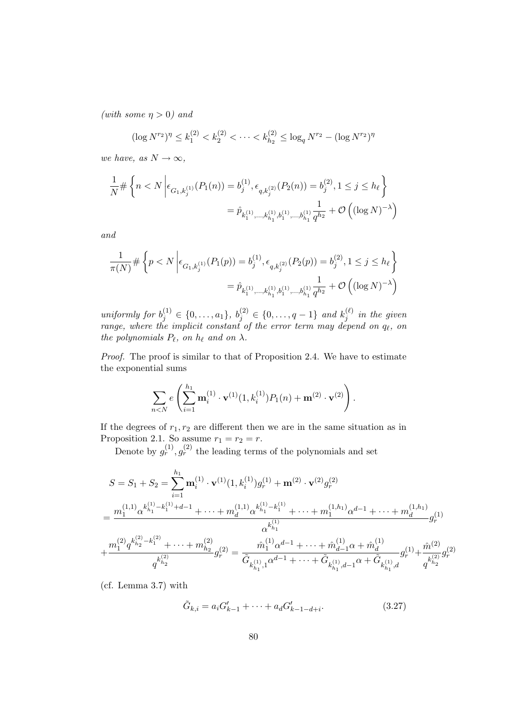(with some  $\eta > 0$ ) and

$$
(\log N^{r_2})^{\eta} \le k_1^{(2)} < k_2^{(2)} < \cdots < k_{h_2}^{(2)} \le \log_q N^{r_2} - (\log N^{r_2})^{\eta}
$$

we have, as  $N \to \infty$ ,

$$
\frac{1}{N} \# \left\{ n < N \left| \epsilon_{G_1, k_j^{(1)}}(P_1(n)) = b_j^{(1)}, \epsilon_{q, k_j^{(2)}}(P_2(n)) = b_j^{(2)}, 1 \le j \le h_\ell \right\} \right\}
$$
\n
$$
= \hat{p}_{k_1^{(1)}, \dots, k_{h_1}^{(1)}, b_1^{(1)}, \dots, b_{h_1}^{(1)}} \frac{1}{q^{h_2}} + \mathcal{O}\left( (\log N)^{-\lambda} \right)
$$

and

$$
\frac{1}{\pi(N)} \# \left\{ p < N \left| \epsilon_{G_1, k_j^{(1)}}(P_1(p)) = b_j^{(1)}, \epsilon_{q, k_j^{(2)}}(P_2(p)) = b_j^{(2)}, 1 \le j \le h_\ell \right\} \right\}
$$
\n
$$
= \hat{p}_{k_1^{(1)}, \dots, k_{h_1}^{(1)}, b_1^{(1)}, \dots, b_{h_1}^{(1)}} \frac{1}{q^{h_2}} + \mathcal{O}\left( (\log N)^{-\lambda} \right)
$$

uniformly for  $b_j^{(1)} \in \{0, \ldots, a_1\}, b_j^{(2)} \in \{0, \ldots, q-1\}$  and  $k_j^{(\ell)}$  $j_j^{(\ell)}$  in the given range, where the implicit constant of the error term may depend on  $q_{\ell}$ , on the polynomials  $P_\ell$ , on  $h_\ell$  and on  $\lambda$ .

Proof. The proof is similar to that of Proposition 2.4. We have to estimate the exponential sums

$$
\sum_{n
$$

If the degrees of  $r_1, r_2$  are different then we are in the same situation as in Proposition 2.1. So assume  $r_1 = r_2 = r$ .

Denote by  $g_r^{(1)}, g_r^{(2)}$  the leading terms of the polynomials and set

$$
S = S_1 + S_2 = \sum_{i=1}^{h_1} \mathbf{m}_i^{(1)} \cdot \mathbf{v}^{(1)} (1, k_i^{(1)}) g_r^{(1)} + \mathbf{m}^{(2)} \cdot \mathbf{v}^{(2)} g_r^{(2)}
$$
  
= 
$$
\frac{m_1^{(1,1)} \alpha^{k_{h_1}^{(1)} - k_1^{(1)} + d - 1} + \dots + m_d^{(1,1)} \alpha^{k_{h_1}^{(1)} - k_1^{(1)}} + \dots + m_1^{(1,h_1)} \alpha^{d-1} + \dots + m_d^{(1,h_1)} g_r^{(1)}}{\alpha^{k_{h_1}^{(1)}}}
$$
  
+ 
$$
\frac{m_1^{(2)} q^{k_{h_2}^{(2)} - k_1^{(2)}} + \dots + m_{h_2}^{(2)}}{q^{k_{h_2}^{(2)}}} g_r^{(2)} = \frac{\hat{m}_1^{(1)} \alpha^{d-1} + \dots + \hat{m}_{d-1}^{(1)} \alpha + \hat{m}_d^{(1)}}{\tilde{G}_{k_{h_1}^{(1)}, 1} \alpha^{d-1} + \dots + \tilde{G}_{k_{h_1}^{(1)}, d-1} \alpha + \tilde{G}_{k_{h_1}^{(1)}, d} g_r^{(1)} + \frac{\hat{m}_1^{(2)}}{q^{k_{h_2}^{(2)}}} g_r^{(2)}
$$

(cf. Lemma 3.7) with

$$
\tilde{G}_{k,i} = a_i G'_{k-1} + \dots + a_d G'_{k-1-d+i}.
$$
\n(3.27)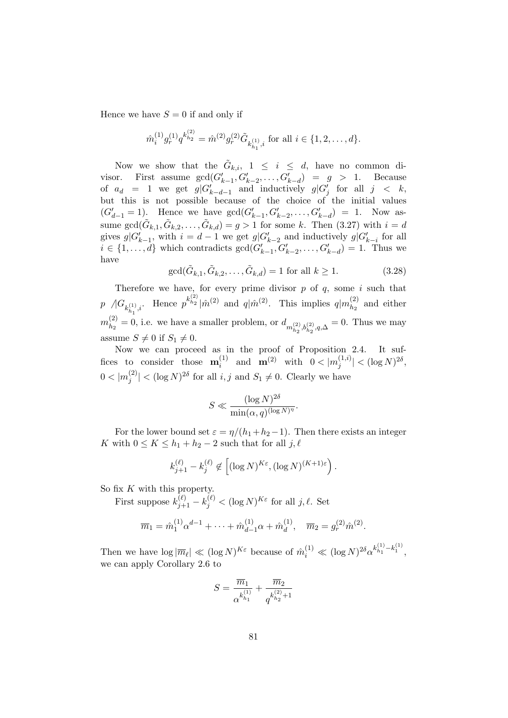Hence we have  $S = 0$  if and only if

$$
\hat{m}_{i}^{(1)}g_{r}^{(1)}q_{r}^{k_{h_2}^{(2)}} = \hat{m}^{(2)}g_{r}^{(2)}\tilde{G}_{k_{h_1}^{(1)},i} \text{ for all } i \in \{1,2,\ldots,d\}.
$$

Now we show that the  $\tilde{G}_{k,i}$ ,  $1 \leq i \leq d$ , have no common divisor. First assume  $gcd(G'_{k-1}, G'_{k-2}, \ldots, G'_{k-d}) = g > 1$ . Because of  $a_d = 1$  we get  $g|G'_{k-d-1}$  and inductively  $g|G'_{j}$  for all  $j < k$ , but this is not possible because of the choice of the initial values  $(G'_{d-1} = 1)$ . Hence we have  $gcd(G'_{k-1}, G'_{k-2}, \ldots, G'_{k-d}) = 1$ . Now assume  $gcd(\tilde{G}_{k,1}, \tilde{G}_{k,2}, \ldots, \tilde{G}_{k,d}) = g > 1$  for some k. Then  $(3.27)$  with  $i = d$ gives  $g|G'_{k-1}$ , with  $i = d-1$  we get  $g|G'_{k-2}$  and inductively  $g|G'_{k-i}$  for all  $i \in \{1, \ldots, d\}$  which contradicts  $gcd(G'_{k-1}, G'_{k-2}, \ldots, G'_{k-d}) = 1$ . Thus we have

$$
\gcd(\tilde{G}_{k,1}, \tilde{G}_{k,2}, \dots, \tilde{G}_{k,d}) = 1 \text{ for all } k \ge 1.
$$
 (3.28)

Therefore we have, for every prime divisor  $p$  of  $q$ , some  $i$  such that  $p \sqrt{G_{k_{h_1}^{(1)},i}}$ . Hence  $p^{k_{h_2}^{(2)}} | \hat{m}^{(2)}$  and  $q | \hat{m}^{(2)}$ . This implies  $q | m_{h_2}^{(2)}$  $\binom{2}{h_2}$  and either  $m_{h_2}^{(2)}$  $h_2^{(2)} = 0$ , i.e. we have a smaller problem, or  $d_{m_{h_2}^{(2)}, b_{h_2}^{(2)}, q, \Delta} = 0$ . Thus we may assume  $S \neq 0$  if  $S_1 \neq 0$ .

Now we can proceed as in the proof of Proposition 2.4. It suffices to consider those  $\mathbf{m}_i^{(1)}$  $\hat{\mathbf{m}}_i^{(1)}$  and  $\mathbf{m}^{(2)}$  with  $0 < |m_j^{(1,i)}|$  $|j^{(1,i)}| < (\log N)^{2\delta},$  $0 < |m_i^{(2)}|$  $|j^{(2)}|$  <  $(\log N)^{2\delta}$  for all  $i, j$  and  $S_1 \neq 0$ . Clearly we have

$$
S \ll \frac{(\log N)^{2\delta}}{\min(\alpha, q)^{(\log N)^{\eta}}}.
$$

For the lower bound set  $\varepsilon = \eta/(h_1+h_2-1)$ . Then there exists an integer K with  $0 \leq K \leq h_1 + h_2 - 2$  such that for all  $j, \ell$ 

$$
k_{j+1}^{(\ell)} - k_j^{(\ell)} \notin \left[ (\log N)^{K\varepsilon}, (\log N)^{(K+1)\varepsilon} \right).
$$

So fix  $K$  with this property.

First suppose  $k_{j+1}^{(\ell)} - k_j^{(\ell)} < (\log N)^{K \varepsilon}$  for all  $j, \ell$ . Set

$$
\overline{m}_1 = \hat{m}_1^{(1)} \alpha^{d-1} + \dots + \hat{m}_{d-1}^{(1)} \alpha + \hat{m}_d^{(1)}, \quad \overline{m}_2 = g_r^{(2)} \hat{m}_1^{(2)}.
$$

Then we have  $\log |\overline{m}_{\ell}| \ll (\log N)^{K\varepsilon}$  because of  $\hat{m}_i^{(1)} \ll (\log N)^{2\delta} \alpha^{k_{h_1}^{(1)} - k_1^{(1)}}$ , we can apply Corollary 2.6 to

$$
S = \frac{\overline{m}_1}{\alpha^{k_{h_1}^{(1)}}} + \frac{\overline{m}_2}{q^{k_{h_2}^{(2)}+1}}
$$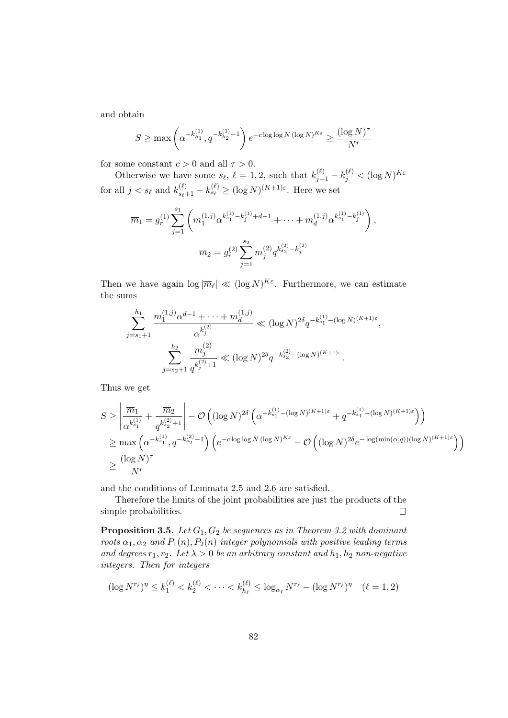and obtain

$$
S \ge \max\left(\alpha^{-k_{h_1}^{(1)}}, q^{-k_{h_2}^{(1)} - 1}\right) e^{-c \log \log N (\log N)^{K\varepsilon}} \ge \frac{(\log N)^{\tau}}{N^r}
$$

for some constant  $c > 0$  and all  $\tau > 0$ .

Otherwise we have some  $s_{\ell}$ ,  $\ell = 1, 2$ , such that  $k_{j+1}^{(\ell)} - k_j^{(\ell)} < (\log N)^{K \varepsilon}$ for all  $j < s_{\ell}$  and  $k_{s_{\ell}+1}^{(\ell)} - k_{s_{\ell}}^{(\ell)} \ge (\log N)^{(K+1)\varepsilon}$ . Here we set

$$
\overline{m}_1 = g_r^{(1)} \sum_{j=1}^{s_1} \left( m_1^{(1,j)} \alpha^{k_{s_1}^{(1)} - k_j^{(1)} + d - 1} + \dots + m_d^{(1,j)} \alpha^{k_{s_1}^{(1)} - k_j^{(1)}} \right),
$$
  

$$
\overline{m}_2 = g_r^{(2)} \sum_{j=1}^{s_2} m_j^{(2)} q^{k_{s_2}^{(2)} - k_j^{(2)}}
$$

Then we have again  $\log |\overline{m}_{\ell}| \ll (\log N)^{K_{\varepsilon}}$ . Furthermore, we can estimate the sums

$$
\sum_{j=s_1+1}^{h_1} \frac{m_1^{(1,j)} \alpha^{d-1} + \dots + m_d^{(1,j)}}{\alpha^{k_j^{(2)}}} \ll (\log N)^{2\delta} q^{-k_{s_1}^{(1)} - (\log N)^{(K+1)\varepsilon}},
$$

$$
\sum_{j=s_2+1}^{h_2} \frac{m_j^{(2)}}{q^{k_j^{(2)}+1}} \ll (\log N)^{2\delta} q^{-k_{s_2}^{(2)} - (\log N)^{(K+1)\varepsilon}}.
$$

Thus we get

$$
S \geq \left| \frac{\overline{m}_1}{\alpha^{k_{s_1}^{(1)}}} + \frac{\overline{m}_2}{q^{k_{s_2}^{(2)}+1}} \right| - \mathcal{O}\left( (\log N)^{2\delta} \left( \alpha^{-k_{s_1}^{(1)} - (\log N)^{(K+1)\varepsilon}} + q^{-k_{s_1}^{(1)} - (\log N)^{(K+1)\varepsilon}} \right) \right)
$$
  
\n
$$
\geq \max \left( \alpha^{-k_{s_1}^{(1)}}, q^{-k_{s_2}^{(2)}-1} \right) \left( e^{-c \log \log N (\log N)^{K\varepsilon}} - \mathcal{O}\left( (\log N)^{2\delta} e^{-\log(\min(\alpha, q))(\log N)^{(K+1)\varepsilon}} \right) \right)
$$
  
\n
$$
\geq \frac{(\log N)^{\tau}}{N^r}
$$

and the conditions of Lemmata 2.5 and 2.6 are satisfied.

Therefore the limits of the joint probabilities are just the products of the simple probabilities.  $\Box$ 

**Proposition 3.5.** Let  $G_1, G_2$  be sequences as in Theorem 3.2 with dominant roots  $\alpha_1, \alpha_2$  and  $P_1(n), P_2(n)$  integer polynomials with positive leading terms and degrees  $r_1, r_2$ . Let  $\lambda > 0$  be an arbitrary constant and  $h_1, h_2$  non-negative integers. Then for integers

$$
(\log N^{r_{\ell}})^{\eta} \le k_1^{(\ell)} < k_2^{(\ell)} < \cdots < k_{h_{\ell}}^{(\ell)} \le \log_{\alpha_{\ell}} N^{r_{\ell}} - (\log N^{r_{\ell}})^{\eta} \quad (\ell = 1, 2)
$$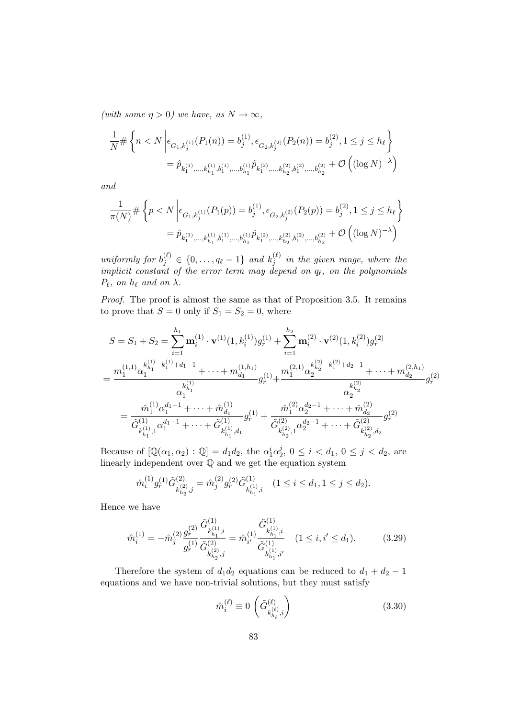(with some  $\eta > 0$ ) we have, as  $N \to \infty$ ,

$$
\frac{1}{N} \# \left\{ n < N \left| \epsilon_{G_1, k_j^{(1)}}(P_1(n)) = b_j^{(1)}, \epsilon_{G_2, k_j^{(2)}}(P_2(n)) = b_j^{(2)}, 1 \le j \le h_\ell \right. \right\}
$$
\n
$$
= \hat{p}_{k_1^{(1)}, \dots, k_{h_1}^{(1)}, b_1^{(1)}, \dots, b_{h_1}^{(1)}} \hat{p}_{k_1^{(2)}, \dots, k_{h_2}^{(2)}, b_1^{(2)}, \dots, b_{h_2}^{(2)}} + \mathcal{O}\left( (\log N)^{-\lambda} \right)
$$

and

$$
\label{eq:R1} \begin{split} \frac{1}{\pi(N)} \# \left\{ p < N \left| \epsilon_{G_1,k_j^{(1)}}(P_1(p)) = b_j^{(1)}, \epsilon_{G_2,k_j^{(2)}}(P_2(p)) = b_j^{(2)}, 1 \leq j \leq h_\ell \right. \right\} \\ = \hat{p}_{k_1^{(1)},\ldots,k_{h_1}^{(1)},b_1^{(1)},\ldots,b_{h_1}^{(1)}} \hat{p}_{k_1^{(2)},\ldots,k_{h_2}^{(2)},b_1^{(2)},\ldots,b_{h_2}^{(2)}} + \mathcal{O}\left( (\log N)^{-\lambda} \right) \end{split}
$$

uniformly for  $b_j^{(\ell)} \in \{0, \ldots, q_\ell - 1\}$  and  $k_j^{(\ell)}$  $j_j^{(k)}$  in the given range, where the implicit constant of the error term may depend on  $q_\ell$ , on the polynomials  $P_\ell$ , on  $h_\ell$  and on  $\lambda$ .

Proof. The proof is almost the same as that of Proposition 3.5. It remains to prove that  $S = 0$  only if  $S_1 = S_2 = 0$ , where

$$
S = S_1 + S_2 = \sum_{i=1}^{h_1} \mathbf{m}_{i}^{(1)} \cdot \mathbf{v}^{(1)}(1, k_i^{(1)})g_r^{(1)} + \sum_{i=1}^{h_2} \mathbf{m}_{i}^{(2)} \cdot \mathbf{v}^{(2)}(1, k_i^{(2)})g_r^{(2)}
$$
  
= 
$$
\frac{m_1^{(1,1)}\alpha_1^{k_{h_1}^{(1)} - k_1^{(1)} + d_1 - 1} + \dots + m_{d_1}^{(1,h_1)}}{\alpha_1^{k_{h_1}^{(1)}}}g_r^{(1)} + \frac{m_1^{(2,1)}\alpha_2^{k_{h_2}^{(2)} - k_1^{(2)} + d_2 - 1} + \dots + m_{d_2}^{(2,h_1)}}{\alpha_2^{k_{h_2}^{(2)}}}g_r^{(2)}
$$
  
= 
$$
\frac{\hat{m}_1^{(1)}\alpha_1^{d_1 - 1} + \dots + \hat{m}_{d_1}^{(1)}}{\tilde{G}_{k_{h_1}^{(1)},1}^{(1)}}g_r^{(1)} + \frac{\hat{m}_1^{(2)}\alpha_2^{d_2 - 1} + \dots + \hat{m}_{d_2}^{(2)}}{\tilde{G}_{k_{h_2}^{(2)},1}^{(2)}}g_r^{(2)}
$$
  

$$
= \frac{\hat{m}_1^{(1)}\alpha_1^{d_1 - 1} + \dots + \hat{m}_{d_1}^{(1)}}{\tilde{G}_{k_{h_1}^{(1)},d_1}^{(1)}}g_r^{(1)} + \frac{\hat{m}_1^{(2)}\alpha_2^{d_2 - 1} + \dots + \hat{m}_{d_2}^{(2)}}{\tilde{G}_{k_{h_2}^{(2)},1}^{(2)}}g_r^{(2)}
$$

Because of  $[\mathbb{Q}(\alpha_1, \alpha_2) : \mathbb{Q}] = d_1 d_2$ , the  $\alpha_1^i \alpha_2^j$  $j\atop{2}$ ,  $0 \leq i < d_1, 0 \leq j < d_2$ , are linearly independent over Q and we get the equation system

$$
\hat{m}_i^{(1)} g_r^{(1)} \tilde{G}^{(2)}_{k_{h_2}^{(2)},j} = \hat{m}_j^{(2)} g_r^{(2)} \tilde{G}^{(1)}_{k_{h_1}^{(1)},i} \quad (1 \leq i \leq d_1, 1 \leq j \leq d_2).
$$

Hence we have

$$
\hat{m}_{i}^{(1)} = -\hat{m}_{j}^{(2)} \frac{g_{r}^{(2)}}{g_{r}^{(1)}} \frac{\tilde{G}_{k_{h_{1}}^{(1)},i}^{(1)}}{\tilde{G}_{k_{h_{2}}^{(2)},j}^{(2)}} = \hat{m}_{i'}^{(1)} \frac{\tilde{G}_{k_{h_{1}}^{(1)},i}^{(1)}}{\tilde{G}_{k_{h_{1}}^{(1)},i'}^{(1)}} \quad (1 \le i, i' \le d_{1}). \tag{3.29}
$$

Therefore the system of  $d_1d_2$  equations can be reduced to  $d_1 + d_2 - 1$ equations and we have non-trivial solutions, but they must satisfy

$$
\hat{m}_{i}^{(\ell)} \equiv 0 \left( \tilde{G}_{k_{h_{\ell}}^{(\ell)},i}^{(\ell)} \right) \tag{3.30}
$$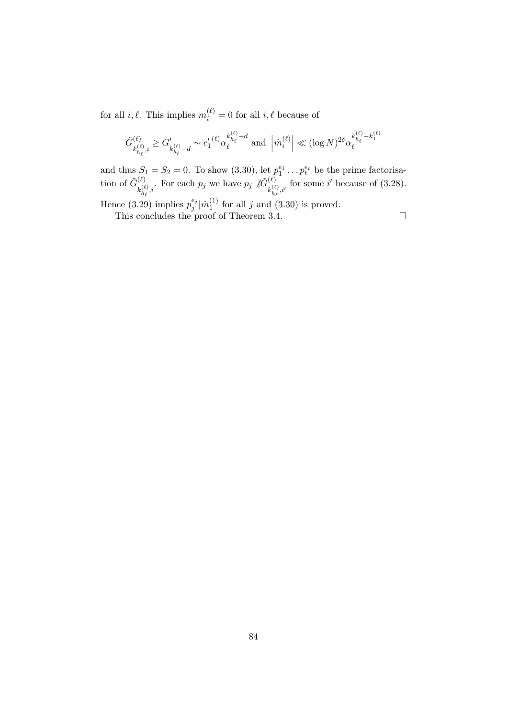for all  $i, \ell$ . This implies  $m_i^{(\ell)} = 0$  for all  $i, \ell$  because of

$$
\tilde{G}_{k_{h_\ell}^{(\ell)},i}^{(\ell)} \geq G'_{k_{h_\ell}^{(\ell)} - d} \sim {c'_1}^{(\ell)} \alpha_\ell^{k_{h_\ell}^{(\ell)} - d} \text{ and } \left| \hat{m}_i^{(\ell)} \right| \ll (\log N)^{2 \delta} \alpha_\ell^{k_{h_\ell}^{(\ell)} - k_1^{(\ell)}}
$$

and thus  $S_1 = S_2 = 0$ . To show  $(3.30)$ , let  $p_1^{e_1} \dots p_t^{e_t}$  be the prime factorisation of  $\tilde{G}^{(\ell)}_{\cdot (\ell)}$  $\chi_{k_{h_\ell}^{(\ell)},i}^{(\ell)}$ . For each  $p_j$  we have  $p_j \nmid \widetilde{G}_{k_{h_\ell}^{(\ell)}}^{(\ell)}$  $\binom{\ell}{k}_{h_{\ell},i'}^{(\ell)}$  for some i' because of (3.28).

Hence (3.29) implies  $p_j^{e_j}$  $_j^{e_j}|\hat{m}_1^{(1)}|$  $j<sub>1</sub>$  for all j and (3.30) is proved.

This concludes the proof of Theorem 3.4.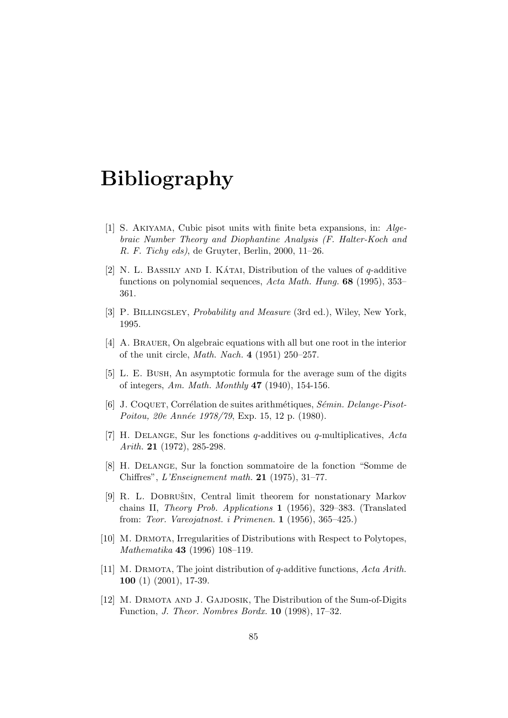# Bibliography

- [1] S. Akiyama, Cubic pisot units with finite beta expansions, in: Algebraic Number Theory and Diophantine Analysis (F. Halter-Koch and R. F. Tichy eds), de Gruyter, Berlin, 2000, 11–26.
- [2] N. L. BASSILY AND I. KATAI. Distribution of the values of  $q$ -additive functions on polynomial sequences, Acta Math. Hung. 68 (1995), 353– 361.
- [3] P. Billingsley, Probability and Measure (3rd ed.), Wiley, New York, 1995.
- [4] A. BRAUER, On algebraic equations with all but one root in the interior of the unit circle, Math. Nach. 4 (1951) 250–257.
- [5] L. E. Bush, An asymptotic formula for the average sum of the digits of integers, Am. Math. Monthly  $47$  (1940), 154-156.
- [6] J. COQUET, Corrélation de suites arithmétiques, Sémin. Delange-Pisot-Poitou, 20e Année 1978/79, Exp. 15, 12 p. (1980).
- [7] H. Delange, Sur les fonctions q-additives ou q-multiplicatives, Acta Arith. 21 (1972), 285-298.
- [8] H. Delange, Sur la fonction sommatoire de la fonction "Somme de Chiffres", L'Enseignement math. 21 (1975), 31–77.
- [9] R. L. DOBRUŠIN, Central limit theorem for nonstationary Markov chains II, Theory Prob. Applications 1 (1956), 329–383. (Translated from: Teor. Vareojatnost. i Primenen. 1 (1956), 365–425.)
- [10] M. DRMOTA, Irregularities of Distributions with Respect to Polytopes, Mathematika 43 (1996) 108–119.
- [11] M. Drmota, The joint distribution of q-additive functions, Acta Arith. 100 (1) (2001), 17-39.
- [12] M. Drmota and J. Gajdosik, The Distribution of the Sum-of-Digits Function, J. Theor. Nombres Bordx. 10 (1998), 17–32.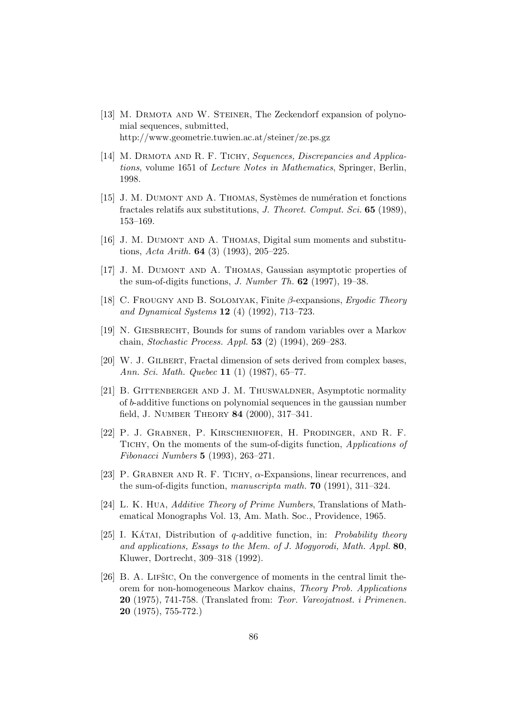- [13] M. Drmota and W. Steiner, The Zeckendorf expansion of polynomial sequences, submitted, http://www.geometrie.tuwien.ac.at/steiner/ze.ps.gz
- [14] M. DRMOTA AND R. F. TICHY, Sequences, Discrepancies and Applications, volume 1651 of Lecture Notes in Mathematics, Springer, Berlin, 1998.
- [15] J. M. DUMONT AND A. THOMAS, Systèmes de numération et fonctions fractales relatifs aux substitutions, J. Theoret. Comput. Sci. 65 (1989), 153–169.
- [16] J. M. DUMONT AND A. THOMAS, Digital sum moments and substitutions, Acta Arith. **64** (3) (1993), 205–225.
- [17] J. M. Dumont and A. Thomas, Gaussian asymptotic properties of the sum-of-digits functions, *J. Number Th.*  $62$  (1997), 19–38.
- [18] C. FROUGNY AND B. SOLOMYAK, Finite  $\beta$ -expansions, *Ergodic Theory* and Dynamical Systems 12 (4) (1992), 713–723.
- [19] N. GIESBRECHT, Bounds for sums of random variables over a Markov chain, Stochastic Process. Appl. 53 (2) (1994), 269–283.
- [20] W. J. Gilbert, Fractal dimension of sets derived from complex bases, Ann. Sci. Math. Quebec 11 (1) (1987), 65–77.
- [21] B. GITTENBERGER AND J. M. THUSWALDNER, Asymptotic normality of b-additive functions on polynomial sequences in the gaussian number field, J. Number Theory 84 (2000), 317–341.
- [22] P. J. Grabner, P. Kirschenhofer, H. Prodinger, and R. F. TICHY, On the moments of the sum-of-digits function, Applications of Fibonacci Numbers 5 (1993), 263–271.
- [23] P. GRABNER AND R. F. TICHY,  $\alpha$ -Expansions, linear recurrences, and the sum-of-digits function, manuscripta math. 70 (1991), 311–324.
- [24] L. K. Hua, Additive Theory of Prime Numbers, Translations of Mathematical Monographs Vol. 13, Am. Math. Soc., Providence, 1965.
- [25] I. KATAI, Distribution of q-additive function, in: Probability theory and applications, Essays to the Mem. of J. Mogyorodi, Math. Appl. 80, Kluwer, Dortrecht, 309–318 (1992).
- [26] B. A. LIFŠIC, On the convergence of moments in the central limit theorem for non-homogeneous Markov chains, Theory Prob. Applications 20 (1975), 741-758. (Translated from: Teor. Vareojatnost. i Primenen. 20 (1975), 755-772.)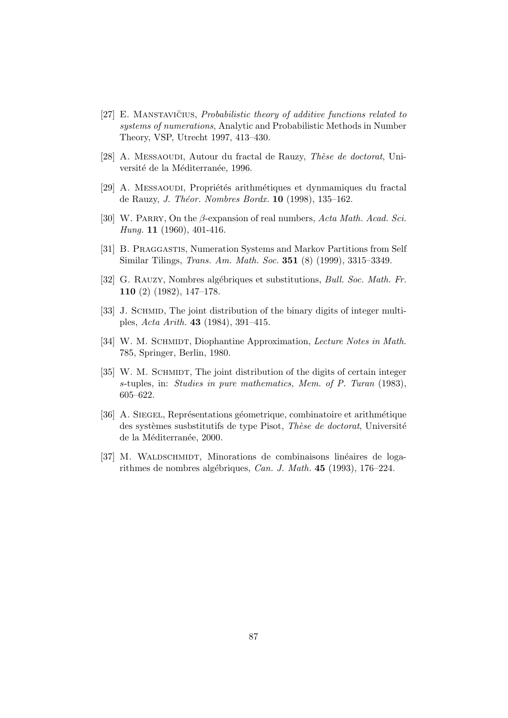- $[27]$  E. MANSTAVICIUS, *Probabilistic theory of additive functions related to* systems of numerations, Analytic and Probabilistic Methods in Number Theory, VSP, Utrecht 1997, 413–430.
- [28] A. MESSAOUDI, Autour du fractal de Rauzy, Thèse de doctorat, Université de la Méditerranée, 1996.
- [29] A. MESSAOUDI, Propriétés arithmétiques et dynmamiques du fractal de Rauzy, J. Théor. Nombres Bordx.  $10$  (1998), 135-162.
- [30] W. PARRY, On the  $\beta$ -expansion of real numbers, Acta Math. Acad. Sci. Hung. **11** (1960), 401-416.
- [31] B. Praggastis, Numeration Systems and Markov Partitions from Self Similar Tilings, Trans. Am. Math. Soc. 351 (8) (1999), 3315–3349.
- [32] G. RAUZY, Nombres algébriques et substitutions, *Bull. Soc. Math. Fr.* 110 (2) (1982), 147–178.
- [33] J. SCHMID, The joint distribution of the binary digits of integer multiples, Acta Arith. 43 (1984), 391–415.
- [34] W. M. SCHMIDT, Diophantine Approximation, Lecture Notes in Math. 785, Springer, Berlin, 1980.
- [35] W. M. SCHMIDT, The joint distribution of the digits of certain integer s-tuples, in: Studies in pure mathematics, Mem. of P. Turan (1983), 605–622.
- [36] A. SIEGEL, Représentations géometrique, combinatoire et arithmétique des systèmes susbstitutifs de type Pisot, Thèse de doctorat, Université de la Méditerranée, 2000.
- [37] M. WALDSCHMIDT, Minorations de combinaisons linéaires de logarithmes de nombres algébriques, Can. J. Math.  $45$  (1993), 176–224.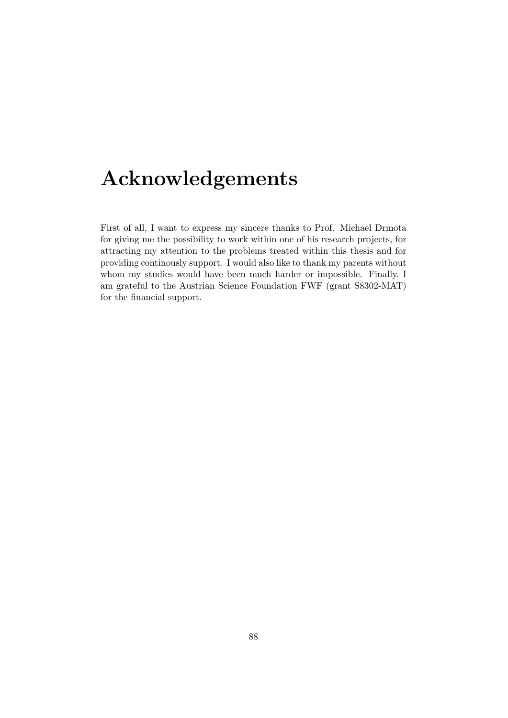# Acknowledgements

First of all, I want to express my sincere thanks to Prof. Michael Drmota for giving me the possibility to work within one of his research projects, for attracting my attention to the problems treated within this thesis and for providing continously support. I would also like to thank my parents without whom my studies would have been much harder or impossible. Finally, I am grateful to the Austrian Science Foundation FWF (grant S8302-MAT) for the financial support.